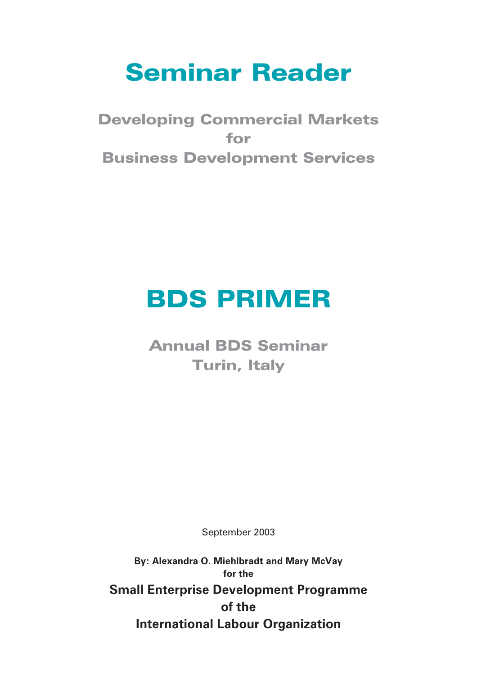# Seminar Reader

Developing Commercial Markets for Business Development Services

# BDS PRIMER

Annual BDS Seminar Turin, Italy

September 2003

**By: Alexandra O. Miehlbradt and Mary McVay for the Small Enterprise Development Programme of the International Labour Organization**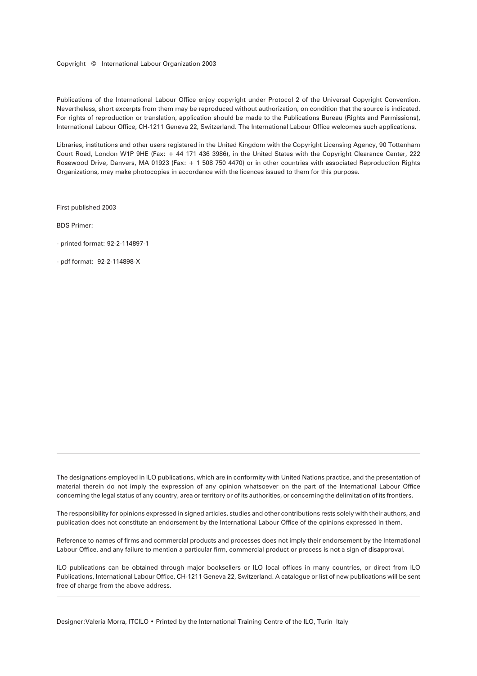Publications of the International Labour Office enjoy copyright under Protocol 2 of the Universal Copyright Convention. Nevertheless, short excerpts from them may be reproduced without authorization, on condition that the source is indicated. For rights of reproduction or translation, application should be made to the Publications Bureau (Rights and Permissions), International Labour Office, CH-1211 Geneva 22, Switzerland. The International Labour Office welcomes such applications.

Libraries, institutions and other users registered in the United Kingdom with the Copyright Licensing Agency, 90 Tottenham Court Road, London W1P 9HE (Fax: + 44 171 436 3986), in the United States with the Copyright Clearance Center, 222 Rosewood Drive, Danvers, MA 01923 (Fax: + 1 508 750 4470) or in other countries with associated Reproduction Rights Organizations, may make photocopies in accordance with the licences issued to them for this purpose.

First published 2003

BDS Primer:

- printed format: 92-2-114897-1

- pdf format: 92-2-114898-X

The designations employed in ILO publications, which are in conformity with United Nations practice, and the presentation of material therein do not imply the expression of any opinion whatsoever on the part of the International Labour Office concerning the legal status of any country, area or territory or of its authorities, or concerning the delimitation of its frontiers.

The responsibility for opinions expressed in signed articles, studies and other contributions rests solely with their authors, and publication does not constitute an endorsement by the International Labour Office of the opinions expressed in them.

Reference to names of firms and commercial products and processes does not imply their endorsement by the International Labour Office, and any failure to mention a particular firm, commercial product or process is not a sign of disapproval.

ILO publications can be obtained through major booksellers or ILO local offices in many countries, or direct from ILO Publications, International Labour Office, CH-1211 Geneva 22, Switzerland. A catalogue or list of new publications will be sent free of charge from the above address.

Designer: Valeria Morra, ITCILO • Printed by the International Training Centre of the ILO, Turin Italy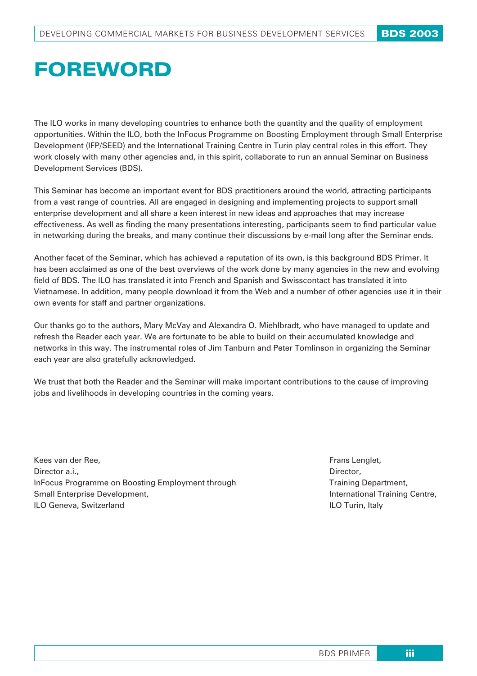# FOREWORD

The ILO works in many developing countries to enhance both the quantity and the quality of employment opportunities. Within the ILO, both the InFocus Programme on Boosting Employment through Small Enterprise Development (IFP/SEED) and the International Training Centre in Turin play central roles in this effort. They work closely with many other agencies and, in this spirit, collaborate to run an annual Seminar on Business Development Services (BDS).

This Seminar has become an important event for BDS practitioners around the world, attracting participants from a vast range of countries. All are engaged in designing and implementing projects to support small enterprise development and all share a keen interest in new ideas and approaches that may increase effectiveness. As well as finding the many presentations interesting, participants seem to find particular value in networking during the breaks, and many continue their discussions by e-mail long after the Seminar ends.

Another facet of the Seminar, which has achieved a reputation of its own, is this background BDS Primer. It has been acclaimed as one of the best overviews of the work done by many agencies in the new and evolving field of BDS. The ILO has translated it into French and Spanish and Swisscontact has translated it into Vietnamese. In addition, many people download it from the Web and a number of other agencies use it in their own events for staff and partner organizations.

Our thanks go to the authors, Mary McVay and Alexandra O. Miehlbradt, who have managed to update and refresh the Reader each year. We are fortunate to be able to build on their accumulated knowledge and networks in this way. The instrumental roles of Jim Tanburn and Peter Tomlinson in organizing the Seminar each year are also gratefully acknowledged.

We trust that both the Reader and the Seminar will make important contributions to the cause of improving jobs and livelihoods in developing countries in the coming years.

Kees van der Ree, Director a.i., InFocus Programme on Boosting Employment through Small Enterprise Development, ILO Geneva, Switzerland

Frans Lenglet, Director, Training Department, International Training Centre, ILO Turin, Italy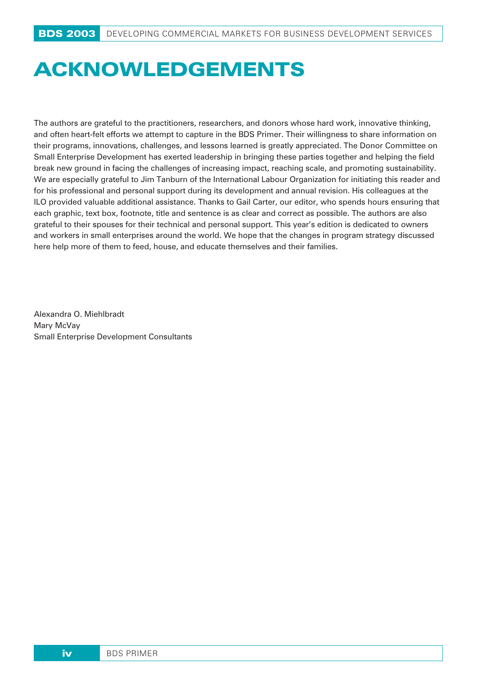# **ACKNOWLEDGEMENTS**

The authors are grateful to the practitioners, researchers, and donors whose hard work, innovative thinking, and often heart-felt efforts we attempt to capture in the BDS Primer. Their willingness to share information on their programs, innovations, challenges, and lessons learned is greatly appreciated. The Donor Committee on Small Enterprise Development has exerted leadership in bringing these parties together and helping the field break new ground in facing the challenges of increasing impact, reaching scale, and promoting sustainability. We are especially grateful to Jim Tanburn of the International Labour Organization for initiating this reader and for his professional and personal support during its development and annual revision. His colleagues at the ILO provided valuable additional assistance. Thanks to Gail Carter, our editor, who spends hours ensuring that each graphic, text box, footnote, title and sentence is as clear and correct as possible. The authors are also grateful to their spouses for their technical and personal support. This year's edition is dedicated to owners and workers in small enterprises around the world. We hope that the changes in program strategy discussed here help more of them to feed, house, and educate themselves and their families.

Alexandra O. Miehlbradt Mary McVay Small Enterprise Development Consultants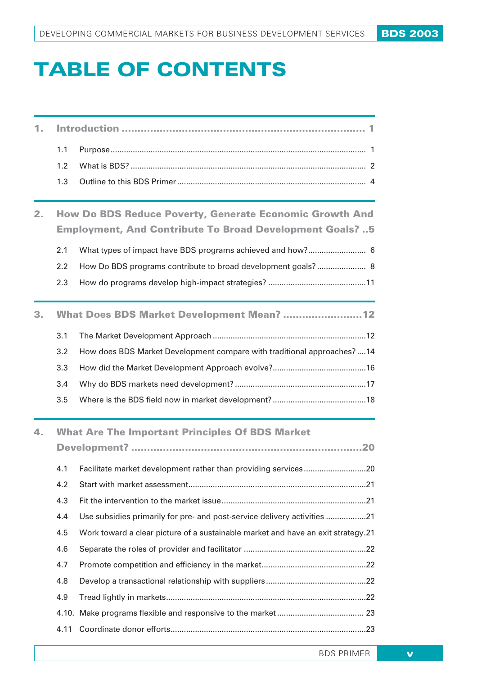# **TABLE OF CONTENTS**

| 1. |                                                                |                                                                                  |  |  |  |
|----|----------------------------------------------------------------|----------------------------------------------------------------------------------|--|--|--|
|    | 1.1                                                            |                                                                                  |  |  |  |
|    | 1.2                                                            |                                                                                  |  |  |  |
|    | 1.3                                                            |                                                                                  |  |  |  |
| 2. | <b>How Do BDS Reduce Poverty, Generate Economic Growth And</b> |                                                                                  |  |  |  |
|    |                                                                | <b>Employment, And Contribute To Broad Development Goals?5</b>                   |  |  |  |
|    | 2.1                                                            | What types of impact have BDS programs achieved and how? 6                       |  |  |  |
|    | 2.2                                                            | How Do BDS programs contribute to broad development goals? 8                     |  |  |  |
|    | 2.3                                                            |                                                                                  |  |  |  |
| 3. |                                                                | What Does BDS Market Development Mean? 12                                        |  |  |  |
|    | 3.1                                                            |                                                                                  |  |  |  |
|    | 3.2                                                            | How does BDS Market Development compare with traditional approaches?  14         |  |  |  |
|    | 3.3                                                            |                                                                                  |  |  |  |
|    | 3.4                                                            |                                                                                  |  |  |  |
|    | 3.5                                                            |                                                                                  |  |  |  |
| 4. | <b>What Are The Important Principles Of BDS Market</b>         |                                                                                  |  |  |  |
|    |                                                                |                                                                                  |  |  |  |
|    | 4.1                                                            | Facilitate market development rather than providing services20                   |  |  |  |
|    | 4.2                                                            |                                                                                  |  |  |  |
|    | 4.3                                                            |                                                                                  |  |  |  |
|    | 4.4                                                            | Use subsidies primarily for pre- and post-service delivery activities 21         |  |  |  |
|    | 4.5                                                            | Work toward a clear picture of a sustainable market and have an exit strategy.21 |  |  |  |
|    | 4.6                                                            |                                                                                  |  |  |  |
|    | 4.7                                                            |                                                                                  |  |  |  |
|    | 4.8                                                            |                                                                                  |  |  |  |
|    | 4.9                                                            |                                                                                  |  |  |  |
|    |                                                                |                                                                                  |  |  |  |
|    | 4.11                                                           |                                                                                  |  |  |  |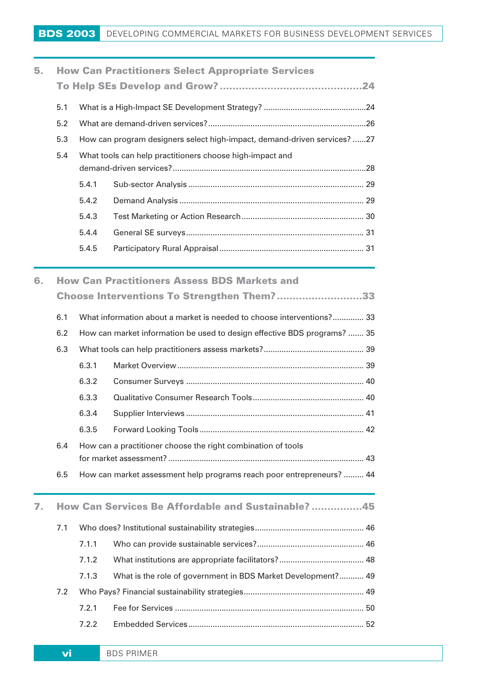| 5. | <b>How Can Practitioners Select Appropriate Services</b> |       |                                                                          |  |
|----|----------------------------------------------------------|-------|--------------------------------------------------------------------------|--|
|    |                                                          |       |                                                                          |  |
|    | 5.1                                                      |       |                                                                          |  |
|    | 5.2                                                      |       |                                                                          |  |
|    | 5.3                                                      |       | How can program designers select high-impact, demand-driven services? 27 |  |
|    | $5.4^{\circ}$                                            |       | What tools can help practitioners choose high-impact and                 |  |
|    |                                                          |       |                                                                          |  |
|    |                                                          | 5.4.1 |                                                                          |  |
|    |                                                          | 5.4.2 |                                                                          |  |
|    |                                                          | 5.4.3 |                                                                          |  |
|    |                                                          | 5.4.4 |                                                                          |  |
|    |                                                          | 5.4.5 |                                                                          |  |
|    |                                                          |       |                                                                          |  |

6. How Can Practitioners Assess BDS Markets and

|    |                                                    | Choose Interventions To Strengthen Them?33                               |                                                                       |  |  |
|----|----------------------------------------------------|--------------------------------------------------------------------------|-----------------------------------------------------------------------|--|--|
|    | 6.1                                                | What information about a market is needed to choose interventions? 33    |                                                                       |  |  |
|    | 6.2                                                | How can market information be used to design effective BDS programs?  35 |                                                                       |  |  |
|    | 6.3                                                |                                                                          |                                                                       |  |  |
|    |                                                    | 6.3.1                                                                    |                                                                       |  |  |
|    |                                                    | 6.3.2                                                                    |                                                                       |  |  |
|    |                                                    | 6.3.3                                                                    |                                                                       |  |  |
|    |                                                    | 6.3.4                                                                    |                                                                       |  |  |
|    |                                                    | 6.3.5                                                                    |                                                                       |  |  |
|    | 6.4                                                | How can a practitioner choose the right combination of tools             |                                                                       |  |  |
|    | 6.5                                                |                                                                          | How can market assessment help programs reach poor entrepreneurs?  44 |  |  |
| 7. | How Can Services Be Affordable and Sustainable? 45 |                                                                          |                                                                       |  |  |
|    | 7.1                                                |                                                                          |                                                                       |  |  |
|    |                                                    | 7.1.1                                                                    |                                                                       |  |  |
|    |                                                    | 7.1.2                                                                    |                                                                       |  |  |
|    |                                                    | 7.1.3                                                                    | What is the role of government in BDS Market Development? 49          |  |  |
|    | 7.2                                                |                                                                          |                                                                       |  |  |
|    |                                                    | 7.2.1                                                                    |                                                                       |  |  |
|    |                                                    | 7.2.2                                                                    |                                                                       |  |  |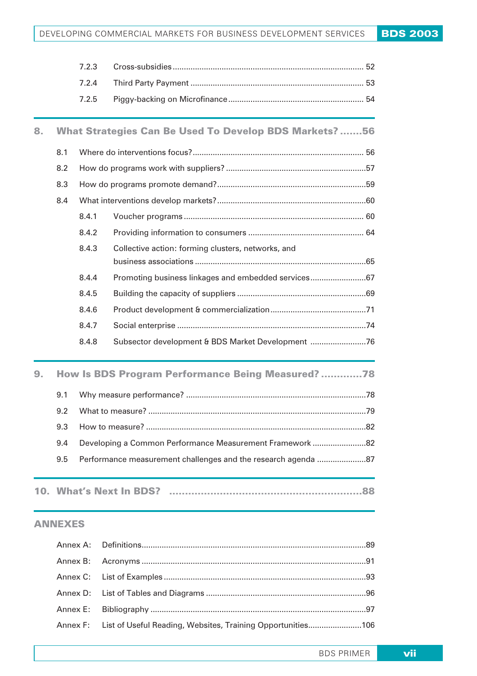|    |                                                   | 7.2.3 |                                                               |  |
|----|---------------------------------------------------|-------|---------------------------------------------------------------|--|
|    |                                                   | 7.2.4 |                                                               |  |
|    |                                                   | 7.2.5 |                                                               |  |
| 8. |                                                   |       | <b>What Strategies Can Be Used To Develop BDS Markets?56</b>  |  |
|    | 8.1                                               |       |                                                               |  |
|    | 8.2                                               |       |                                                               |  |
|    | 8.3                                               |       |                                                               |  |
|    | 8.4                                               |       |                                                               |  |
|    |                                                   | 8.4.1 |                                                               |  |
|    |                                                   | 8.4.2 |                                                               |  |
|    |                                                   | 8.4.3 | Collective action: forming clusters, networks, and            |  |
|    |                                                   |       |                                                               |  |
|    |                                                   | 8.4.4 | Promoting business linkages and embedded services67           |  |
|    |                                                   | 8.4.5 |                                                               |  |
|    |                                                   | 8.4.6 |                                                               |  |
|    |                                                   | 8.4.7 |                                                               |  |
|    |                                                   | 8.4.8 | Subsector development & BDS Market Development 76             |  |
| 9. | How Is BDS Program Performance Being Measured? 78 |       |                                                               |  |
|    | 9.1                                               |       |                                                               |  |
|    | 9.2                                               |       |                                                               |  |
|    | 9.3                                               |       |                                                               |  |
|    | 9.4                                               |       | Developing a Common Performance Measurement Framework 82      |  |
|    | 9.5                                               |       | Performance measurement challenges and the research agenda 87 |  |
|    |                                                   |       | 10. What's Next In BDS?                                       |  |

#### ANNEXES

| Annex F: List of Useful Reading, Websites, Training Opportunities106 |  |
|----------------------------------------------------------------------|--|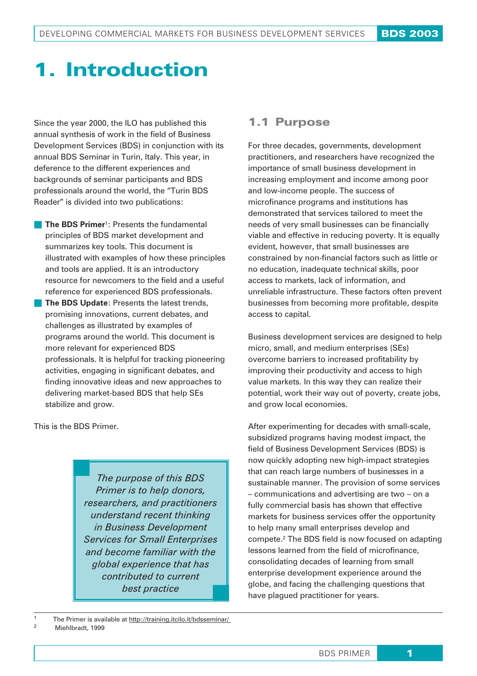## 1. Introduction

Since the year 2000, the ILO has published this annual synthesis of work in the field of Business Development Services (BDS) in conjunction with its annual BDS Seminar in Turin, Italy. This year, in deference to the different experiences and backgrounds of seminar participants and BDS professionals around the world, the "Turin BDS Reader" is divided into two publications:

- **The BDS Primer**<sup>1</sup>: Presents the fundamental principles of BDS market development and summarizes key tools. This document is illustrated with examples of how these principles and tools are applied. It is an introductory resource for newcomers to the field and a useful reference for experienced BDS professionals.
- **The BDS Update: Presents the latest trends,** promising innovations, current debates, and challenges as illustrated by examples of programs around the world. This document is more relevant for experienced BDS professionals. It is helpful for tracking pioneering activities, engaging in significant debates, and finding innovative ideas and new approaches to delivering market-based BDS that help SEs stabilize and grow.

This is the BDS Primer.

*The purpose of this BDS Primer is to help donors, researchers, and practitioners understand recent thinking in Business Development Services for Small Enterprises and become familiar with the global experience that has contributed to current best practice*

## 1.1 Purpose

For three decades, governments, development practitioners, and researchers have recognized the importance of small business development in increasing employment and income among poor and low-income people. The success of microfinance programs and institutions has demonstrated that services tailored to meet the needs of very small businesses can be financially viable and effective in reducing poverty. It is equally evident, however, that small businesses are constrained by non-financial factors such as little or no education, inadequate technical skills, poor access to markets, lack of information, and unreliable infrastructure. These factors often prevent businesses from becoming more profitable, despite access to capital.

Business development services are designed to help micro, small, and medium enterprises (SEs) overcome barriers to increased profitability by improving their productivity and access to high value markets. In this way they can realize their potential, work their way out of poverty, create jobs, and grow local economies.

After experimenting for decades with small-scale, subsidized programs having modest impact, the field of Business Development Services (BDS) is now quickly adopting new high-impact strategies that can reach large numbers of businesses in a sustainable manner. The provision of some services – communications and advertising are two – on a fully commercial basis has shown that effective markets for business services offer the opportunity to help many small enterprises develop and compete.2 The BDS field is now focused on adapting lessons learned from the field of microfinance, consolidating decades of learning from small enterprise development experience around the globe, and facing the challenging questions that have plagued practitioner for years.

The Primer is available at http://training.itcilo.it/bdsseminar/ Miehlbradt, 1999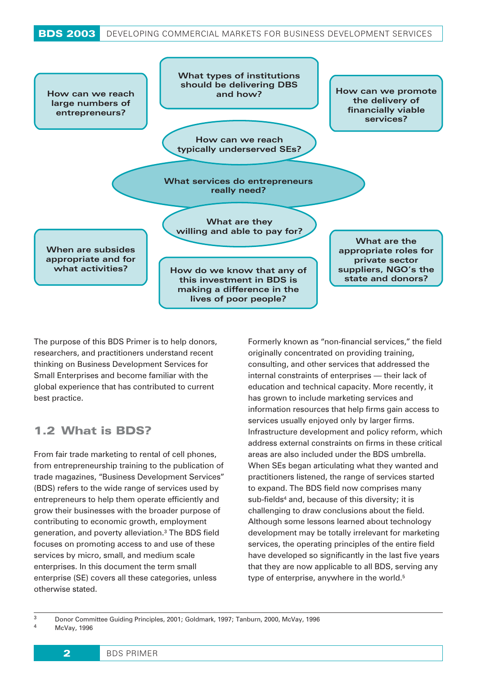

The purpose of this BDS Primer is to help donors, researchers, and practitioners understand recent thinking on Business Development Services for Small Enterprises and become familiar with the global experience that has contributed to current best practice.

## 1.2 What is BDS?

From fair trade marketing to rental of cell phones, from entrepreneurship training to the publication of trade magazines, "Business Development Services" (BDS) refers to the wide range of services used by entrepreneurs to help them operate efficiently and grow their businesses with the broader purpose of contributing to economic growth, employment generation, and poverty alleviation.3 The BDS field focuses on promoting access to and use of these services by micro, small, and medium scale enterprises. In this document the term small enterprise (SE) covers all these categories, unless otherwise stated.

Formerly known as "non-financial services," the field originally concentrated on providing training, consulting, and other services that addressed the internal constraints of enterprises — their lack of education and technical capacity. More recently, it has grown to include marketing services and information resources that help firms gain access to services usually enjoyed only by larger firms. Infrastructure development and policy reform, which address external constraints on firms in these critical areas are also included under the BDS umbrella. When SEs began articulating what they wanted and practitioners listened, the range of services started to expand. The BDS field now comprises many sub-fields<sup>4</sup> and, because of this diversity; it is challenging to draw conclusions about the field. Although some lessons learned about technology development may be totally irrelevant for marketing services, the operating principles of the entire field have developed so significantly in the last five years that they are now applicable to all BDS, serving any type of enterprise, anywhere in the world.<sup>5</sup>

<sup>3</sup> Donor Committee Guiding Principles, 2001; Goldmark, 1997; Tanburn, 2000, McVay, 1996 McVay, 1996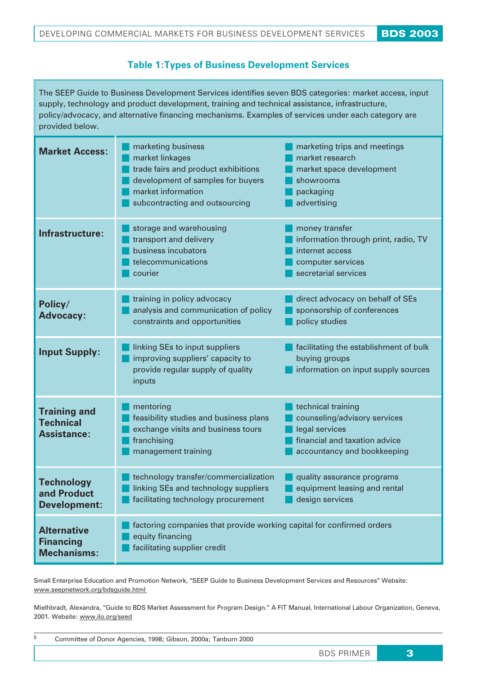#### **Table 1:Types of Business Development Services**

The SEEP Guide to Business Development Services identifies seven BDS categories: market access, input supply, technology and product development, training and technical assistance, infrastructure, policy/advocacy, and alternative financing mechanisms. Examples of services under each category are provided below.

| <b>Market Access:</b>                                         | marketing business<br>market linkages<br>trade fairs and product exhibitions<br>development of samples for buyers<br>market information<br>subcontracting and outsourcing | marketing trips and meetings<br>market research<br>market space development<br>showrooms<br>packaging<br>advertising                 |
|---------------------------------------------------------------|---------------------------------------------------------------------------------------------------------------------------------------------------------------------------|--------------------------------------------------------------------------------------------------------------------------------------|
| Infrastructure:                                               | storage and warehousing<br>transport and delivery<br>business incubators<br>telecommunications<br>courier                                                                 | money transfer<br>information through print, radio, TV<br>internet access<br>computer services<br>secretarial services               |
| Policy/<br><b>Advocacy:</b>                                   | training in policy advocacy<br>analysis and communication of policy<br>constraints and opportunities                                                                      | direct advocacy on behalf of SEs<br>sponsorship of conferences<br>policy studies                                                     |
| <b>Input Supply:</b>                                          | linking SEs to input suppliers<br>improving suppliers' capacity to<br>provide regular supply of quality<br>inputs                                                         | facilitating the establishment of bulk<br>buying groups<br>information on input supply sources                                       |
| <b>Training and</b><br><b>Technical</b><br><b>Assistance:</b> | mentoring<br>feasibility studies and business plans<br>exchange visits and business tours<br>franchising<br>management training                                           | technical training<br>counseling/advisory services<br>legal services<br>financial and taxation advice<br>accountancy and bookkeeping |
| <b>Technology</b><br>and Product<br><b>Development:</b>       | technology transfer/commercialization<br>linking SEs and technology suppliers<br>facilitating technology procurement                                                      | quality assurance programs<br>equipment leasing and rental<br>design services                                                        |
| <b>Alternative</b><br><b>Financing</b><br><b>Mechanisms:</b>  | factoring companies that provide working capital for confirmed orders<br>equity financing<br>facilitating supplier credit                                                 |                                                                                                                                      |

Small Enterprise Education and Promotion Network, "SEEP Guide to Business Development Services and Resources" Website: www.seepnetwork.org/bdsguide.html

Mielhbradt, Alexandra, "Guide to BDS Market Assessment for Program Design." A FIT Manual, International Labour Organization, Geneva, 2001. Website: www.ilo.org/seed

|  |  | Committee of Donor Agencies, 1998; Gibson, 2000a; Tanburn 2000 |  |
|--|--|----------------------------------------------------------------|--|
|--|--|----------------------------------------------------------------|--|

BDS PRIMER 3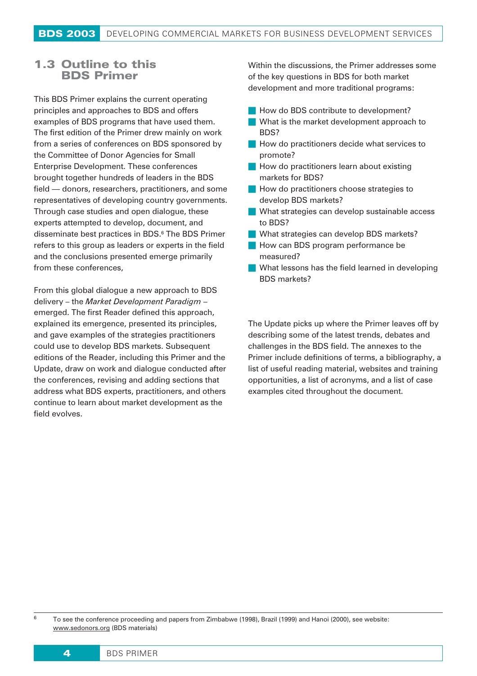## 1.3 Outline to this BDS Primer

This BDS Primer explains the current operating principles and approaches to BDS and offers examples of BDS programs that have used them. The first edition of the Primer drew mainly on work from a series of conferences on BDS sponsored by the Committee of Donor Agencies for Small Enterprise Development. These conferences brought together hundreds of leaders in the BDS field — donors, researchers, practitioners, and some representatives of developing country governments. Through case studies and open dialogue, these experts attempted to develop, document, and disseminate best practices in BDS.6 The BDS Primer refers to this group as leaders or experts in the field and the conclusions presented emerge primarily from these conferences,

From this global dialogue a new approach to BDS delivery – the *Market Development Paradigm* – emerged. The first Reader defined this approach, explained its emergence, presented its principles, and gave examples of the strategies practitioners could use to develop BDS markets. Subsequent editions of the Reader, including this Primer and the Update, draw on work and dialogue conducted after the conferences, revising and adding sections that address what BDS experts, practitioners, and others continue to learn about market development as the field evolves.

Within the discussions, the Primer addresses some of the key questions in BDS for both market development and more traditional programs:

- How do BDS contribute to development?
- What is the market development approach to BDS?
- **How do practitioners decide what services to** promote?
- $\blacksquare$  How do practitioners learn about existing markets for BDS?
- **How do practitioners choose strategies to** develop BDS markets?
- What strategies can develop sustainable access to BDS?
- What strategies can develop BDS markets?
- **How can BDS program performance be** measured?
- What lessons has the field learned in developing BDS markets?

The Update picks up where the Primer leaves off by describing some of the latest trends, debates and challenges in the BDS field. The annexes to the Primer include definitions of terms, a bibliography, a list of useful reading material, websites and training opportunities, a list of acronyms, and a list of case examples cited throughout the document.

<sup>6</sup> To see the conference proceeding and papers from Zimbabwe (1998), Brazil (1999) and Hanoi (2000), see website: www.sedonors.org (BDS materials)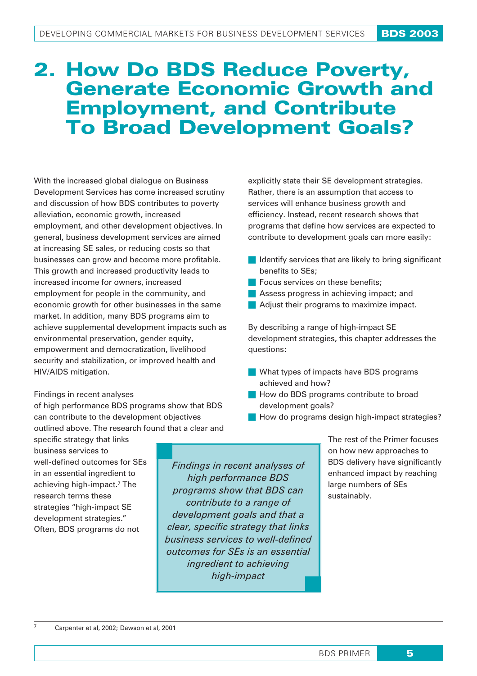## 2. How Do BDS Reduce Poverty, Generate Economic Growth and Employment, and Contribute To Broad Development Goals?

With the increased global dialogue on Business Development Services has come increased scrutiny and discussion of how BDS contributes to poverty alleviation, economic growth, increased employment, and other development objectives. In general, business development services are aimed at increasing SE sales, or reducing costs so that businesses can grow and become more profitable. This growth and increased productivity leads to increased income for owners, increased employment for people in the community, and economic growth for other businesses in the same market. In addition, many BDS programs aim to achieve supplemental development impacts such as environmental preservation, gender equity, empowerment and democratization, livelihood security and stabilization, or improved health and HIV/AIDS mitigation.

#### Findings in recent analyses

of high performance BDS programs show that BDS can contribute to the development objectives outlined above. The research found that a clear and

specific strategy that links business services to well-defined outcomes for SEs in an essential ingredient to achieving high-impact.7 The research terms these strategies "high-impact SE development strategies." Often, BDS programs do not

*Findings in recent analyses of high performance BDS programs show that BDS can contribute to a range of development goals and that a clear, specific strategy that links business services to well-defined outcomes for SEs is an essential ingredient to achieving high-impact*

explicitly state their SE development strategies. Rather, there is an assumption that access to services will enhance business growth and efficiency. Instead, recent research shows that programs that define how services are expected to contribute to development goals can more easily:

- $\blacksquare$  Identify services that are likely to bring significant benefits to SEs;
- $\blacksquare$  Focus services on these benefits:
- **Assess progress in achieving impact; and**
- Adjust their programs to maximize impact.

By describing a range of high-impact SE development strategies, this chapter addresses the questions:

- What types of impacts have BDS programs achieved and how?
- **How do BDS programs contribute to broad** development goals?
- How do programs design high-impact strategies?

The rest of the Primer focuses on how new approaches to BDS delivery have significantly enhanced impact by reaching large numbers of SEs sustainably.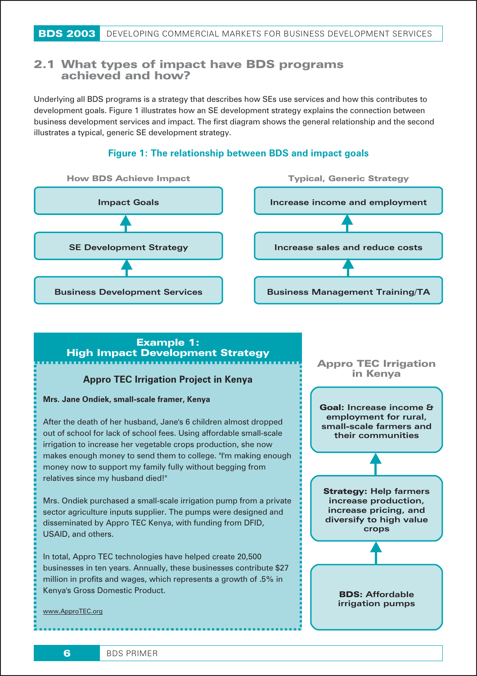## 2.1 **What types of impact have BDS programs achieved and how?**

Underlying all BDS programs is a strategy that describes how SEs use services and how this contributes to development goals. Figure 1 illustrates how an SE development strategy explains the connection between business development services and impact. The first diagram shows the general relationship and the second illustrates a typical, generic SE development strategy.



#### **Figure 1: The relationship between BDS and impact goals**

## Example 1: High Impact Development Strategy

#### **Appro TEC Irrigation Project in Kenya**

#### **Mrs. Jane Ondiek, small-scale framer, Kenya**

Business Development Services

After the death of her husband, Jane's 6 children almost dropped out of school for lack of school fees. Using affordable small-scale irrigation to increase her vegetable crops production, she now makes enough money to send them to college. "I'm making enough money now to support my family fully without begging from relatives since my husband died!"

Mrs. Ondiek purchased a small-scale irrigation pump from a private sector agriculture inputs supplier. The pumps were designed and disseminated by Appro TEC Kenya, with funding from DFID, USAID, and others.

In total, Appro TEC technologies have helped create 20,500 businesses in ten years. Annually, these businesses contribute \$27 million in profits and wages, which represents a growth of .5% in Kenya's Gross Domestic Product.

#### www.ApproTEC.org



Business Management Training/TA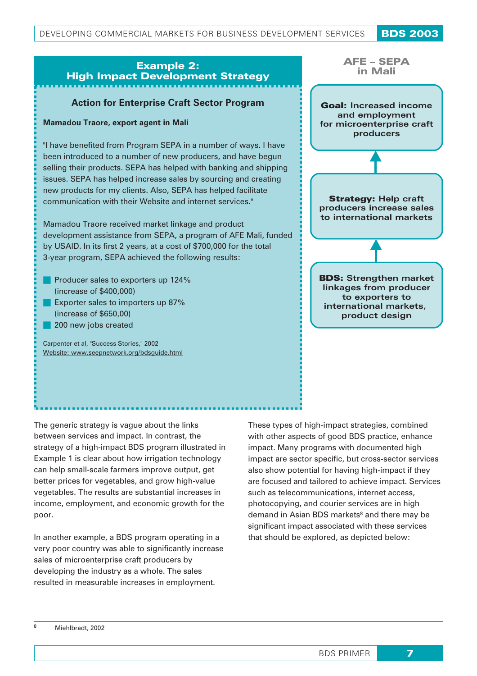## Example 2: High Impact Development Strategy

#### **Action for Enterprise Craft Sector Program**

#### **Mamadou Traore, export agent in Mali**

"I have benefited from Program SEPA in a number of ways. I have been introduced to a number of new producers, and have begun selling their products. SEPA has helped with banking and shipping issues. SEPA has helped increase sales by sourcing and creating new products for my clients. Also, SEPA has helped facilitate communication with their Website and internet services."

Mamadou Traore received market linkage and product development assistance from SEPA, a program of AFE Mali, funded by USAID. In its first 2 years, at a cost of \$700,000 for the total 3-year program, SEPA achieved the following results:

- Producer sales to exporters up 124% (increase of \$400,000)
- **Exporter sales to importers up 87%** (increase of \$650,00)
- 200 new jobs created

Carpenter et al, "Success Stories," 2002 Website: www.seepnetwork.org/bdsguide.html



The generic strategy is vague about the links between services and impact. In contrast, the strategy of a high-impact BDS program illustrated in Example 1 is clear about how irrigation technology can help small-scale farmers improve output, get better prices for vegetables, and grow high-value vegetables. The results are substantial increases in income, employment, and economic growth for the poor.

In another example, a BDS program operating in a very poor country was able to significantly increase sales of microenterprise craft producers by developing the industry as a whole. The sales resulted in measurable increases in employment.

These types of high-impact strategies, combined with other aspects of good BDS practice, enhance impact. Many programs with documented high impact are sector specific, but cross-sector services also show potential for having high-impact if they are focused and tailored to achieve impact. Services such as telecommunications, internet access, photocopying, and courier services are in high demand in Asian BDS markets<sup>8</sup> and there may be significant impact associated with these services that should be explored, as depicted below: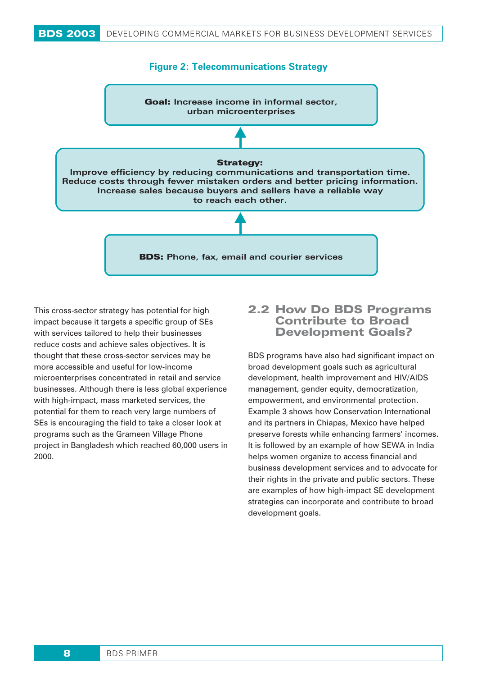

This cross-sector strategy has potential for high impact because it targets a specific group of SEs with services tailored to help their businesses reduce costs and achieve sales objectives. It is thought that these cross-sector services may be more accessible and useful for low-income microenterprises concentrated in retail and service businesses. Although there is less global experience with high-impact, mass marketed services, the potential for them to reach very large numbers of SEs is encouraging the field to take a closer look at programs such as the Grameen Village Phone project in Bangladesh which reached 60,000 users in 2000.

## 2.2 **How Do BDS Programs Contribute to Broad Development Goals?**

BDS programs have also had significant impact on broad development goals such as agricultural development, health improvement and HIV/AIDS management, gender equity, democratization, empowerment, and environmental protection. Example 3 shows how Conservation International and its partners in Chiapas, Mexico have helped preserve forests while enhancing farmers' incomes. It is followed by an example of how SEWA in India helps women organize to access financial and business development services and to advocate for their rights in the private and public sectors. These are examples of how high-impact SE development strategies can incorporate and contribute to broad development goals.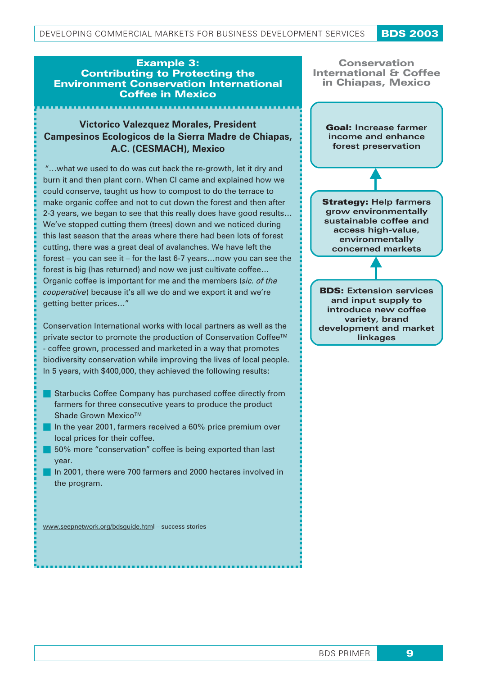#### Example 3: Contributing to Protecting the Environment Conservation International Coffee in Mexico

## **Victorico Valezquez Morales, President Campesinos Ecologicos de la Sierra Madre de Chiapas, A.C. (CESMACH), Mexico**

"…what we used to do was cut back the re-growth, let it dry and burn it and then plant corn. When CI came and explained how we could conserve, taught us how to compost to do the terrace to make organic coffee and not to cut down the forest and then after 2-3 years, we began to see that this really does have good results… We've stopped cutting them (trees) down and we noticed during this last season that the areas where there had been lots of forest cutting, there was a great deal of avalanches. We have left the forest – you can see it – for the last 6-7 years…now you can see the forest is big (has returned) and now we just cultivate coffee… Organic coffee is important for me and the members (*sic. of the cooperative*) because it's all we do and we export it and we're getting better prices…"

Conservation International works with local partners as well as the private sector to promote the production of Conservation Coffee™ - coffee grown, processed and marketed in a way that promotes biodiversity conservation while improving the lives of local people. In 5 years, with \$400,000, they achieved the following results:

- Starbucks Coffee Company has purchased coffee directly from farmers for three consecutive years to produce the product Shade Grown Mexico™
- In the year 2001, farmers received a 60% price premium over local prices for their coffee.
- **50%** more "conservation" coffee is being exported than last year.
- In 2001, there were 700 farmers and 2000 hectares involved in the program.

www.seepnetwork.org/bdsguide.html – success stories



BDS PRIMER 9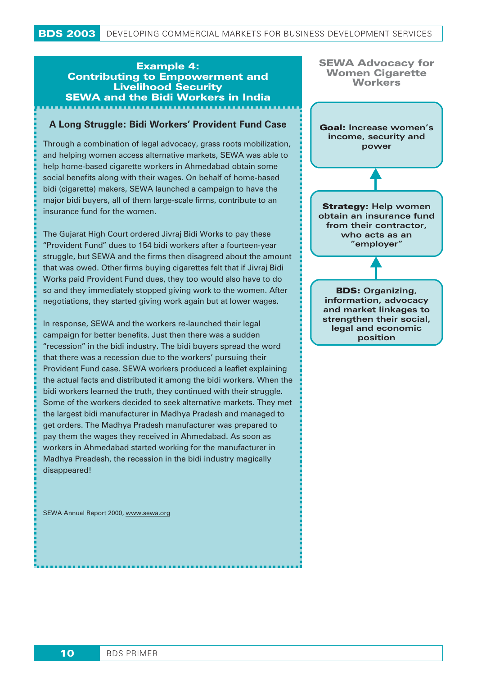## Example 4: Contributing to Empowerment and Livelihood Security SEWA and the Bidi Workers in India

#### **A Long Struggle: Bidi Workers' Provident Fund Case**

Through a combination of legal advocacy, grass roots mobilization, and helping women access alternative markets, SEWA was able to help home-based cigarette workers in Ahmedabad obtain some social benefits along with their wages. On behalf of home-based bidi (cigarette) makers, SEWA launched a campaign to have the major bidi buyers, all of them large-scale firms, contribute to an insurance fund for the women.

The Gujarat High Court ordered Jivraj Bidi Works to pay these "Provident Fund" dues to 154 bidi workers after a fourteen-year struggle, but SEWA and the firms then disagreed about the amount that was owed. Other firms buying cigarettes felt that if Jivraj Bidi Works paid Provident Fund dues, they too would also have to do so and they immediately stopped giving work to the women. After negotiations, they started giving work again but at lower wages.

In response, SEWA and the workers re-launched their legal campaign for better benefits. Just then there was a sudden "recession" in the bidi industry. The bidi buyers spread the word that there was a recession due to the workers' pursuing their Provident Fund case. SEWA workers produced a leaflet explaining the actual facts and distributed it among the bidi workers. When the bidi workers learned the truth, they continued with their struggle. Some of the workers decided to seek alternative markets. They met the largest bidi manufacturer in Madhya Pradesh and managed to get orders. The Madhya Pradesh manufacturer was prepared to pay them the wages they received in Ahmedabad. As soon as workers in Ahmedabad started working for the manufacturer in Madhya Preadesh, the recession in the bidi industry magically disappeared!

SEWA Annual Report 2000, www.sewa.org

| Workers                                                                                                                      |  |  |  |  |
|------------------------------------------------------------------------------------------------------------------------------|--|--|--|--|
| Goal: Increase women's<br>income, security and<br>power                                                                      |  |  |  |  |
|                                                                                                                              |  |  |  |  |
| <b>Strategy: Help women</b><br>obtain an insurance fund<br>from their contractor,<br>who acts as an<br>"employer"            |  |  |  |  |
|                                                                                                                              |  |  |  |  |
| <b>BDS: Organizing,</b><br>information, advocacy<br>and market linkages to<br>strengthen their social,<br>legal and economic |  |  |  |  |

SEWA Advocacy for Women Cigarette

position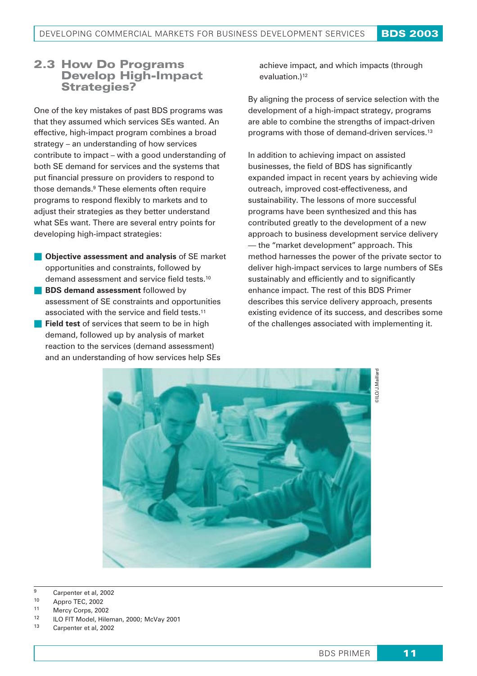## 2.3 **How Do Programs Develop High-Impact Strategies?**

One of the key mistakes of past BDS programs was that they assumed which services SEs wanted. An effective, high-impact program combines a broad strategy – an understanding of how services contribute to impact – with a good understanding of both SE demand for services and the systems that put financial pressure on providers to respond to those demands.9 These elements often require programs to respond flexibly to markets and to adjust their strategies as they better understand what SEs want. There are several entry points for developing high-impact strategies:

- **Cobjective assessment and analysis** of SE market opportunities and constraints, followed by demand assessment and service field tests.10
- **BDS demand assessment** followed by assessment of SE constraints and opportunities associated with the service and field tests.11
- **Field test** of services that seem to be in high demand, followed up by analysis of market reaction to the services (demand assessment) and an understanding of how services help SEs

achieve impact, and which impacts (through evaluation.)<sup>12</sup>

By aligning the process of service selection with the development of a high-impact strategy, programs are able to combine the strengths of impact-driven programs with those of demand-driven services.13

In addition to achieving impact on assisted businesses, the field of BDS has significantly expanded impact in recent years by achieving wide outreach, improved cost-effectiveness, and sustainability. The lessons of more successful programs have been synthesized and this has contributed greatly to the development of a new approach to business development service delivery — the "market development" approach. This method harnesses the power of the private sector to deliver high-impact services to large numbers of SEs sustainably and efficiently and to significantly enhance impact. The rest of this BDS Primer describes this service delivery approach, presents existing evidence of its success, and describes some of the challenges associated with implementing it.



<sup>9</sup> Carpenter et al, 2002

- 10 Appro TEC, 2002
- 11 Mercy Corps, 2002
- <sup>12</sup> ILO FIT Model, Hileman, 2000; McVay 2001
- <sup>13</sup> Carpenter et al, 2002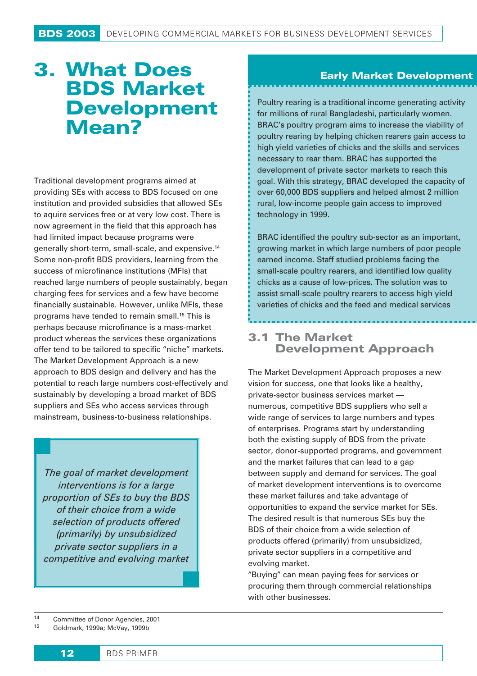## 3. What Does BDS Market Development Mean?

Traditional development programs aimed at providing SEs with access to BDS focused on one institution and provided subsidies that allowed SEs to aquire services free or at very low cost. There is now agreement in the field that this approach has had limited impact because programs were generally short-term, small-scale, and expensive.14 Some non-profit BDS providers, learning from the success of microfinance institutions (MFIs) that reached large numbers of people sustainably, began charging fees for services and a few have become financially sustainable. However, unlike MFIs, these programs have tended to remain small.15 This is perhaps because microfinance is a mass-market product whereas the services these organizations offer tend to be tailored to specific "niche" markets. The Market Development Approach is a new approach to BDS design and delivery and has the potential to reach large numbers cost-effectively and sustainably by developing a broad market of BDS suppliers and SEs who access services through mainstream, business-to-business relationships.

*The goal of market development interventions is for a large proportion of SEs to buy the BDS of their choice from a wide selection of products offered (primarily) by unsubsidized private sector suppliers in a competitive and evolving market*

## Early Market Development

Poultry rearing is a traditional income generating activity for millions of rural Bangladeshi, particularly women. BRAC's poultry program aims to increase the viability of poultry rearing by helping chicken rearers gain access to high yield varieties of chicks and the skills and services necessary to rear them. BRAC has supported the development of private sector markets to reach this goal. With this strategy, BRAC developed the capacity of over 60,000 BDS suppliers and helped almost 2 million rural, low-income people gain access to improved technology in 1999.

BRAC identified the poultry sub-sector as an important, growing market in which large numbers of poor people earned income. Staff studied problems facing the small-scale poultry rearers, and identified low quality chicks as a cause of low-prices. The solution was to assist small-scale poultry rearers to access high yield varieties of chicks and the feed and medical services

## 3.1 **The Market Development Approach**

The Market Development Approach proposes a new vision for success, one that looks like a healthy, private-sector business services market numerous, competitive BDS suppliers who sell a wide range of services to large numbers and types of enterprises. Programs start by understanding both the existing supply of BDS from the private sector, donor-supported programs, and government and the market failures that can lead to a gap between supply and demand for services. The goal of market development interventions is to overcome these market failures and take advantage of opportunities to expand the service market for SEs. The desired result is that numerous SEs buy the BDS of their choice from a wide selection of products offered (primarily) from unsubsidized, private sector suppliers in a competitive and evolving market.

"Buying" can mean paying fees for services or procuring them through commercial relationships with other businesses.

<sup>15</sup> Goldmark, 1999a; McVay, 1999b

<sup>14</sup> Committee of Donor Agencies, 2001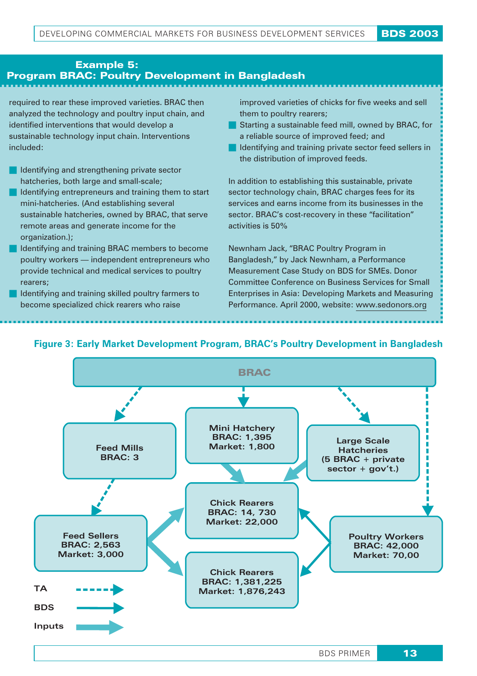## Example 5: Program **BRAC: Poultry Development in Bangladesh**

required to rear these improved varieties. BRAC then analyzed the technology and poultry input chain, and identified interventions that would develop a sustainable technology input chain. Interventions included:

- **ID** Identifying and strengthening private sector hatcheries, both large and small-scale;
- I Identifying entrepreneurs and training them to start mini-hatcheries. (And establishing several sustainable hatcheries, owned by BRAC, that serve remote areas and generate income for the organization.);
- **In Identifying and training BRAC members to become** poultry workers — independent entrepreneurs who provide technical and medical services to poultry rearers;
- I Identifying and training skilled poultry farmers to become specialized chick rearers who raise

improved varieties of chicks for five weeks and sell them to poultry rearers;

- Starting a sustainable feed mill, owned by BRAC, for a reliable source of improved feed; and
- I Identifying and training private sector feed sellers in the distribution of improved feeds.

In addition to establishing this sustainable, private sector technology chain, BRAC charges fees for its services and earns income from its businesses in the sector. BRAC's cost-recovery in these "facilitation" activities is 50%

Newnham Jack, "BRAC Poultry Program in Bangladesh," by Jack Newnham, a Performance Measurement Case Study on BDS for SMEs. Donor Committee Conference on Business Services for Small Enterprises in Asia: Developing Markets and Measuring Performance. April 2000, website: www.sedonors.org

## **Figure 3: Early Market Development Program, BRAC's Poultry Development in Bangladesh**

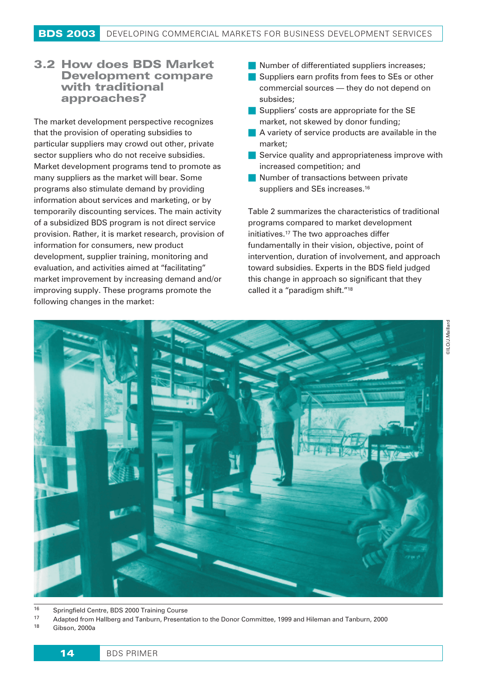## 3.2 **How does BDS Market Development compare with traditional approaches?**

The market development perspective recognizes that the provision of operating subsidies to particular suppliers may crowd out other, private sector suppliers who do not receive subsidies. Market development programs tend to promote as many suppliers as the market will bear. Some programs also stimulate demand by providing information about services and marketing, or by temporarily discounting services. The main activity of a subsidized BDS program is not direct service provision. Rather, it is market research, provision of information for consumers, new product development, supplier training, monitoring and evaluation, and activities aimed at "facilitating" market improvement by increasing demand and/or improving supply. These programs promote the following changes in the market:

- **Number of differentiated suppliers increases:**
- Suppliers earn profits from fees to SEs or other commercial sources — they do not depend on subsides;
- Suppliers' costs are appropriate for the SE market, not skewed by donor funding;
- A variety of service products are available in the market;
- Service quality and appropriateness improve with increased competition; and
- **Number of transactions between private** suppliers and SEs increases.<sup>16</sup>

Table 2 summarizes the characteristics of traditional programs compared to market development initiatives.17 The two approaches differ fundamentally in their vision, objective, point of intervention, duration of involvement, and approach toward subsidies. Experts in the BDS field judged this change in approach so significant that they called it a "paradigm shift."18



16 Springfield Centre, BDS 2000 Training Course<br>17 Adopted from Hollborg and Taphura, Procents

<sup>17</sup> Adapted from Hallberg and Tanburn, Presentation to the Donor Committee, 1999 and Hileman and Tanburn, 2000

Gibson, 2000a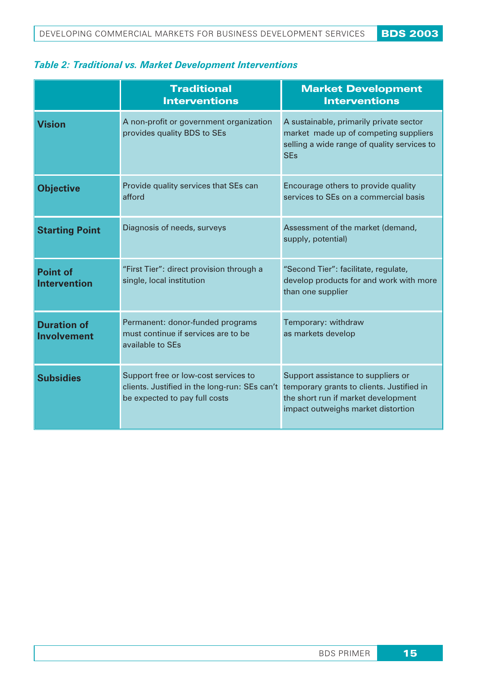## *Table 2: Traditional vs. Market Development Interventions*

|                                          | <b>Traditional</b><br><b>Interventions</b>                                                                             | <b>Market Development</b><br><b>Interventions</b>                                                                                                            |
|------------------------------------------|------------------------------------------------------------------------------------------------------------------------|--------------------------------------------------------------------------------------------------------------------------------------------------------------|
| <b>Vision</b>                            | A non-profit or government organization<br>provides quality BDS to SEs                                                 | A sustainable, primarily private sector<br>market made up of competing suppliers<br>selling a wide range of quality services to<br><b>SEs</b>                |
| <b>Objective</b>                         | Provide quality services that SEs can<br>afford                                                                        | Encourage others to provide quality<br>services to SEs on a commercial basis                                                                                 |
| <b>Starting Point</b>                    | Diagnosis of needs, surveys                                                                                            | Assessment of the market (demand,<br>supply, potential)                                                                                                      |
| <b>Point of</b><br><b>Intervention</b>   | "First Tier": direct provision through a<br>single, local institution                                                  | "Second Tier": facilitate, regulate,<br>develop products for and work with more<br>than one supplier                                                         |
| <b>Duration of</b><br><b>Involvement</b> | Permanent: donor-funded programs<br>must continue if services are to be<br>available to SEs                            | Temporary: withdraw<br>as markets develop                                                                                                                    |
| <b>Subsidies</b>                         | Support free or low-cost services to<br>clients. Justified in the long-run: SEs can't<br>be expected to pay full costs | Support assistance to suppliers or<br>temporary grants to clients. Justified in<br>the short run if market development<br>impact outweighs market distortion |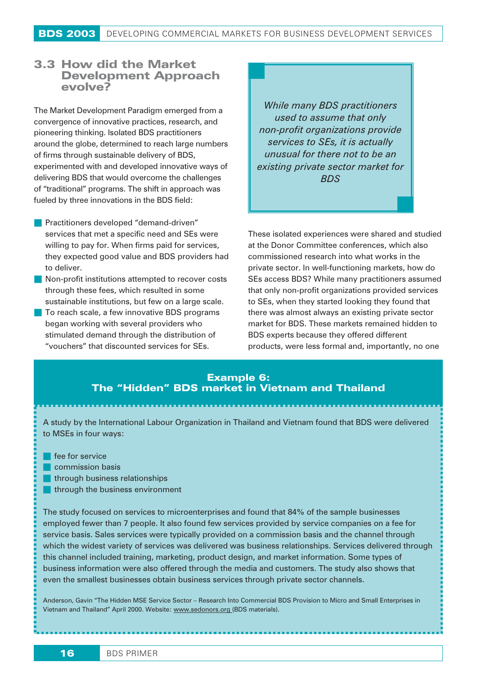### 3.3 **How did the Market Development Approach evolve?**

The Market Development Paradigm emerged from a convergence of innovative practices, research, and pioneering thinking. Isolated BDS practitioners around the globe, determined to reach large numbers of firms through sustainable delivery of BDS, experimented with and developed innovative ways of delivering BDS that would overcome the challenges of "traditional" programs. The shift in approach was fueled by three innovations in the BDS field:

- **Practitioners developed "demand-driven"** services that met a specific need and SEs were willing to pay for. When firms paid for services, they expected good value and BDS providers had to deliver.
- Non-profit institutions attempted to recover costs through these fees, which resulted in some sustainable institutions, but few on a large scale.
- **T** To reach scale, a few innovative BDS programs began working with several providers who stimulated demand through the distribution of "vouchers" that discounted services for SEs.

*While many BDS practitioners used to assume that only non-profit organizations provide services to SEs, it is actually unusual for there not to be an existing private sector market for BDS*

These isolated experiences were shared and studied at the Donor Committee conferences, which also commissioned research into what works in the private sector. In well-functioning markets, how do SEs access BDS? While many practitioners assumed that only non-profit organizations provided services to SEs, when they started looking they found that there was almost always an existing private sector market for BDS. These markets remained hidden to BDS experts because they offered different products, were less formal and, importantly, no one

#### *Example 6: The "Hidden" BDS market in Vietnam and Thailand*

A study by the International Labour Organization in Thailand and Vietnam found that BDS were delivered to MSEs in four ways:

- **fee for service**
- **Commission basis**
- through business relationships
- **through the business environment**

The study focused on services to microenterprises and found that 84% of the sample businesses employed fewer than 7 people. It also found few services provided by service companies on a fee for service basis. Sales services were typically provided on a commission basis and the channel through which the widest variety of services was delivered was business relationships. Services delivered through this channel included training, marketing, product design, and market information. Some types of business information were also offered through the media and customers. The study also shows that even the smallest businesses obtain business services through private sector channels.

Anderson, Gavin "The Hidden MSE Service Sector – Research Into Commercial BDS Provision to Micro and Small Enterprises in Vietnam and Thailand" April 2000. Website: www.sedonors.org (BDS materials).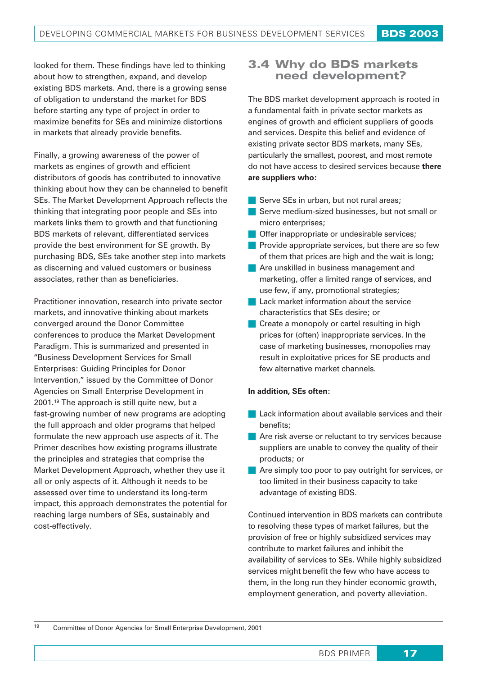looked for them. These findings have led to thinking about how to strengthen, expand, and develop existing BDS markets. And, there is a growing sense of obligation to understand the market for BDS before starting any type of project in order to maximize benefits for SEs and minimize distortions in markets that already provide benefits.

Finally, a growing awareness of the power of markets as engines of growth and efficient distributors of goods has contributed to innovative thinking about how they can be channeled to benefit SEs. The Market Development Approach reflects the thinking that integrating poor people and SEs into markets links them to growth and that functioning BDS markets of relevant, differentiated services provide the best environment for SE growth. By purchasing BDS, SEs take another step into markets as discerning and valued customers or business associates, rather than as beneficiaries.

Practitioner innovation, research into private sector markets, and innovative thinking about markets converged around the Donor Committee conferences to produce the Market Development Paradigm. This is summarized and presented in "Business Development Services for Small Enterprises: Guiding Principles for Donor Intervention," issued by the Committee of Donor Agencies on Small Enterprise Development in 2001.19 The approach is still quite new, but a fast-growing number of new programs are adopting the full approach and older programs that helped formulate the new approach use aspects of it. The Primer describes how existing programs illustrate the principles and strategies that comprise the Market Development Approach, whether they use it all or only aspects of it. Although it needs to be assessed over time to understand its long-term impact, this approach demonstrates the potential for reaching large numbers of SEs, sustainably and cost-effectively.

## 3.4 Why do BDS markets need development?

The BDS market development approach is rooted in a fundamental faith in private sector markets as engines of growth and efficient suppliers of goods and services. Despite this belief and evidence of existing private sector BDS markets, many SEs, particularly the smallest, poorest, and most remote do not have access to desired services because **there are suppliers who:**

- Serve SEs in urban, but not rural areas;
- Serve medium-sized businesses, but not small or micro enterprises;
- **Offer inappropriate or undesirable services;**
- **Provide appropriate services, but there are so few** of them that prices are high and the wait is long;
- **Are unskilled in business management and** marketing, offer a limited range of services, and use few, if any, promotional strategies;
- **Lack market information about the service** characteristics that SEs desire; or
- Create a monopoly or cartel resulting in high prices for (often) inappropriate services. In the case of marketing businesses, monopolies may result in exploitative prices for SE products and few alternative market channels.

#### **In addition, SEs often:**

- **Lack information about available services and their** benefits;
- Are risk averse or reluctant to try services because suppliers are unable to convey the quality of their products; or
- Are simply too poor to pay outright for services, or too limited in their business capacity to take advantage of existing BDS.

Continued intervention in BDS markets can contribute to resolving these types of market failures, but the provision of free or highly subsidized services may contribute to market failures and inhibit the availability of services to SEs. While highly subsidized services might benefit the few who have access to them, in the long run they hinder economic growth, employment generation, and poverty alleviation.

<sup>19</sup> Committee of Donor Agencies for Small Enterprise Development, 2001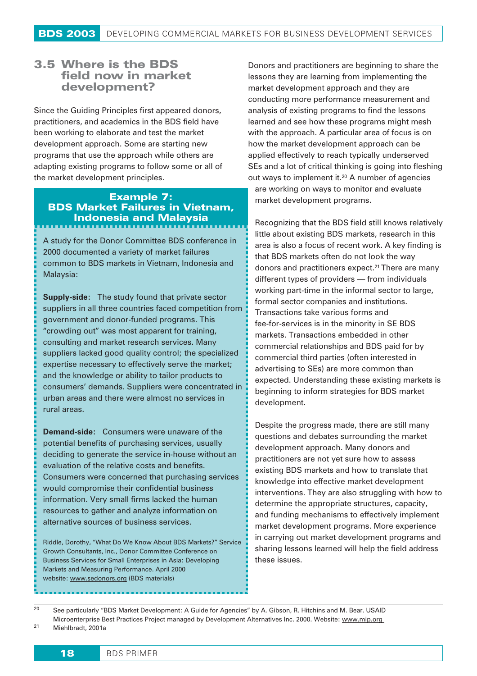## **3.5 Where is the BDS field now in market development?**

Since the Guiding Principles first appeared donors, practitioners, and academics in the BDS field have been working to elaborate and test the market development approach. Some are starting new programs that use the approach while others are adapting existing programs to follow some or all of the market development principles.

#### *Example 7: BDS Market Failures in Vietnam, Indonesia and Malaysia*

A study for the Donor Committee BDS conference in 2000 documented a variety of market failures common to BDS markets in Vietnam, Indonesia and Malaysia:

**Supply-side:** The study found that private sector suppliers in all three countries faced competition from government and donor-funded programs. This "crowding out" was most apparent for training, consulting and market research services. Many suppliers lacked good quality control; the specialized expertise necessary to effectively serve the market; and the knowledge or ability to tailor products to consumers' demands. Suppliers were concentrated in urban areas and there were almost no services in rural areas.

**Demand-side:** Consumers were unaware of the potential benefits of purchasing services, usually deciding to generate the service in-house without an evaluation of the relative costs and benefits. Consumers were concerned that purchasing services would compromise their confidential business information. Very small firms lacked the human resources to gather and analyze information on alternative sources of business services.

Riddle, Dorothy, "What Do We Know About BDS Markets?" Service Growth Consultants, Inc., Donor Committee Conference on Business Services for Small Enterprises in Asia: Developing Markets and Measuring Performance. April 2000 website: www.sedonors.org (BDS materials)

Donors and practitioners are beginning to share the lessons they are learning from implementing the market development approach and they are conducting more performance measurement and analysis of existing programs to find the lessons learned and see how these programs might mesh with the approach. A particular area of focus is on how the market development approach can be applied effectively to reach typically underserved SEs and a lot of critical thinking is going into fleshing out ways to implement it.20 A number of agencies

are working on ways to monitor and evaluate market development programs.

Recognizing that the BDS field still knows relatively little about existing BDS markets, research in this area is also a focus of recent work. A key finding is that BDS markets often do not look the way donors and practitioners expect.<sup>21</sup> There are many different types of providers — from individuals working part-time in the informal sector to large, formal sector companies and institutions. Transactions take various forms and fee-for-services is in the minority in SE BDS markets. Transactions embedded in other commercial relationships and BDS paid for by commercial third parties (often interested in advertising to SEs) are more common than expected. Understanding these existing markets is beginning to inform strategies for BDS market development.

Despite the progress made, there are still many questions and debates surrounding the market development approach. Many donors and practitioners are not yet sure how to assess existing BDS markets and how to translate that knowledge into effective market development interventions. They are also struggling with how to determine the appropriate structures, capacity, and funding mechanisms to effectively implement market development programs. More experience in carrying out market development programs and sharing lessons learned will help the field address these issues.

<sup>20</sup> See particularly "BDS Market Development: A Guide for Agencies" by A. Gibson, R. Hitchins and M. Bear. USAID Microenterprise Best Practices Project managed by Development Alternatives Inc. 2000. Website: www.mip.org <sup>21</sup> Miehlbradt, 2001a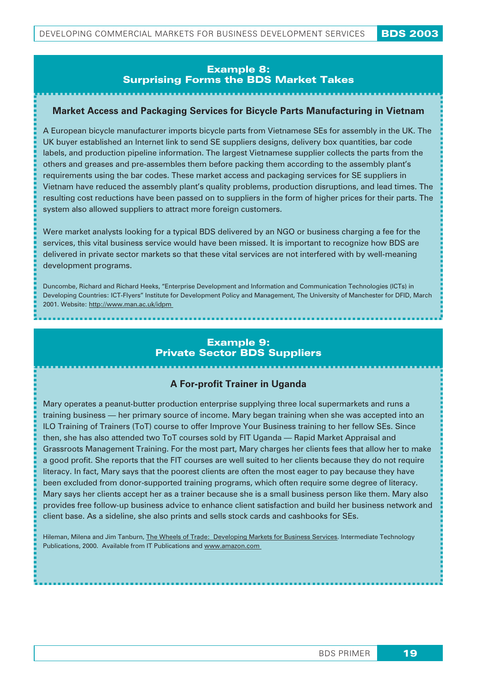#### *Example 8: Surprising Forms the BDS Market Takes*

#### **Market Access and Packaging Services for Bicycle Parts Manufacturing in Vietnam**

A European bicycle manufacturer imports bicycle parts from Vietnamese SEs for assembly in the UK. The UK buyer established an Internet link to send SE suppliers designs, delivery box quantities, bar code labels, and production pipeline information. The largest Vietnamese supplier collects the parts from the others and greases and pre-assembles them before packing them according to the assembly plant's requirements using the bar codes. These market access and packaging services for SE suppliers in Vietnam have reduced the assembly plant's quality problems, production disruptions, and lead times. The resulting cost reductions have been passed on to suppliers in the form of higher prices for their parts. The system also allowed suppliers to attract more foreign customers.

Were market analysts looking for a typical BDS delivered by an NGO or business charging a fee for the services, this vital business service would have been missed. It is important to recognize how BDS are delivered in private sector markets so that these vital services are not interfered with by well-meaning development programs.

Duncombe, Richard and Richard Heeks, "Enterprise Development and Information and Communication Technologies (ICTs) in Developing Countries: ICT-Flyers" Institute for Development Policy and Management, The University of Manchester for DFID, March 2001. Website: http://www.man.ac.uk/idpm

#### *Example 9: Private Sector BDS Suppliers*

#### **A For-profit Trainer in Uganda**

Mary operates a peanut-butter production enterprise supplying three local supermarkets and runs a training business — her primary source of income. Mary began training when she was accepted into an ILO Training of Trainers (ToT) course to offer Improve Your Business training to her fellow SEs. Since then, she has also attended two ToT courses sold by FIT Uganda — Rapid Market Appraisal and Grassroots Management Training. For the most part, Mary charges her clients fees that allow her to make a good profit. She reports that the FIT courses are well suited to her clients because they do not require literacy. In fact, Mary says that the poorest clients are often the most eager to pay because they have been excluded from donor-supported training programs, which often require some degree of literacy. Mary says her clients accept her as a trainer because she is a small business person like them. Mary also provides free follow-up business advice to enhance client satisfaction and build her business network and client base. As a sideline, she also prints and sells stock cards and cashbooks for SEs.

Hileman, Milena and Jim Tanburn, The Wheels of Trade: Developing Markets for Business Services. Intermediate Technology Publications, 2000. Available from IT Publications and www.amazon.com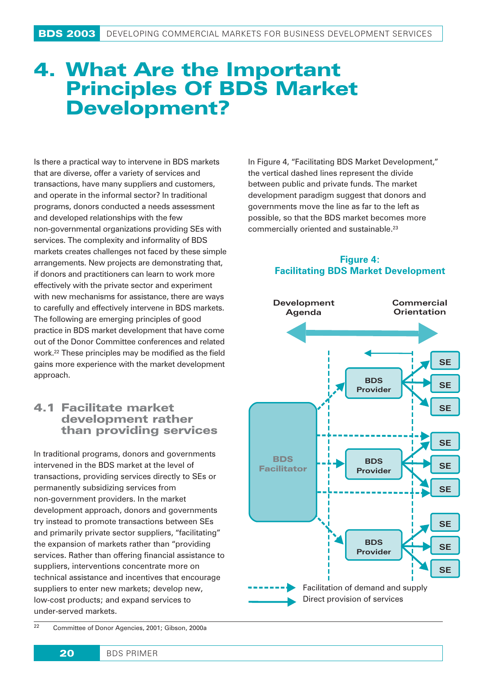## **4. What Are the Important Principles Of BDS Market Development?**

Is there a practical way to intervene in BDS markets that are diverse, offer a variety of services and transactions, have many suppliers and customers, and operate in the informal sector? In traditional programs, donors conducted a needs assessment and developed relationships with the few non-governmental organizations providing SEs with services. The complexity and informality of BDS markets creates challenges not faced by these simple arrangements. New projects are demonstrating that, if donors and practitioners can learn to work more effectively with the private sector and experiment with new mechanisms for assistance, there are ways to carefully and effectively intervene in BDS markets. The following are emerging principles of good practice in BDS market development that have come out of the Donor Committee conferences and related work.22 These principles may be modified as the field gains more experience with the market development approach.

## 4.1 Facilitate market development rather than providing services

In traditional programs, donors and governments intervened in the BDS market at the level of transactions, providing services directly to SEs or permanently subsidizing services from non-government providers. In the market development approach, donors and governments try instead to promote transactions between SEs and primarily private sector suppliers, "facilitating" the expansion of markets rather than "providing services. Rather than offering financial assistance to suppliers, interventions concentrate more on technical assistance and incentives that encourage suppliers to enter new markets; develop new, low-cost products; and expand services to under-served markets.

In Figure 4, "Facilitating BDS Market Development," the vertical dashed lines represent the divide between public and private funds. The market development paradigm suggest that donors and governments move the line as far to the left as possible, so that the BDS market becomes more commercially oriented and sustainable.23

#### **Figure 4: Facilitating BDS Market Development**



<sup>22</sup> Committee of Donor Agencies, 2001; Gibson, 2000a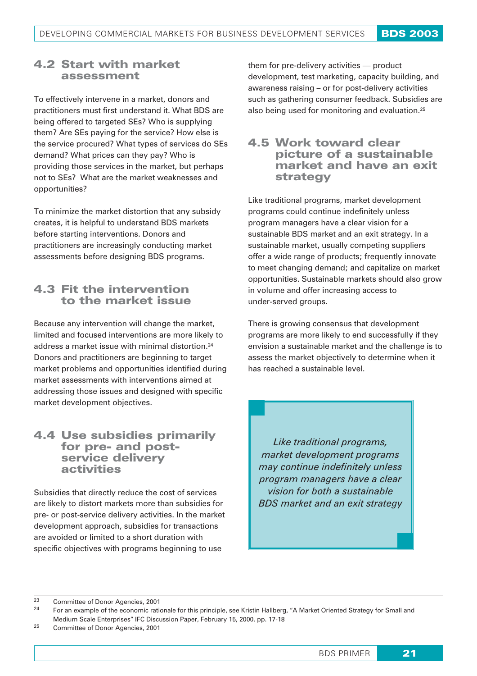## 4.2 **Start with market assessment**

To effectively intervene in a market, donors and practitioners must first understand it. What BDS are being offered to targeted SEs? Who is supplying them? Are SEs paying for the service? How else is the service procured? What types of services do SEs demand? What prices can they pay? Who is providing those services in the market, but perhaps not to SEs? What are the market weaknesses and opportunities?

To minimize the market distortion that any subsidy creates, it is helpful to understand BDS markets before starting interventions. Donors and practitioners are increasingly conducting market assessments before designing BDS programs.

## 4.3 **Fit the intervention to the market issue**

Because any intervention will change the market, limited and focused interventions are more likely to address a market issue with minimal distortion.24 Donors and practitioners are beginning to target market problems and opportunities identified during market assessments with interventions aimed at addressing those issues and designed with specific market development objectives.

## 4.4 Use subsidies primarily for pre- and postservice delivery activities

Subsidies that directly reduce the cost of services are likely to distort markets more than subsidies for pre- or post-service delivery activities. In the market development approach, subsidies for transactions are avoided or limited to a short duration with specific objectives with programs beginning to use

them for pre-delivery activities — product development, test marketing, capacity building, and awareness raising – or for post-delivery activities such as gathering consumer feedback. Subsidies are also being used for monitoring and evaluation.25

## 4.5 **Work toward clear picture of a sustainable market and have an exit strategy**

Like traditional programs, market development programs could continue indefinitely unless program managers have a clear vision for a sustainable BDS market and an exit strategy. In a sustainable market, usually competing suppliers offer a wide range of products; frequently innovate to meet changing demand; and capitalize on market opportunities. Sustainable markets should also grow in volume and offer increasing access to under-served groups.

There is growing consensus that development programs are more likely to end successfully if they envision a sustainable market and the challenge is to assess the market objectively to determine when it has reached a sustainable level.

*Like traditional programs, market development programs may continue indefinitely unless program managers have a clear vision for both a sustainable BDS market and an exit strategy*

<sup>23</sup> Committee of Donor Agencies, 2001

<sup>24</sup> For an example of the economic rationale for this principle, see Kristin Hallberg, "A Market Oriented Strategy for Small and Medium Scale Enterprises" IFC Discussion Paper, February 15, 2000. pp. 17-18

<sup>25</sup> Committee of Donor Agencies, 2001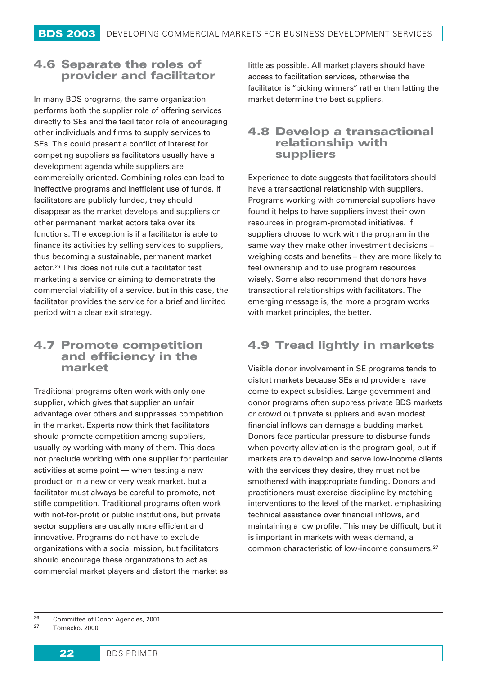## 4.6 **Separate the roles of provider and facilitator**

In many BDS programs, the same organization performs both the supplier role of offering services directly to SEs and the facilitator role of encouraging other individuals and firms to supply services to SEs. This could present a conflict of interest for competing suppliers as facilitators usually have a development agenda while suppliers are commercially oriented. Combining roles can lead to ineffective programs and inefficient use of funds. If facilitators are publicly funded, they should disappear as the market develops and suppliers or other permanent market actors take over its functions. The exception is if a facilitator is able to finance its activities by selling services to suppliers, thus becoming a sustainable, permanent market actor.26 This does not rule out a facilitator test marketing a service or aiming to demonstrate the commercial viability of a service, but in this case, the facilitator provides the service for a brief and limited period with a clear exit strategy.

## 4.7 **Promote competition and efficiency in the market**

Traditional programs often work with only one supplier, which gives that supplier an unfair advantage over others and suppresses competition in the market. Experts now think that facilitators should promote competition among suppliers, usually by working with many of them. This does not preclude working with one supplier for particular activities at some point — when testing a new product or in a new or very weak market, but a facilitator must always be careful to promote, not stifle competition. Traditional programs often work with not-for-profit or public institutions, but private sector suppliers are usually more efficient and innovative. Programs do not have to exclude organizations with a social mission, but facilitators should encourage these organizations to act as commercial market players and distort the market as little as possible. All market players should have access to facilitation services, otherwise the facilitator is "picking winners" rather than letting the market determine the best suppliers.

### 4.8 **Develop a transactional relationship with suppliers**

Experience to date suggests that facilitators should have a transactional relationship with suppliers. Programs working with commercial suppliers have found it helps to have suppliers invest their own resources in program-promoted initiatives. If suppliers choose to work with the program in the same way they make other investment decisions – weighing costs and benefits – they are more likely to feel ownership and to use program resources wisely. Some also recommend that donors have transactional relationships with facilitators. The emerging message is, the more a program works with market principles, the better.

## 4.9 **Tread lightly in markets**

Visible donor involvement in SE programs tends to distort markets because SEs and providers have come to expect subsidies. Large government and donor programs often suppress private BDS markets or crowd out private suppliers and even modest financial inflows can damage a budding market. Donors face particular pressure to disburse funds when poverty alleviation is the program goal, but if markets are to develop and serve low-income clients with the services they desire, they must not be smothered with inappropriate funding. Donors and practitioners must exercise discipline by matching interventions to the level of the market, emphasizing technical assistance over financial inflows, and maintaining a low profile. This may be difficult, but it is important in markets with weak demand, a common characteristic of low-income consumers.27

<sup>&</sup>lt;sup>26</sup> Committee of Donor Agencies, 2001

Tomecko, 2000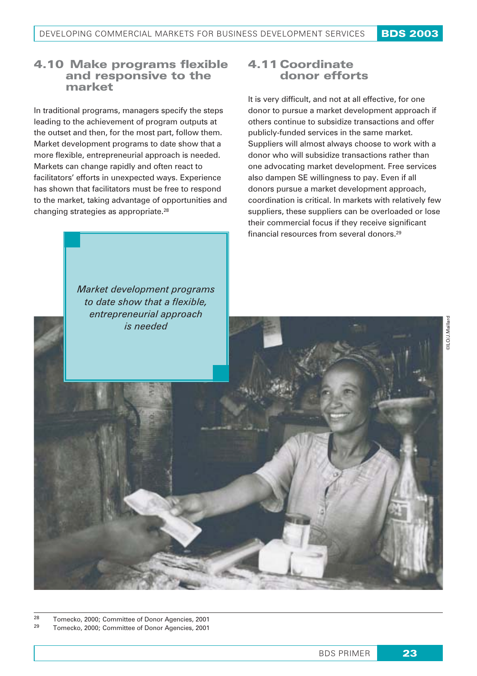## 4.10 **Make programs flexible and responsive to the market**

In traditional programs, managers specify the steps leading to the achievement of program outputs at the outset and then, for the most part, follow them. Market development programs to date show that a more flexible, entrepreneurial approach is needed. Markets can change rapidly and often react to facilitators' efforts in unexpected ways. Experience has shown that facilitators must be free to respond to the market, taking advantage of opportunities and changing strategies as appropriate.28

## 4.11 **Coordinate donor efforts**

It is very difficult, and not at all effective, for one donor to pursue a market development approach if others continue to subsidize transactions and offer publicly-funded services in the same market. Suppliers will almost always choose to work with a donor who will subsidize transactions rather than one advocating market development. Free services also dampen SE willingness to pay. Even if all donors pursue a market development approach, coordination is critical. In markets with relatively few suppliers, these suppliers can be overloaded or lose their commercial focus if they receive significant financial resources from several donors.29

*Market development programs to date show that a flexible, entrepreneurial approach is needed*

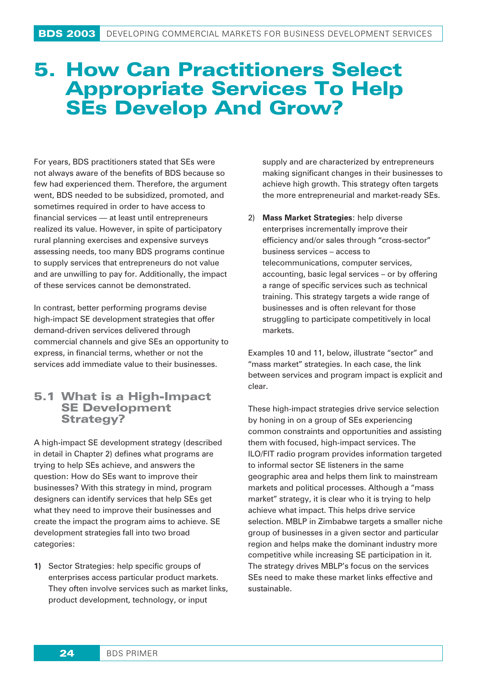## 5. How Can Practitioners Select Appropriate Services To Help SEs Develop And Grow?

For years, BDS practitioners stated that SEs were not always aware of the benefits of BDS because so few had experienced them. Therefore, the argument went, BDS needed to be subsidized, promoted, and sometimes required in order to have access to financial services — at least until entrepreneurs realized its value. However, in spite of participatory rural planning exercises and expensive surveys assessing needs, too many BDS programs continue to supply services that entrepreneurs do not value and are unwilling to pay for. Additionally, the impact of these services cannot be demonstrated.

In contrast, better performing programs devise high-impact SE development strategies that offer demand-driven services delivered through commercial channels and give SEs an opportunity to express, in financial terms, whether or not the services add immediate value to their businesses.

## 5.1 **What is a High-Impact SE Development Strategy?**

A high-impact SE development strategy (described in detail in Chapter 2) defines what programs are trying to help SEs achieve, and answers the question: How do SEs want to improve their businesses? With this strategy in mind, program designers can identify services that help SEs get what they need to improve their businesses and create the impact the program aims to achieve. SE development strategies fall into two broad categories:

**1)** Sector Strategies: help specific groups of enterprises access particular product markets. They often involve services such as market links, product development, technology, or input

supply and are characterized by entrepreneurs making significant changes in their businesses to achieve high growth. This strategy often targets the more entrepreneurial and market-ready SEs.

2) **Mass Market Strategies**: help diverse enterprises incrementally improve their efficiency and/or sales through "cross-sector" business services – access to telecommunications, computer services, accounting, basic legal services – or by offering a range of specific services such as technical training. This strategy targets a wide range of businesses and is often relevant for those struggling to participate competitively in local markets.

Examples 10 and 11, below, illustrate "sector" and "mass market" strategies. In each case, the link between services and program impact is explicit and clear.

These high-impact strategies drive service selection by honing in on a group of SEs experiencing common constraints and opportunities and assisting them with focused, high-impact services. The ILO/FIT radio program provides information targeted to informal sector SE listeners in the same geographic area and helps them link to mainstream markets and political processes. Although a "mass market" strategy, it is clear who it is trying to help achieve what impact. This helps drive service selection. MBLP in Zimbabwe targets a smaller niche group of businesses in a given sector and particular region and helps make the dominant industry more competitive while increasing SE participation in it. The strategy drives MBLP's focus on the services SEs need to make these market links effective and sustainable.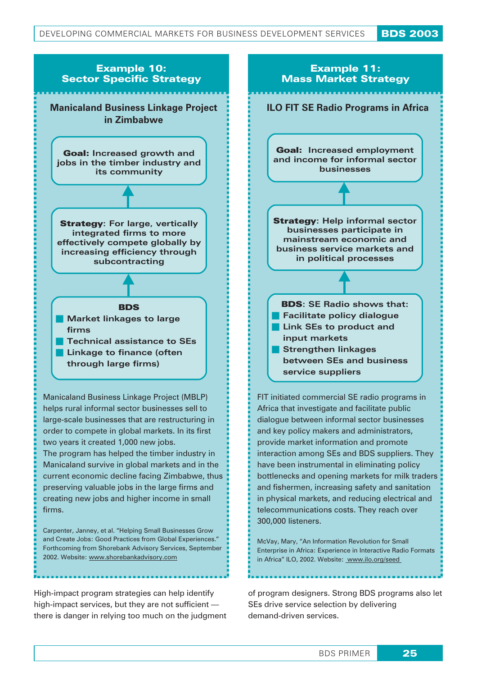

Manicaland survive in global markets and in the current economic decline facing Zimbabwe, thus preserving valuable jobs in the large firms and creating new jobs and higher income in small firms.

Carpenter, Janney, et al. "Helping Small Businesses Grow and Create Jobs: Good Practices from Global Experiences." Forthcoming from Shorebank Advisory Services, September 2002. Website: www.shorebankadvisory.com

High-impact program strategies can help identify high-impact services, but they are not sufficient there is danger in relying too much on the judgment Enterprise in Africa: Experience in Interactive Radio Formats in Africa" ILO, 2002. Website: www.ilo.org/seed

McVay, Mary, "An Information Revolution for Small

have been instrumental in eliminating policy bottlenecks and opening markets for milk traders and fishermen, increasing safety and sanitation in physical markets, and reducing electrical and telecommunications costs. They reach over

300,000 listeners.

of program designers. Strong BDS programs also let SEs drive service selection by delivering demand-driven services.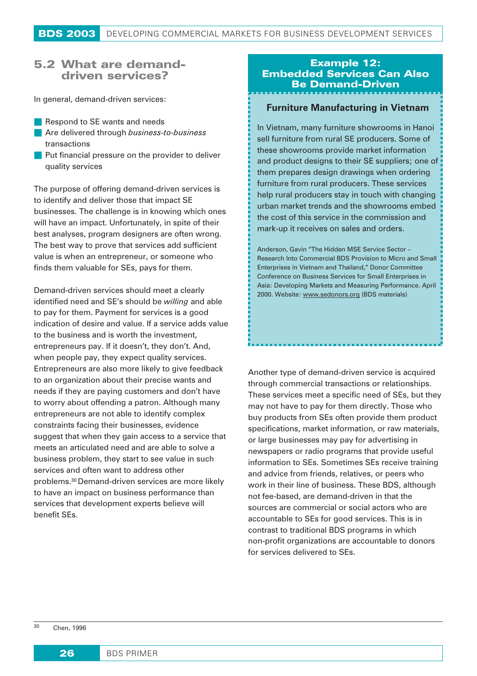#### 5.2 **What are demanddriven services?**

In general, demand-driven services:

- Respond to SE wants and needs
- Are delivered through *business-to-business* transactions
- Put financial pressure on the provider to deliver quality services

The purpose of offering demand-driven services is to identify and deliver those that impact SE businesses. The challenge is in knowing which ones will have an impact. Unfortunately, in spite of their best analyses, program designers are often wrong. The best way to prove that services add sufficient value is when an entrepreneur, or someone who finds them valuable for SEs, pays for them.

Demand-driven services should meet a clearly identified need and SE's should be *willing* and able to pay for them. Payment for services is a good indication of desire and value. If a service adds value to the business and is worth the investment, entrepreneurs pay. If it doesn't, they don't. And, when people pay, they expect quality services. Entrepreneurs are also more likely to give feedback to an organization about their precise wants and needs if they are paying customers and don't have to worry about offending a patron. Although many entrepreneurs are not able to identify complex constraints facing their businesses, evidence suggest that when they gain access to a service that meets an articulated need and are able to solve a business problem, they start to see value in such services and often want to address other problems.30 Demand-driven services are more likely to have an impact on business performance than services that development experts believe will benefit SEs.

### *Example 12: Embedded Services Can Also Be Demand-Driven*

#### **Furniture Manufacturing in Vietnam**

In Vietnam, many furniture showrooms in Hanoi sell furniture from rural SE producers. Some of these showrooms provide market information and product designs to their SE suppliers; one of them prepares design drawings when ordering furniture from rural producers. These services help rural producers stay in touch with changing urban market trends and the showrooms embed the cost of this service in the commission and mark-up it receives on sales and orders.

Anderson, Gavin "The Hidden MSE Service Sector – Research Into Commercial BDS Provision to Micro and Small Enterprises in Vietnam and Thailand," Donor Committee Conference on Business Services for Small Enterprises in Asia: Developing Markets and Measuring Performance. April 2000. Website: www.sedonors.org (BDS materials)

Another type of demand-driven service is acquired through commercial transactions or relationships. These services meet a specific need of SEs, but they may not have to pay for them directly. Those who buy products from SEs often provide them product specifications, market information, or raw materials, or large businesses may pay for advertising in newspapers or radio programs that provide useful information to SEs. Sometimes SEs receive training and advice from friends, relatives, or peers who work in their line of business. These BDS, although not fee-based, are demand-driven in that the sources are commercial or social actors who are accountable to SEs for good services. This is in contrast to traditional BDS programs in which non-profit organizations are accountable to donors for services delivered to SEs.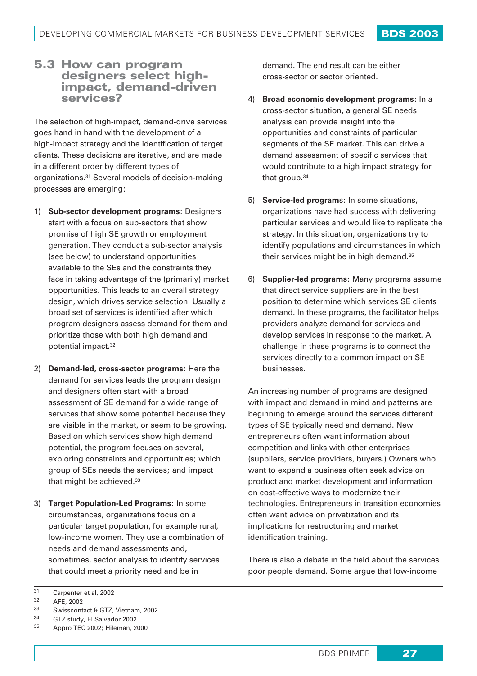#### 5.3 How can program designers select highimpact, demand-driven services?

The selection of high-impact, demand-drive services goes hand in hand with the development of a high-impact strategy and the identification of target clients. These decisions are iterative, and are made in a different order by different types of organizations.31 Several models of decision-making processes are emerging:

- 1) **Sub-sector development programs**: Designers start with a focus on sub-sectors that show promise of high SE growth or employment generation. They conduct a sub-sector analysis (see below) to understand opportunities available to the SEs and the constraints they face in taking advantage of the (primarily) market opportunities. This leads to an overall strategy design, which drives service selection. Usually a broad set of services is identified after which program designers assess demand for them and prioritize those with both high demand and potential impact.32
- 2) **Demand-led, cross-sector programs**: Here the demand for services leads the program design and designers often start with a broad assessment of SE demand for a wide range of services that show some potential because they are visible in the market, or seem to be growing. Based on which services show high demand potential, the program focuses on several, exploring constraints and opportunities; which group of SEs needs the services; and impact that might be achieved.33
- 3) **Target Population-Led Programs**: In some circumstances, organizations focus on a particular target population, for example rural, low-income women. They use a combination of needs and demand assessments and, sometimes, sector analysis to identify services that could meet a priority need and be in

demand. The end result can be either cross-sector or sector oriented.

- 4) **Broad economic development programs**: In a cross-sector situation, a general SE needs analysis can provide insight into the opportunities and constraints of particular segments of the SE market. This can drive a demand assessment of specific services that would contribute to a high impact strategy for that group.34
- 5) **Service-led program**s: In some situations, organizations have had success with delivering particular services and would like to replicate the strategy. In this situation, organizations try to identify populations and circumstances in which their services might be in high demand.35
- 6) **Supplier-led programs**: Many programs assume that direct service suppliers are in the best position to determine which services SE clients demand. In these programs, the facilitator helps providers analyze demand for services and develop services in response to the market. A challenge in these programs is to connect the services directly to a common impact on SE businesses.

An increasing number of programs are designed with impact and demand in mind and patterns are beginning to emerge around the services different types of SE typically need and demand. New entrepreneurs often want information about competition and links with other enterprises (suppliers, service providers, buyers.) Owners who want to expand a business often seek advice on product and market development and information on cost-effective ways to modernize their technologies. Entrepreneurs in transition economies often want advice on privatization and its implications for restructuring and market identification training.

There is also a debate in the field about the services poor people demand. Some argue that low-income

- $33$  Swisscontact & GTZ, Vietnam, 2002
- $34$  GTZ study, El Salvador 2002

 $31$  Carpenter et al, 2002

 $32$  AFE, 2002

Appro TEC 2002; Hileman, 2000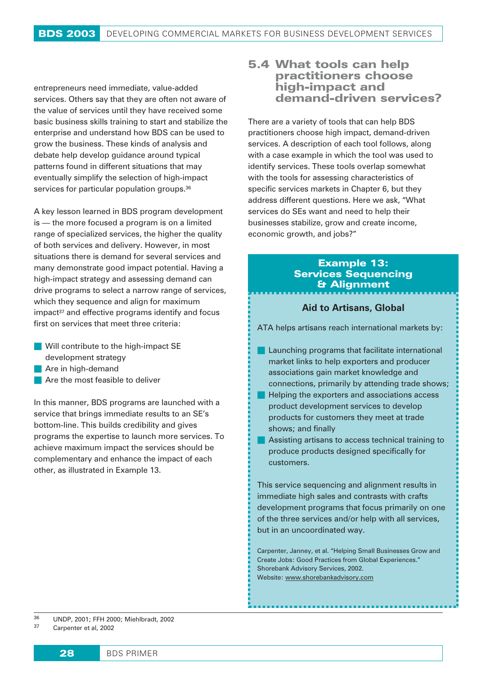entrepreneurs need immediate, value-added services. Others say that they are often not aware of the value of services until they have received some basic business skills training to start and stabilize the enterprise and understand how BDS can be used to grow the business. These kinds of analysis and debate help develop guidance around typical patterns found in different situations that may eventually simplify the selection of high-impact services for particular population groups.<sup>36</sup>

A key lesson learned in BDS program development is — the more focused a program is on a limited range of specialized services, the higher the quality of both services and delivery. However, in most situations there is demand for several services and many demonstrate good impact potential. Having a high-impact strategy and assessing demand can drive programs to select a narrow range of services, which they sequence and align for maximum impact<sup>37</sup> and effective programs identify and focus first on services that meet three criteria:

- Will contribute to the high-impact SE
- development strategy
- Are in high-demand
- **Are the most feasible to deliver**

In this manner, BDS programs are launched with a service that brings immediate results to an SE's bottom-line. This builds credibility and gives programs the expertise to launch more services. To achieve maximum impact the services should be complementary and enhance the impact of each other, as illustrated in Example 13.

## 5.4 **What tools can help practitioners choose high-impact and demand-driven services?**

There are a variety of tools that can help BDS practitioners choose high impact, demand-driven services. A description of each tool follows, along with a case example in which the tool was used to identify services. These tools overlap somewhat with the tools for assessing characteristics of specific services markets in Chapter 6, but they address different questions. Here we ask, "What services do SEs want and need to help their businesses stabilize, grow and create income, economic growth, and jobs?"

#### *Example 13: Services Sequencing & Alignment*

#### **Aid to Artisans, Global**

ATA helps artisans reach international markets by:

- **Launching programs that facilitate international** market links to help exporters and producer associations gain market knowledge and connections, primarily by attending trade shows;
- **Helping the exporters and associations access** product development services to develop products for customers they meet at trade shows; and finally
- **Assisting artisans to access technical training to** produce products designed specifically for customers.

This service sequencing and alignment results in immediate high sales and contrasts with crafts development programs that focus primarily on one of the three services and/or help with all services, but in an uncoordinated way.

Carpenter, Janney, et al. "Helping Small Businesses Grow and Create Jobs: Good Practices from Global Experiences." Shorebank Advisory Services, 2002. Website: www.shorebankadvisory.com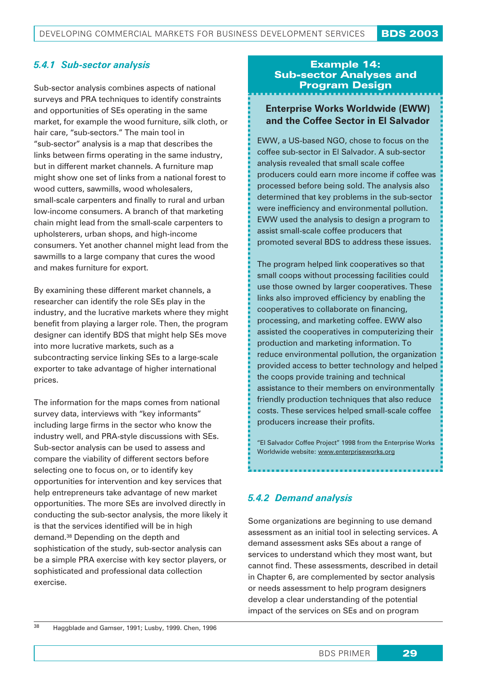## *5.4.1 Sub-sector analysis*

Sub-sector analysis combines aspects of national surveys and PRA techniques to identify constraints and opportunities of SEs operating in the same market, for example the wood furniture, silk cloth, or hair care, "sub-sectors." The main tool in "sub-sector" analysis is a map that describes the links between firms operating in the same industry, but in different market channels. A furniture map might show one set of links from a national forest to wood cutters, sawmills, wood wholesalers, small-scale carpenters and finally to rural and urban low-income consumers. A branch of that marketing chain might lead from the small-scale carpenters to upholsterers, urban shops, and high-income consumers. Yet another channel might lead from the sawmills to a large company that cures the wood and makes furniture for export.

By examining these different market channels, a researcher can identify the role SEs play in the industry, and the lucrative markets where they might benefit from playing a larger role. Then, the program designer can identify BDS that might help SEs move into more lucrative markets, such as a subcontracting service linking SEs to a large-scale exporter to take advantage of higher international prices.

The information for the maps comes from national survey data, interviews with "key informants" including large firms in the sector who know the industry well, and PRA-style discussions with SEs. Sub-sector analysis can be used to assess and compare the viability of different sectors before selecting one to focus on, or to identify key opportunities for intervention and key services that help entrepreneurs take advantage of new market opportunities. The more SEs are involved directly in conducting the sub-sector analysis, the more likely it is that the services identified will be in high demand.38 Depending on the depth and sophistication of the study, sub-sector analysis can be a simple PRA exercise with key sector players, or sophisticated and professional data collection exercise.

# Example 14: Sub-sector Analyses and Program Design

# **Enterprise Works Worldwide (EWW) and the Coffee Sector in El Salvador**

EWW, a US-based NGO, chose to focus on the coffee sub-sector in El Salvador. A sub-sector analysis revealed that small scale coffee producers could earn more income if coffee was processed before being sold. The analysis also determined that key problems in the sub-sector were inefficiency and environmental pollution. EWW used the analysis to design a program to assist small-scale coffee producers that promoted several BDS to address these issues.

The program helped link cooperatives so that small coops without processing facilities could use those owned by larger cooperatives. These links also improved efficiency by enabling the cooperatives to collaborate on financing, processing, and marketing coffee. EWW also assisted the cooperatives in computerizing their production and marketing information. To reduce environmental pollution, the organization provided access to better technology and helped the coops provide training and technical assistance to their members on environmentally friendly production techniques that also reduce costs. These services helped small-scale coffee producers increase their profits.

"El Salvador Coffee Project" 1998 from the Enterprise Works Worldwide website: www.enterpriseworks.org

# *5.4.2 Demand analysis*

Some organizations are beginning to use demand assessment as an initial tool in selecting services. A demand assessment asks SEs about a range of services to understand which they most want, but cannot find. These assessments, described in detail in Chapter 6, are complemented by sector analysis or needs assessment to help program designers develop a clear understanding of the potential impact of the services on SEs and on program

<sup>38</sup> Haggblade and Gamser, 1991; Lusby, 1999. Chen, 1996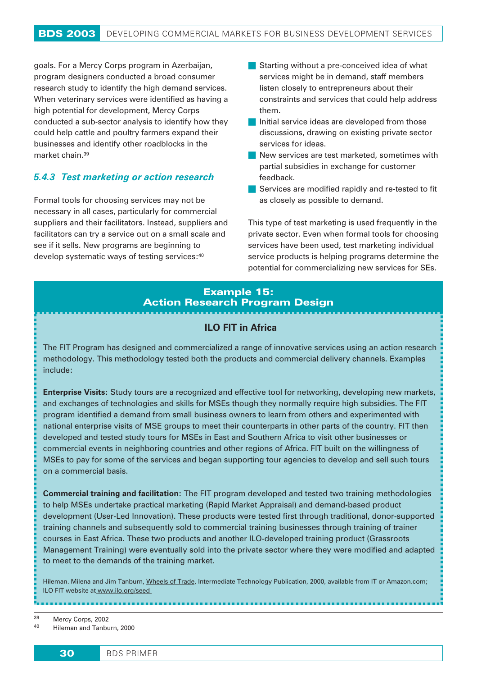goals. For a Mercy Corps program in Azerbaijan, program designers conducted a broad consumer research study to identify the high demand services. When veterinary services were identified as having a high potential for development, Mercy Corps conducted a sub-sector analysis to identify how they could help cattle and poultry farmers expand their businesses and identify other roadblocks in the market chain.39

## *5.4.3 Test marketing or action research*

Formal tools for choosing services may not be necessary in all cases, particularly for commercial suppliers and their facilitators. Instead, suppliers and facilitators can try a service out on a small scale and see if it sells. New programs are beginning to develop systematic ways of testing services:40

- Starting without a pre-conceived idea of what services might be in demand, staff members listen closely to entrepreneurs about their constraints and services that could help address them.
- Initial service ideas are developed from those discussions, drawing on existing private sector services for ideas.
- New services are test marketed, sometimes with partial subsidies in exchange for customer feedback.
- Services are modified rapidly and re-tested to fit as closely as possible to demand.

This type of test marketing is used frequently in the private sector. Even when formal tools for choosing services have been used, test marketing individual service products is helping programs determine the potential for commercializing new services for SEs.

## *Example 15: Action Research Program Design*

#### **ILO FIT in Africa**

The FIT Program has designed and commercialized a range of innovative services using an action research methodology. This methodology tested both the products and commercial delivery channels. Examples include:

**Enterprise Visits:** Study tours are a recognized and effective tool for networking, developing new markets, and exchanges of technologies and skills for MSEs though they normally require high subsidies. The FIT program identified a demand from small business owners to learn from others and experimented with national enterprise visits of MSE groups to meet their counterparts in other parts of the country. FIT then developed and tested study tours for MSEs in East and Southern Africa to visit other businesses or commercial events in neighboring countries and other regions of Africa. FIT built on the willingness of MSEs to pay for some of the services and began supporting tour agencies to develop and sell such tours on a commercial basis.

**Commercial training and facilitation:** The FIT program developed and tested two training methodologies to help MSEs undertake practical marketing (Rapid Market Appraisal) and demand-based product development (User-Led Innovation). These products were tested first through traditional, donor-supported training channels and subsequently sold to commercial training businesses through training of trainer courses in East Africa. These two products and another ILO-developed training product (Grassroots Management Training) were eventually sold into the private sector where they were modified and adapted to meet to the demands of the training market.

Hileman. Milena and Jim Tanburn, Wheels of Trade, Intermediate Technology Publication, 2000, available from IT or Amazon.com; ILO FIT website at www.ilo.org/seed

<sup>39</sup> Mercy Corps, 2002

<sup>40</sup> Hileman and Tanburn, 2000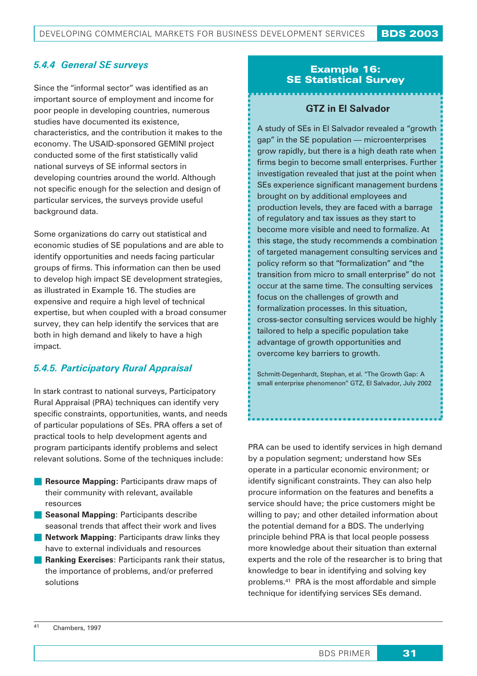# *5.4.4 General SE surveys*

Since the "informal sector" was identified as an important source of employment and income for poor people in developing countries, numerous studies have documented its existence, characteristics, and the contribution it makes to the economy. The USAID-sponsored GEMINI project conducted some of the first statistically valid national surveys of SE informal sectors in developing countries around the world. Although not specific enough for the selection and design of particular services, the surveys provide useful background data.

Some organizations do carry out statistical and economic studies of SE populations and are able to identify opportunities and needs facing particular groups of firms. This information can then be used to develop high impact SE development strategies, as illustrated in Example 16. The studies are expensive and require a high level of technical expertise, but when coupled with a broad consumer survey, they can help identify the services that are both in high demand and likely to have a high impact.

# *5.4.5. Participatory Rural Appraisal*

In stark contrast to national surveys, Participatory Rural Appraisal (PRA) techniques can identify very specific constraints, opportunities, wants, and needs of particular populations of SEs. PRA offers a set of practical tools to help development agents and program participants identify problems and select relevant solutions. Some of the techniques include:

- **Resource Mapping: Participants draw maps of** their community with relevant, available resources
- **Seasonal Mapping: Participants describe** seasonal trends that affect their work and lives
- **Network Mapping: Participants draw links they** have to external individuals and resources
- **Ranking Exercises: Participants rank their status,** the importance of problems, and/or preferred solutions

## *Example 16: SE Statistical Survey*

## **GTZ in El Salvador**

A study of SEs in El Salvador revealed a "growth gap" in the SE population — microenterprises grow rapidly, but there is a high death rate when firms begin to become small enterprises. Further investigation revealed that just at the point when SEs experience significant management burdens brought on by additional employees and production levels, they are faced with a barrage of regulatory and tax issues as they start to become more visible and need to formalize. At this stage, the study recommends a combination of targeted management consulting services and policy reform so that "formalization" and "the transition from micro to small enterprise" do not occur at the same time. The consulting services focus on the challenges of growth and formalization processes. In this situation, cross-sector consulting services would be highly tailored to help a specific population take advantage of growth opportunities and overcome key barriers to growth.

Schmitt-Degenhardt, Stephan, et al. "The Growth Gap: A small enterprise phenomenon" GTZ, El Salvador, July 2002

PRA can be used to identify services in high demand by a population segment; understand how SEs operate in a particular economic environment; or identify significant constraints. They can also help procure information on the features and benefits a service should have; the price customers might be willing to pay; and other detailed information about the potential demand for a BDS. The underlying principle behind PRA is that local people possess more knowledge about their situation than external experts and the role of the researcher is to bring that knowledge to bear in identifying and solving key problems.41 PRA is the most affordable and simple technique for identifying services SEs demand.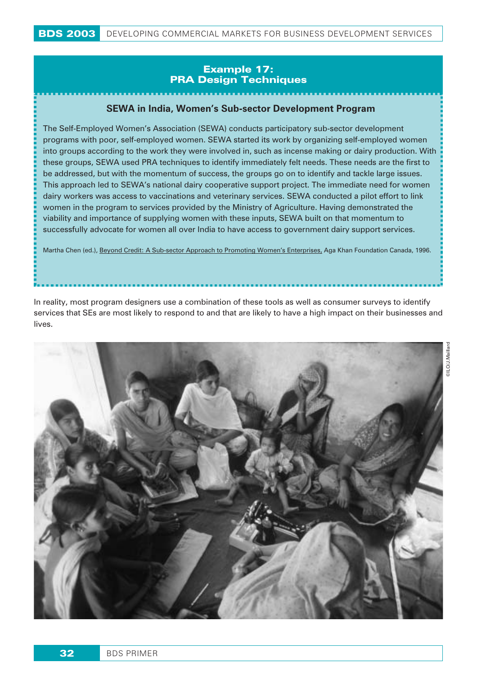## Example 17: PRA Design Techniques

## **SEWA in India, Women's Sub-sector Development Program**

The Self-Employed Women's Association (SEWA) conducts participatory sub-sector development programs with poor, self-employed women. SEWA started its work by organizing self-employed women into groups according to the work they were involved in, such as incense making or dairy production. With these groups, SEWA used PRA techniques to identify immediately felt needs. These needs are the first to be addressed, but with the momentum of success, the groups go on to identify and tackle large issues. This approach led to SEWA's national dairy cooperative support project. The immediate need for women dairy workers was access to vaccinations and veterinary services. SEWA conducted a pilot effort to link women in the program to services provided by the Ministry of Agriculture. Having demonstrated the viability and importance of supplying women with these inputs, SEWA built on that momentum to successfully advocate for women all over India to have access to government dairy support services.

Martha Chen (ed.), Beyond Credit: A Sub-sector Approach to Promoting Women's Enterprises, Aga Khan Foundation Canada, 1996.

In reality, most program designers use a combination of these tools as well as consumer surveys to identify services that SEs are most likely to respond to and that are likely to have a high impact on their businesses and lives.

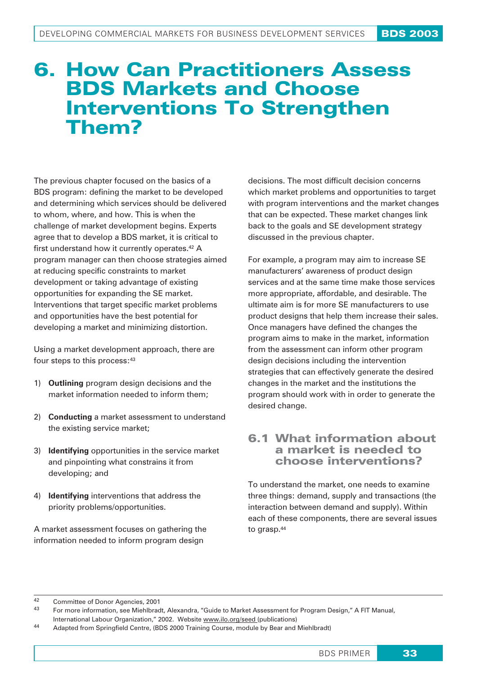# 6. **How Can Practitioners Assess BDS Markets and Choose Interventions To Strengthen Them?**

The previous chapter focused on the basics of a BDS program: defining the market to be developed and determining which services should be delivered to whom, where, and how. This is when the challenge of market development begins. Experts agree that to develop a BDS market, it is critical to first understand how it currently operates.<sup>42</sup> A program manager can then choose strategies aimed at reducing specific constraints to market development or taking advantage of existing opportunities for expanding the SE market. Interventions that target specific market problems and opportunities have the best potential for developing a market and minimizing distortion.

Using a market development approach, there are four steps to this process: 43

- 1) **Outlining** program design decisions and the market information needed to inform them;
- 2) **Conducting** a market assessment to understand the existing service market;
- 3) **Identifying** opportunities in the service market and pinpointing what constrains it from developing; and
- 4) **Identifying** interventions that address the priority problems/opportunities.

A market assessment focuses on gathering the information needed to inform program design

decisions. The most difficult decision concerns which market problems and opportunities to target with program interventions and the market changes that can be expected. These market changes link back to the goals and SE development strategy discussed in the previous chapter.

For example, a program may aim to increase SE manufacturers' awareness of product design services and at the same time make those services more appropriate, affordable, and desirable. The ultimate aim is for more SE manufacturers to use product designs that help them increase their sales. Once managers have defined the changes the program aims to make in the market, information from the assessment can inform other program design decisions including the intervention strategies that can effectively generate the desired changes in the market and the institutions the program should work with in order to generate the desired change.

# **6.1 What information about a market is needed to choose interventions?**

To understand the market, one needs to examine three things: demand, supply and transactions (the interaction between demand and supply). Within each of these components, there are several issues to grasp.44

<sup>42</sup> Committee of Donor Agencies, 2001

<sup>43</sup> For more information, see Miehlbradt, Alexandra, "Guide to Market Assessment for Program Design," A FIT Manual,

International Labour Organization," 2002. Website www.ilo.org/seed (publications)

<sup>44</sup> Adapted from Springfield Centre, (BDS 2000 Training Course, module by Bear and Miehlbradt)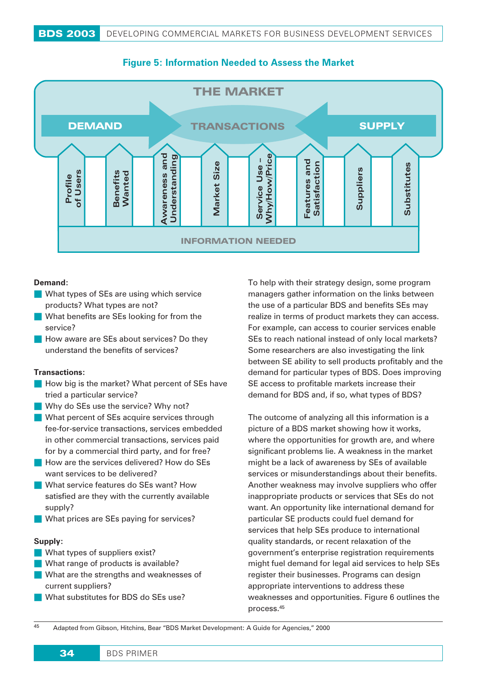

# **Figure 5: Information Needed to Assess the Market**

#### **Demand:**

- What types of SEs are using which service products? What types are not?
- What benefits are SEs looking for from the service?
- **How aware are SEs about services? Do they** understand the benefits of services?

#### **Transactions:**

- $\blacksquare$  How big is the market? What percent of SEs have tried a particular service?
- Why do SEs use the service? Why not?
- What percent of SEs acquire services through fee-for-service transactions, services embedded in other commercial transactions, services paid for by a commercial third party, and for free?
- **How are the services delivered? How do SEs** want services to be delivered?
- **What service features do SEs want? How** satisfied are they with the currently available supply?
- What prices are SEs paying for services?

#### **Supply:**

- What types of suppliers exist?
- What range of products is available?
- What are the strengths and weaknesses of current suppliers?
- What substitutes for BDS do SEs use?

To help with their strategy design, some program managers gather information on the links between the use of a particular BDS and benefits SEs may realize in terms of product markets they can access. For example, can access to courier services enable SEs to reach national instead of only local markets? Some researchers are also investigating the link between SE ability to sell products profitably and the demand for particular types of BDS. Does improving SE access to profitable markets increase their demand for BDS and, if so, what types of BDS?

The outcome of analyzing all this information is a picture of a BDS market showing how it works, where the opportunities for growth are, and where significant problems lie. A weakness in the market might be a lack of awareness by SEs of available services or misunderstandings about their benefits. Another weakness may involve suppliers who offer inappropriate products or services that SEs do not want. An opportunity like international demand for particular SE products could fuel demand for services that help SEs produce to international quality standards, or recent relaxation of the government's enterprise registration requirements might fuel demand for legal aid services to help SEs register their businesses. Programs can design appropriate interventions to address these weaknesses and opportunities. Figure 6 outlines the process.45

<sup>45</sup> Adapted from Gibson, Hitchins, Bear "BDS Market Development: A Guide for Agencies," 2000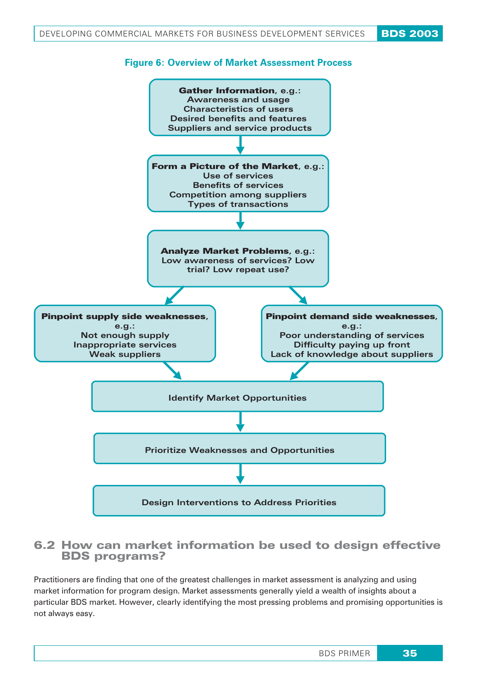

# 6.2 How can market information be used to design effective BDS programs?

Practitioners are finding that one of the greatest challenges in market assessment is analyzing and using market information for program design. Market assessments generally yield a wealth of insights about a particular BDS market. However, clearly identifying the most pressing problems and promising opportunities is not always easy.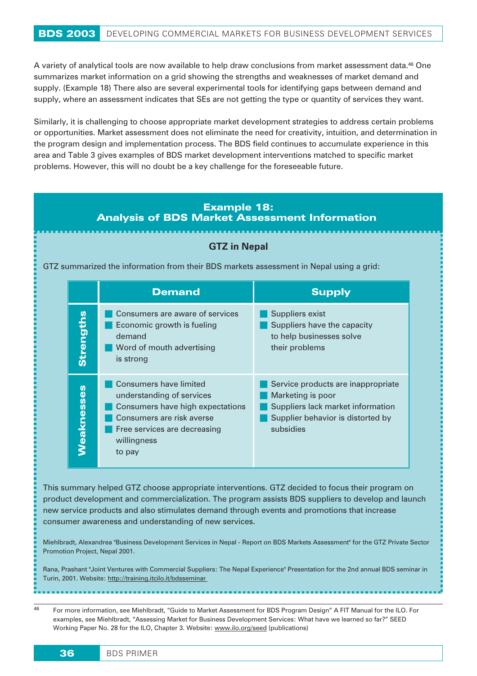A variety of analytical tools are now available to help draw conclusions from market assessment data.46 One summarizes market information on a grid showing the strengths and weaknesses of market demand and supply. (Example 18) There also are several experimental tools for identifying gaps between demand and supply, where an assessment indicates that SEs are not getting the type or quantity of services they want.

Similarly, it is challenging to choose appropriate market development strategies to address certain problems or opportunities. Market assessment does not eliminate the need for creativity, intuition, and determination in the program design and implementation process. The BDS field continues to accumulate experience in this area and Table 3 gives examples of BDS market development interventions matched to specific market problems. However, this will no doubt be a key challenge for the foreseeable future.

## *Example 18: Analysis of BDS Market Assessment Information*

#### **GTZ in Nepal**

GTZ summarized the information from their BDS markets assessment in Nepal using a grid:

|                  | <b>Demand</b>                                                                                                                                                                 | <b>Supply</b>                                                                                                                                  |
|------------------|-------------------------------------------------------------------------------------------------------------------------------------------------------------------------------|------------------------------------------------------------------------------------------------------------------------------------------------|
| <b>Strengths</b> | Consumers are aware of services<br>Economic growth is fueling<br>demand<br>Word of mouth advertising<br>is strong                                                             | Suppliers exist<br>Suppliers have the capacity<br>to help businesses solve<br>their problems                                                   |
| Veaknesses       | Consumers have limited<br>understanding of services<br>Consumers have high expectations<br>Consumers are risk averse<br>Free services are decreasing<br>willingness<br>to pay | Service products are inappropriate<br>Marketing is poor<br>Suppliers lack market information<br>Supplier behavior is distorted by<br>subsidies |

This summary helped GTZ choose appropriate interventions. GTZ decided to focus their program on product development and commercialization. The program assists BDS suppliers to develop and launch new service products and also stimulates demand through events and promotions that increase consumer awareness and understanding of new services.

Miehlbradt, Alexandrea "Business Development Services in Nepal - Report on BDS Markets Assessment" for the GTZ Private Sector Promotion Project, Nepal 2001.

Rana, Prashant "Joint Ventures with Commercial Suppliers: The Nepal Experience" Presentation for the 2nd annual BDS seminar in Turin, 2001. Website: http://training.itcilo.it/bdsseminar

46 For more information, see Miehlbradt, "Guide to Market Assessment for BDS Program Design" A FIT Manual for the ILO. For examples, see Miehlbradt, "Assessing Market for Business Development Services: What have we learned so far?" SEED Working Paper No. 28 for the ILO, Chapter 3. Website: www.ilo.org/seed (publications)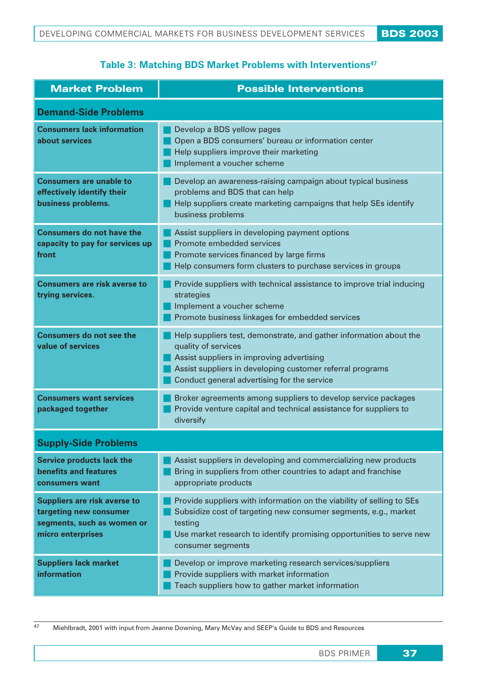# **Table 3: Matching BDS Market Problems with Interventions47**

| <b>Market Problem</b>                                                                                            | <b>Possible Interventions</b>                                                                                                                                                                                                                      |  |  |  |
|------------------------------------------------------------------------------------------------------------------|----------------------------------------------------------------------------------------------------------------------------------------------------------------------------------------------------------------------------------------------------|--|--|--|
| <b>Demand-Side Problems</b>                                                                                      |                                                                                                                                                                                                                                                    |  |  |  |
| <b>Consumers lack information</b><br>about services                                                              | Develop a BDS yellow pages<br>Open a BDS consumers' bureau or information center<br>Help suppliers improve their marketing<br>Implement a voucher scheme                                                                                           |  |  |  |
| <b>Consumers are unable to</b><br>effectively identify their<br>business problems.                               | Develop an awareness-raising campaign about typical business<br>problems and BDS that can help<br>Help suppliers create marketing campaigns that help SEs identify<br>business problems                                                            |  |  |  |
| <b>Consumers do not have the</b><br>capacity to pay for services up<br>front                                     | Assist suppliers in developing payment options<br>Promote embedded services<br>Promote services financed by large firms<br>Help consumers form clusters to purchase services in groups                                                             |  |  |  |
| <b>Consumers are risk averse to</b><br>trying services.                                                          | Provide suppliers with technical assistance to improve trial inducing<br>strategies<br>Implement a voucher scheme<br>Promote business linkages for embedded services                                                                               |  |  |  |
| <b>Consumers do not see the</b><br>value of services                                                             | Help suppliers test, demonstrate, and gather information about the<br>quality of services<br>Assist suppliers in improving advertising<br>Assist suppliers in developing customer referral programs<br>Conduct general advertising for the service |  |  |  |
| <b>Consumers want services</b><br>packaged together                                                              | Broker agreements among suppliers to develop service packages<br>Provide venture capital and technical assistance for suppliers to<br>diversify                                                                                                    |  |  |  |
| <b>Supply-Side Problems</b>                                                                                      |                                                                                                                                                                                                                                                    |  |  |  |
| <b>Service products lack the</b><br><b>benefits and features</b><br>consumers want                               | Assist suppliers in developing and commercializing new products<br>Bring in suppliers from other countries to adapt and franchise<br>appropriate products                                                                                          |  |  |  |
| <b>Suppliers are risk averse to</b><br>targeting new consumer<br>segments, such as women or<br>micro enterprises | Provide suppliers with information on the viability of selling to SEs<br>Subsidize cost of targeting new consumer segments, e.g., market<br>testing<br>Use market research to identify promising opportunities to serve new<br>consumer segments   |  |  |  |
| <b>Suppliers lack market</b><br>information                                                                      | Develop or improve marketing research services/suppliers<br>Provide suppliers with market information<br>Teach suppliers how to gather market information                                                                                          |  |  |  |

47 Miehlbradt, 2001 with input from Jeanne Downing, Mary McVay and SEEP's Guide to BDS and Resources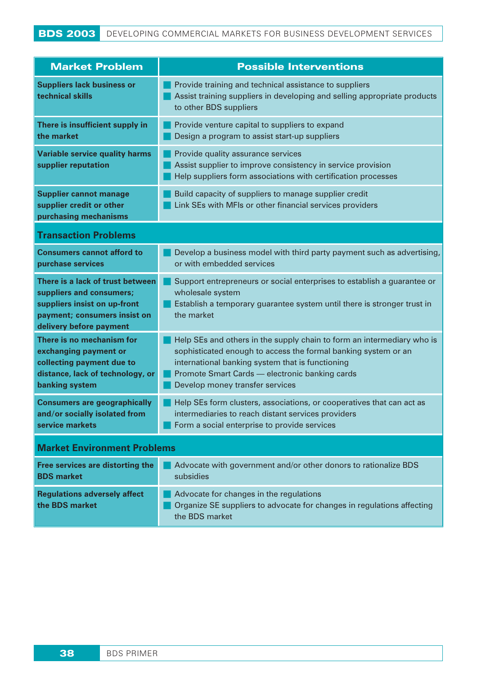# BDS 2003 DEVELOPING COMMERCIAL MARKETS FOR BUSINESS DEVELOPMENT SERVICES

| <b>Market Problem</b>                                                                                                                                   | <b>Possible Interventions</b>                                                                                                                                                                                                                                                     |  |  |  |  |
|---------------------------------------------------------------------------------------------------------------------------------------------------------|-----------------------------------------------------------------------------------------------------------------------------------------------------------------------------------------------------------------------------------------------------------------------------------|--|--|--|--|
| <b>Suppliers lack business or</b><br>technical skills                                                                                                   | Provide training and technical assistance to suppliers<br>Assist training suppliers in developing and selling appropriate products<br>to other BDS suppliers                                                                                                                      |  |  |  |  |
| There is insufficient supply in<br>the market                                                                                                           | Provide venture capital to suppliers to expand<br>Design a program to assist start-up suppliers                                                                                                                                                                                   |  |  |  |  |
| <b>Variable service quality harms</b><br>supplier reputation                                                                                            | Provide quality assurance services<br>Assist supplier to improve consistency in service provision<br>Help suppliers form associations with certification processes                                                                                                                |  |  |  |  |
| <b>Supplier cannot manage</b><br>supplier credit or other<br>purchasing mechanisms                                                                      | Build capacity of suppliers to manage supplier credit<br>Link SEs with MFIs or other financial services providers                                                                                                                                                                 |  |  |  |  |
| <b>Transaction Problems</b>                                                                                                                             |                                                                                                                                                                                                                                                                                   |  |  |  |  |
| <b>Consumers cannot afford to</b><br>purchase services                                                                                                  | Develop a business model with third party payment such as advertising,<br>or with embedded services                                                                                                                                                                               |  |  |  |  |
| There is a lack of trust between<br>suppliers and consumers;<br>suppliers insist on up-front<br>payment; consumers insist on<br>delivery before payment | Support entrepreneurs or social enterprises to establish a guarantee or<br>wholesale system<br>Establish a temporary guarantee system until there is stronger trust in<br>the market                                                                                              |  |  |  |  |
| There is no mechanism for<br>exchanging payment or<br>collecting payment due to<br>distance, lack of technology, or<br>banking system                   | Help SEs and others in the supply chain to form an intermediary who is<br>sophisticated enough to access the formal banking system or an<br>international banking system that is functioning<br>Promote Smart Cards - electronic banking cards<br>Develop money transfer services |  |  |  |  |
| <b>Consumers are geographically</b><br>and/or socially isolated from<br>service markets                                                                 | Help SEs form clusters, associations, or cooperatives that can act as<br>intermediaries to reach distant services providers<br>Form a social enterprise to provide services                                                                                                       |  |  |  |  |
| <b>Market Environment Problems</b>                                                                                                                      |                                                                                                                                                                                                                                                                                   |  |  |  |  |
| Free services are distorting the<br><b>BDS</b> market                                                                                                   | Advocate with government and/or other donors to rationalize BDS<br>subsidies                                                                                                                                                                                                      |  |  |  |  |
| <b>Regulations adversely affect</b><br>the BDS market                                                                                                   | Advocate for changes in the regulations<br>Organize SE suppliers to advocate for changes in regulations affecting                                                                                                                                                                 |  |  |  |  |

the BDS market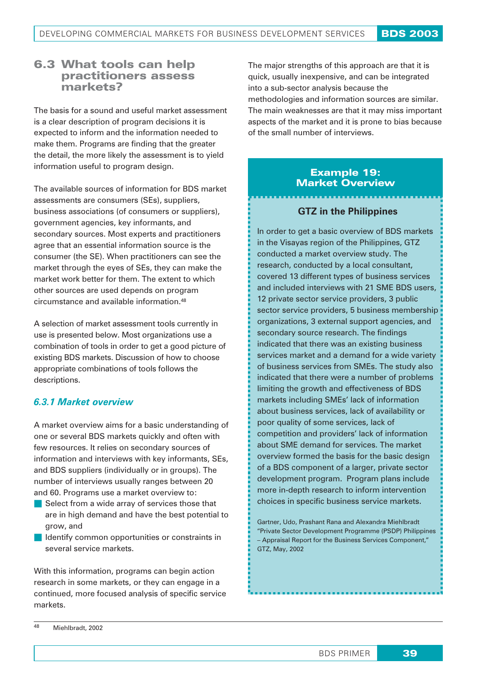# 6.3 What tools can help practitioners assess markets?

The basis for a sound and useful market assessment is a clear description of program decisions it is expected to inform and the information needed to make them. Programs are finding that the greater the detail, the more likely the assessment is to yield information useful to program design.

The available sources of information for BDS market assessments are consumers (SEs), suppliers, business associations (of consumers or suppliers), government agencies, key informants, and secondary sources. Most experts and practitioners agree that an essential information source is the consumer (the SE). When practitioners can see the market through the eyes of SEs, they can make the market work better for them. The extent to which other sources are used depends on program circumstance and available information.48

A selection of market assessment tools currently in use is presented below. Most organizations use a combination of tools in order to get a good picture of existing BDS markets. Discussion of how to choose appropriate combinations of tools follows the descriptions.

# *6.3.1 Market overview*

A market overview aims for a basic understanding of one or several BDS markets quickly and often with few resources. It relies on secondary sources of information and interviews with key informants, SEs, and BDS suppliers (individually or in groups). The number of interviews usually ranges between 20 and 60. Programs use a market overview to:

- Select from a wide array of services those that are in high demand and have the best potential to grow, and
- **ID** Identify common opportunities or constraints in several service markets.

With this information, programs can begin action research in some markets, or they can engage in a continued, more focused analysis of specific service markets.

The major strengths of this approach are that it is quick, usually inexpensive, and can be integrated into a sub-sector analysis because the methodologies and information sources are similar. The main weaknesses are that it may miss important aspects of the market and it is prone to bias because of the small number of interviews.

## Example 19: Market Overview

## **GTZ in the Philippines**

In order to get a basic overview of BDS markets in the Visayas region of the Philippines, GTZ conducted a market overview study. The research, conducted by a local consultant, covered 13 different types of business services and included interviews with 21 SME BDS users, 12 private sector service providers, 3 public sector service providers, 5 business membership organizations, 3 external support agencies, and secondary source research. The findings indicated that there was an existing business services market and a demand for a wide variety of business services from SMEs. The study also indicated that there were a number of problems limiting the growth and effectiveness of BDS markets including SMEs' lack of information about business services, lack of availability or poor quality of some services, lack of competition and providers' lack of information about SME demand for services. The market overview formed the basis for the basic design of a BDS component of a larger, private sector development program. Program plans include more in-depth research to inform intervention choices in specific business service markets.

Gartner, Udo, Prashant Rana and Alexandra Miehlbradt "Private Sector Development Programme (PSDP) Philippines – Appraisal Report for the Business Services Component," GTZ, May, 2002

<sup>48</sup> Miehlbradt, 2002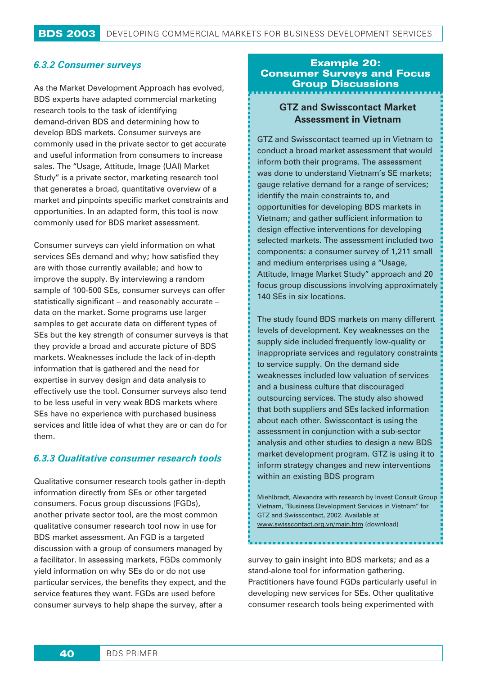#### *6.3.2 Consumer surveys*

As the Market Development Approach has evolved, BDS experts have adapted commercial marketing research tools to the task of identifying demand-driven BDS and determining how to develop BDS markets. Consumer surveys are commonly used in the private sector to get accurate and useful information from consumers to increase sales. The "Usage, Attitude, Image (UAI) Market Study" is a private sector, marketing research tool that generates a broad, quantitative overview of a market and pinpoints specific market constraints and opportunities. In an adapted form, this tool is now commonly used for BDS market assessment.

Consumer surveys can yield information on what services SEs demand and why; how satisfied they are with those currently available; and how to improve the supply. By interviewing a random sample of 100-500 SEs, consumer surveys can offer statistically significant – and reasonably accurate – data on the market. Some programs use larger samples to get accurate data on different types of SEs but the key strength of consumer surveys is that they provide a broad and accurate picture of BDS markets. Weaknesses include the lack of in-depth information that is gathered and the need for expertise in survey design and data analysis to effectively use the tool. Consumer surveys also tend to be less useful in very weak BDS markets where SEs have no experience with purchased business services and little idea of what they are or can do for them.

#### *6.3.3 Qualitative consumer research tools*

Qualitative consumer research tools gather in-depth information directly from SEs or other targeted consumers. Focus group discussions (FGDs), another private sector tool, are the most common qualitative consumer research tool now in use for BDS market assessment. An FGD is a targeted discussion with a group of consumers managed by a facilitator. In assessing markets, FGDs commonly yield information on why SEs do or do not use particular services, the benefits they expect, and the service features they want. FGDs are used before consumer surveys to help shape the survey, after a

## Example 20: Consumer Surveys and Focus Group Discussions

## **GTZ and Swisscontact Market Assessment in Vietnam**

GTZ and Swisscontact teamed up in Vietnam to conduct a broad market assessment that would inform both their programs. The assessment was done to understand Vietnam's SE markets; gauge relative demand for a range of services; identify the main constraints to, and opportunities for developing BDS markets in Vietnam; and gather sufficient information to design effective interventions for developing selected markets. The assessment included two components: a consumer survey of 1,211 small and medium enterprises using a "Usage, Attitude, Image Market Study" approach and 20 focus group discussions involving approximately 140 SEs in six locations.

The study found BDS markets on many different levels of development. Key weaknesses on the supply side included frequently low-quality or inappropriate services and regulatory constraints to service supply. On the demand side weaknesses included low valuation of services and a business culture that discouraged outsourcing services. The study also showed that both suppliers and SEs lacked information about each other. Swisscontact is using the assessment in conjunction with a sub-sector analysis and other studies to design a new BDS market development program. GTZ is using it to inform strategy changes and new interventions within an existing BDS program

Miehlbradt, Alexandra with research by Invest Consult Group Vietnam, "Business Development Services in Vietnam" for GTZ and Swisscontact, 2002. Available at www.swisscontact.org.vn/main.htm (download)

survey to gain insight into BDS markets; and as a stand-alone tool for information gathering. Practitioners have found FGDs particularly useful in developing new services for SEs. Other qualitative consumer research tools being experimented with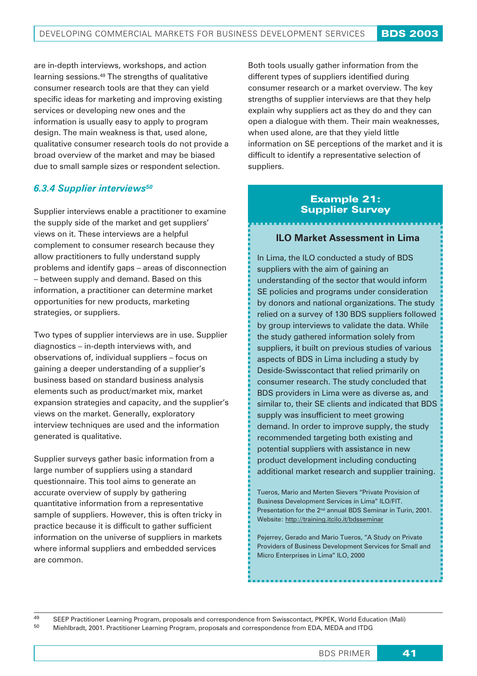are in-depth interviews, workshops, and action learning sessions.49 The strengths of qualitative consumer research tools are that they can yield specific ideas for marketing and improving existing services or developing new ones and the information is usually easy to apply to program design. The main weakness is that, used alone, qualitative consumer research tools do not provide a broad overview of the market and may be biased due to small sample sizes or respondent selection.

# *6.3.4 Supplier interviews50*

Supplier interviews enable a practitioner to examine the supply side of the market and get suppliers' views on it. These interviews are a helpful complement to consumer research because they allow practitioners to fully understand supply problems and identify gaps – areas of disconnection – between supply and demand. Based on this information, a practitioner can determine market opportunities for new products, marketing strategies, or suppliers.

Two types of supplier interviews are in use. Supplier diagnostics – in-depth interviews with, and observations of, individual suppliers – focus on gaining a deeper understanding of a supplier's business based on standard business analysis elements such as product/market mix, market expansion strategies and capacity, and the supplier's views on the market. Generally, exploratory interview techniques are used and the information generated is qualitative.

Supplier surveys gather basic information from a large number of suppliers using a standard questionnaire. This tool aims to generate an accurate overview of supply by gathering quantitative information from a representative sample of suppliers. However, this is often tricky in practice because it is difficult to gather sufficient information on the universe of suppliers in markets where informal suppliers and embedded services are common.

Both tools usually gather information from the different types of suppliers identified during consumer research or a market overview. The key strengths of supplier interviews are that they help explain why suppliers act as they do and they can open a dialogue with them. Their main weaknesses, when used alone, are that they yield little information on SE perceptions of the market and it is difficult to identify a representative selection of suppliers.

# *Example 21: Supplier Survey*

#### **ILO Market Assessment in Lima**

In Lima, the ILO conducted a study of BDS suppliers with the aim of gaining an understanding of the sector that would inform SE policies and programs under consideration by donors and national organizations. The study relied on a survey of 130 BDS suppliers followed by group interviews to validate the data. While the study gathered information solely from suppliers, it built on previous studies of various aspects of BDS in Lima including a study by Deside-Swisscontact that relied primarily on consumer research. The study concluded that BDS providers in Lima were as diverse as, and similar to, their SE clients and indicated that BDS supply was insufficient to meet growing demand. In order to improve supply, the study recommended targeting both existing and potential suppliers with assistance in new product development including conducting additional market research and supplier training.

Tueros, Mario and Merten Sievers "Private Provision of Business Development Services in Lima" ILO/FIT. Presentation for the 2<sup>nd</sup> annual BDS Seminar in Turin, 2001. Website: http://training.itcilo.it/bdsseminar

Pejerrey, Gerado and Mario Tueros, "A Study on Private Providers of Business Development Services for Small and Micro Enterprises in Lima" ILO, 2000

49 SEEP Practitioner Learning Program, proposals and correspondence from Swisscontact, PKPEK, World Education (Mali)<br>50 Mioblbredt, 2001, Practitioner Learning Program, proposals and correspondence from EDA, MEDA and ITDG <sup>50</sup> Miehlbradt, 2001. Practitioner Learning Program, proposals and correspondence from EDA, MEDA and ITDG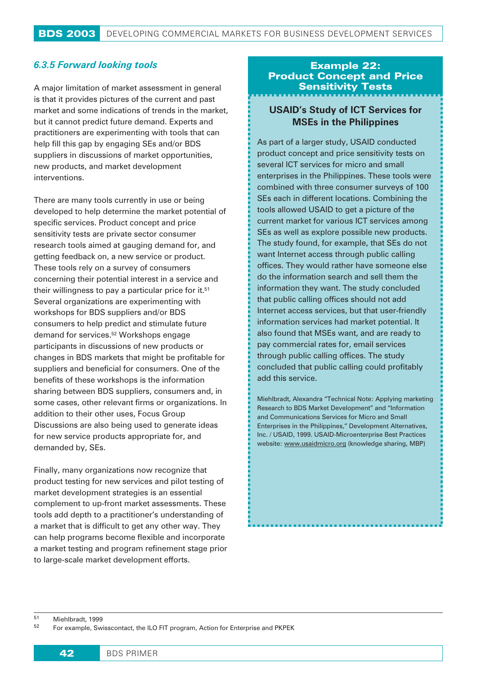## *6.3.5 Forward looking tools*

A major limitation of market assessment in general is that it provides pictures of the current and past market and some indications of trends in the market, but it cannot predict future demand. Experts and practitioners are experimenting with tools that can help fill this gap by engaging SEs and/or BDS suppliers in discussions of market opportunities, new products, and market development interventions.

There are many tools currently in use or being developed to help determine the market potential of specific services. Product concept and price sensitivity tests are private sector consumer research tools aimed at gauging demand for, and getting feedback on, a new service or product. These tools rely on a survey of consumers concerning their potential interest in a service and their willingness to pay a particular price for it.51 Several organizations are experimenting with workshops for BDS suppliers and/or BDS consumers to help predict and stimulate future demand for services.52 Workshops engage participants in discussions of new products or changes in BDS markets that might be profitable for suppliers and beneficial for consumers. One of the benefits of these workshops is the information sharing between BDS suppliers, consumers and, in some cases, other relevant firms or organizations. In addition to their other uses, Focus Group Discussions are also being used to generate ideas for new service products appropriate for, and demanded by, SEs.

Finally, many organizations now recognize that product testing for new services and pilot testing of market development strategies is an essential complement to up-front market assessments. These tools add depth to a practitioner's understanding of a market that is difficult to get any other way. They can help programs become flexible and incorporate a market testing and program refinement stage prior to large-scale market development efforts.

## Example 22: Product Concept and Price Sensitivity Tests

# **USAID's Study of ICT Services for MSEs in the Philippines**

As part of a larger study, USAID conducted product concept and price sensitivity tests on several ICT services for micro and small enterprises in the Philippines. These tools were combined with three consumer surveys of 100 SEs each in different locations. Combining the tools allowed USAID to get a picture of the current market for various ICT services among SEs as well as explore possible new products. The study found, for example, that SEs do not want Internet access through public calling offices. They would rather have someone else do the information search and sell them the information they want. The study concluded that public calling offices should not add Internet access services, but that user-friendly information services had market potential. It also found that MSEs want, and are ready to pay commercial rates for, email services through public calling offices. The study concluded that public calling could profitably add this service.

Miehlbradt, Alexandra "Technical Note: Applying marketing Research to BDS Market Development" and "Information and Communications Services for Micro and Small Enterprises in the Philippines," Development Alternatives, Inc. / USAID, 1999. USAID-Microenterprise Best Practices website: www.usaidmicro.org (knowledge sharing, MBP)

<sup>51</sup> Miehlbradt, 1999

<sup>52</sup> For example, Swisscontact, the ILO FIT program, Action for Enterprise and PKPEK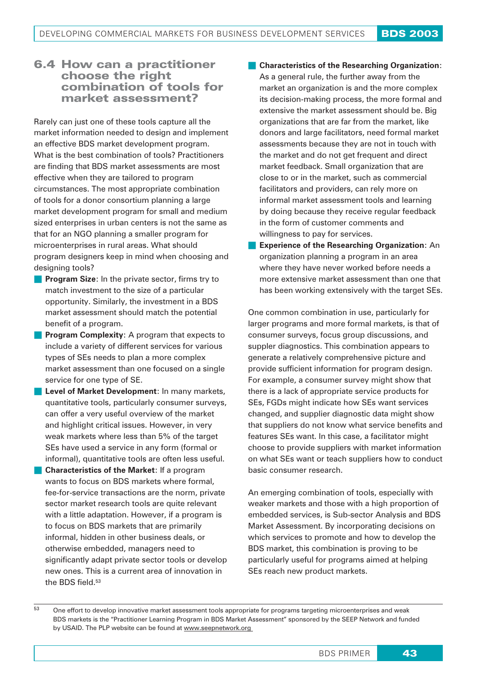# 6.4 **How can a practitioner choose the right combination of tools for market assessment?**

Rarely can just one of these tools capture all the market information needed to design and implement an effective BDS market development program. What is the best combination of tools? Practitioners are finding that BDS market assessments are most effective when they are tailored to program circumstances. The most appropriate combination of tools for a donor consortium planning a large market development program for small and medium sized enterprises in urban centers is not the same as that for an NGO planning a smaller program for microenterprises in rural areas. What should program designers keep in mind when choosing and designing tools?

- **Program Size:** In the private sector, firms try to match investment to the size of a particular opportunity. Similarly, the investment in a BDS market assessment should match the potential benefit of a program.
- **Program Complexity:** A program that expects to include a variety of different services for various types of SEs needs to plan a more complex market assessment than one focused on a single service for one type of SE.
- **Level of Market Development**: In many markets, quantitative tools, particularly consumer surveys, can offer a very useful overview of the market and highlight critical issues. However, in very weak markets where less than 5% of the target SEs have used a service in any form (formal or informal), quantitative tools are often less useful.
- **Characteristics of the Market:** If a program wants to focus on BDS markets where formal, fee-for-service transactions are the norm, private sector market research tools are quite relevant with a little adaptation. However, if a program is to focus on BDS markets that are primarily informal, hidden in other business deals, or otherwise embedded, managers need to significantly adapt private sector tools or develop new ones. This is a current area of innovation in the BDS field.53

#### **Characteristics of the Researching Organization**:

As a general rule, the further away from the market an organization is and the more complex its decision-making process, the more formal and extensive the market assessment should be. Big organizations that are far from the market, like donors and large facilitators, need formal market assessments because they are not in touch with the market and do not get frequent and direct market feedback. Small organization that are close to or in the market, such as commercial facilitators and providers, can rely more on informal market assessment tools and learning by doing because they receive regular feedback in the form of customer comments and willingness to pay for services.

 **Experience of the Researching Organization**: An organization planning a program in an area where they have never worked before needs a more extensive market assessment than one that has been working extensively with the target SEs.

One common combination in use, particularly for larger programs and more formal markets, is that of consumer surveys, focus group discussions, and suppler diagnostics. This combination appears to generate a relatively comprehensive picture and provide sufficient information for program design. For example, a consumer survey might show that there is a lack of appropriate service products for SEs, FGDs might indicate how SEs want services changed, and supplier diagnostic data might show that suppliers do not know what service benefits and features SEs want. In this case, a facilitator might choose to provide suppliers with market information on what SEs want or teach suppliers how to conduct basic consumer research.

An emerging combination of tools, especially with weaker markets and those with a high proportion of embedded services, is Sub-sector Analysis and BDS Market Assessment. By incorporating decisions on which services to promote and how to develop the BDS market, this combination is proving to be particularly useful for programs aimed at helping SEs reach new product markets.

<sup>&</sup>lt;sup>53</sup> One effort to develop innovative market assessment tools appropriate for programs targeting microenterprises and weak BDS markets is the "Practitioner Learning Program in BDS Market Assessment" sponsored by the SEEP Network and funded by USAID. The PLP website can be found at www.seepnetwork.org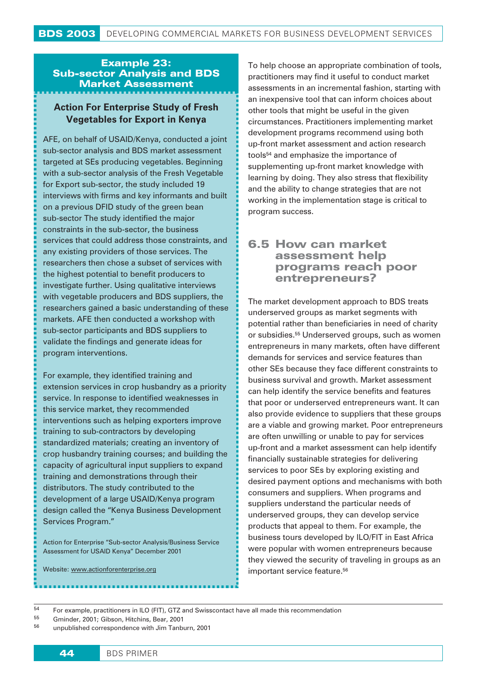# Example 23: Sub-sector Analysis and BDS Market Assessment

# **Action For Enterprise Study of Fresh Vegetables for Export in Kenya**

AFE, on behalf of USAID/Kenya, conducted a joint sub-sector analysis and BDS market assessment targeted at SEs producing vegetables. Beginning with a sub-sector analysis of the Fresh Vegetable for Export sub-sector, the study included 19 interviews with firms and key informants and built on a previous DFID study of the green bean sub-sector The study identified the major constraints in the sub-sector, the business services that could address those constraints, and any existing providers of those services. The researchers then chose a subset of services with the highest potential to benefit producers to investigate further. Using qualitative interviews with vegetable producers and BDS suppliers, the researchers gained a basic understanding of these markets. AFE then conducted a workshop with sub-sector participants and BDS suppliers to validate the findings and generate ideas for program interventions.

For example, they identified training and extension services in crop husbandry as a priority service. In response to identified weaknesses in this service market, they recommended interventions such as helping exporters improve training to sub-contractors by developing standardized materials; creating an inventory of crop husbandry training courses; and building the capacity of agricultural input suppliers to expand training and demonstrations through their distributors. The study contributed to the development of a large USAID/Kenya program design called the "Kenya Business Development Services Program."

Action for Enterprise "Sub-sector Analysis/Business Service Assessment for USAID Kenya" December 2001

Website: www.actionforenterprise.org

To help choose an appropriate combination of tools, practitioners may find it useful to conduct market assessments in an incremental fashion, starting with an inexpensive tool that can inform choices about other tools that might be useful in the given circumstances. Practitioners implementing market development programs recommend using both up-front market assessment and action research tools54 and emphasize the importance of supplementing up-front market knowledge with learning by doing. They also stress that flexibility and the ability to change strategies that are not working in the implementation stage is critical to program success.

# **6.5 How can market assessment help programs reach poor entrepreneurs?**

The market development approach to BDS treats underserved groups as market segments with potential rather than beneficiaries in need of charity or subsidies.<sup>55</sup> Underserved groups, such as women entrepreneurs in many markets, often have different demands for services and service features than other SEs because they face different constraints to business survival and growth. Market assessment can help identify the service benefits and features that poor or underserved entrepreneurs want. It can also provide evidence to suppliers that these groups are a viable and growing market. Poor entrepreneurs are often unwilling or unable to pay for services up-front and a market assessment can help identify financially sustainable strategies for delivering services to poor SEs by exploring existing and desired payment options and mechanisms with both consumers and suppliers. When programs and suppliers understand the particular needs of underserved groups, they can develop service products that appeal to them. For example, the business tours developed by ILO/FIT in East Africa were popular with women entrepreneurs because they viewed the security of traveling in groups as an important service feature.<sup>56</sup>

<sup>&</sup>lt;sup>54</sup> For example, practitioners in ILO (FIT), GTZ and Swisscontact have all made this recommendation

<sup>55</sup> Gminder, 2001; Gibson, Hitchins, Bear, 2001

<sup>56</sup> unpublished correspondence with Jim Tanburn, 2001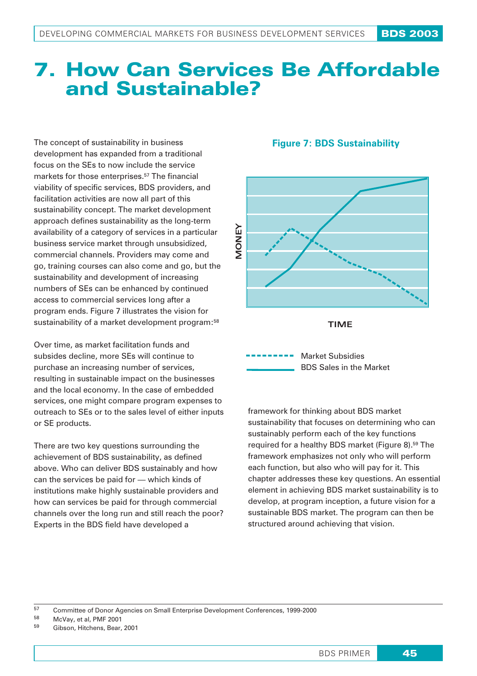# 7. **How Can Services Be Affordable and Sustainable?**

The concept of sustainability in business development has expanded from a traditional focus on the SEs to now include the service markets for those enterprises.<sup>57</sup> The financial viability of specific services, BDS providers, and facilitation activities are now all part of this sustainability concept. The market development approach defines sustainability as the long-term availability of a category of services in a particular business service market through unsubsidized, commercial channels. Providers may come and go, training courses can also come and go, but the sustainability and development of increasing numbers of SEs can be enhanced by continued access to commercial services long after a program ends. Figure 7 illustrates the vision for sustainability of a market development program:<sup>58</sup>

Over time, as market facilitation funds and subsides decline, more SEs will continue to purchase an increasing number of services, resulting in sustainable impact on the businesses and the local economy. In the case of embedded services, one might compare program expenses to outreach to SEs or to the sales level of either inputs or SE products.

There are two key questions surrounding the achievement of BDS sustainability, as defined above. Who can deliver BDS sustainably and how can the services be paid for — which kinds of institutions make highly sustainable providers and how can services be paid for through commercial channels over the long run and still reach the poor? Experts in the BDS field have developed a

## **Figure 7: BDS Sustainability**



Market Subsidies BDS Sales in the Market

framework for thinking about BDS market sustainability that focuses on determining who can sustainably perform each of the key functions required for a healthy BDS market (Figure 8).59 The framework emphasizes not only who will perform each function, but also who will pay for it. This chapter addresses these key questions. An essential element in achieving BDS market sustainability is to develop, at program inception, a future vision for a sustainable BDS market. The program can then be structured around achieving that vision.

<sup>&</sup>lt;sup>57</sup> Committee of Donor Agencies on Small Enterprise Development Conferences, 1999-2000

<sup>58</sup> McVay, et al, PMF 2001

<sup>59</sup> Gibson, Hitchens, Bear, 2001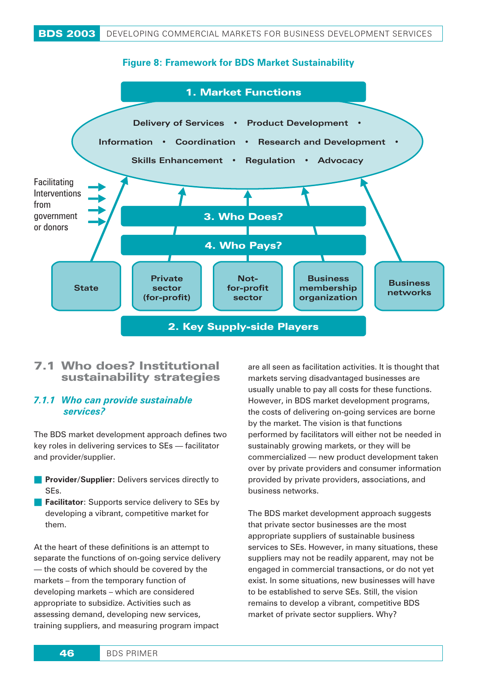



# **7.1 Who does? Institutional sustainability strategies**

#### *7.1.1 Who can provide sustainable services?*

The BDS market development approach defines two key roles in delivering services to SEs — facilitator and provider/supplier.

- **Provider/Supplier:** Delivers services directly to SEs.
- **Facilitator**: Supports service delivery to SEs by developing a vibrant, competitive market for them.

At the heart of these definitions is an attempt to separate the functions of on-going service delivery — the costs of which should be covered by the markets – from the temporary function of developing markets – which are considered appropriate to subsidize. Activities such as assessing demand, developing new services, training suppliers, and measuring program impact

are all seen as facilitation activities. It is thought that markets serving disadvantaged businesses are usually unable to pay all costs for these functions. However, in BDS market development programs, the costs of delivering on-going services are borne by the market. The vision is that functions performed by facilitators will either not be needed in sustainably growing markets, or they will be commercialized — new product development taken over by private providers and consumer information provided by private providers, associations, and business networks.

The BDS market development approach suggests that private sector businesses are the most appropriate suppliers of sustainable business services to SEs. However, in many situations, these suppliers may not be readily apparent, may not be engaged in commercial transactions, or do not yet exist. In some situations, new businesses will have to be established to serve SEs. Still, the vision remains to develop a vibrant, competitive BDS market of private sector suppliers. Why?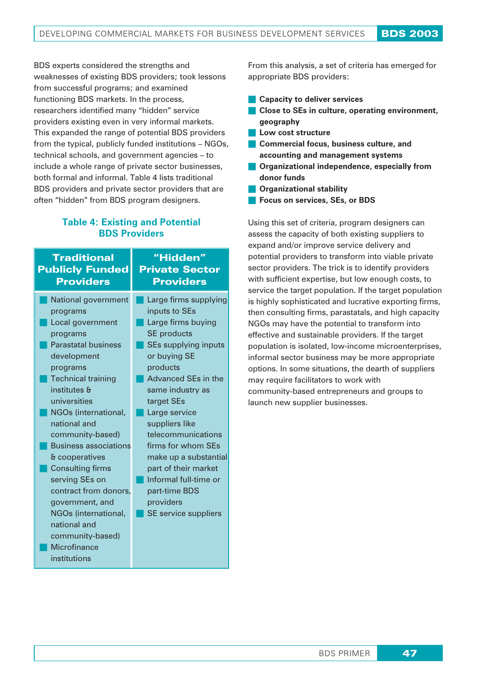BDS experts considered the strengths and weaknesses of existing BDS providers; took lessons from successful programs; and examined functioning BDS markets. In the process, researchers identified many "hidden" service providers existing even in very informal markets. This expanded the range of potential BDS providers from the typical, publicly funded institutions – NGOs, technical schools, and government agencies – to include a whole range of private sector businesses, both formal and informal. Table 4 lists traditional BDS providers and private sector providers that are often "hidden" from BDS program designers.

## **Table 4: Existing and Potential BDS Providers**

| <b>Traditional</b><br><b>Publicly Funded</b><br><b>Providers</b> | "Hidden"<br><b>Private Sector</b><br><b>Providers</b> |
|------------------------------------------------------------------|-------------------------------------------------------|
| National government                                              | Large firms supplying                                 |
| programs                                                         | inputs to SEs                                         |
| Local government                                                 | Large firms buying                                    |
| programs                                                         | <b>SE</b> products                                    |
| <b>Parastatal business</b>                                       | <b>SEs supplying inputs</b>                           |
| development                                                      | or buying SE                                          |
| programs                                                         | products                                              |
| <b>Technical training</b>                                        | <b>Advanced SEs in the</b>                            |
| institutes &                                                     | same industry as                                      |
| universities                                                     | target SEs                                            |
| NGOs (international,                                             | Large service                                         |
| national and                                                     | suppliers like                                        |
| community-based)                                                 | telecommunications                                    |
| <b>Business associations</b>                                     | firms for whom SEs                                    |
| & cooperatives                                                   | make up a substantial                                 |
| <b>Consulting firms</b>                                          | part of their market                                  |
| serving SEs on                                                   | Informal full-time or                                 |
| contract from donors,                                            | part-time BDS                                         |
| government, and                                                  | providers                                             |
| NGOs (international,                                             | SE service suppliers                                  |
| national and                                                     |                                                       |
| community-based)                                                 |                                                       |
| Microfinance                                                     |                                                       |
| institutions                                                     |                                                       |

From this analysis, a set of criteria has emerged for appropriate BDS providers:

- **Capacity to deliver services**
- **Close to SEs in culture, operating environment, geography**
- **Low cost structure**
- **Commercial focus, business culture, and accounting and management systems**
- **Organizational independence, especially from donor funds**
- **Organizational stability**
- **Focus on services, SEs, or BDS**

Using this set of criteria, program designers can assess the capacity of both existing suppliers to expand and/or improve service delivery and potential providers to transform into viable private sector providers. The trick is to identify providers with sufficient expertise, but low enough costs, to service the target population. If the target population is highly sophisticated and lucrative exporting firms, then consulting firms, parastatals, and high capacity NGOs may have the potential to transform into effective and sustainable providers. If the target population is isolated, low-income microenterprises, informal sector business may be more appropriate options. In some situations, the dearth of suppliers may require facilitators to work with community-based entrepreneurs and groups to launch new supplier businesses.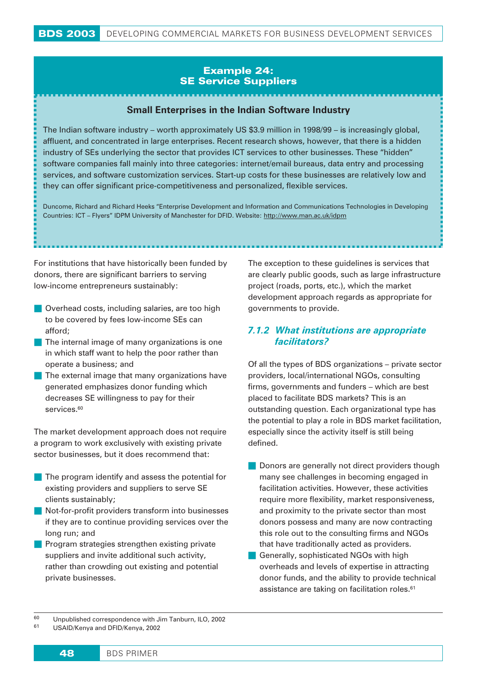# Example 24: SE Service Suppliers

## **Small Enterprises in the Indian Software Industry**

The Indian software industry – worth approximately US \$3.9 million in 1998/99 – is increasingly global, affluent, and concentrated in large enterprises. Recent research shows, however, that there is a hidden industry of SEs underlying the sector that provides ICT services to other businesses. These "hidden" software companies fall mainly into three categories: internet/email bureaus, data entry and processing services, and software customization services. Start-up costs for these businesses are relatively low and they can offer significant price-competitiveness and personalized, flexible services.

Duncome, Richard and Richard Heeks "Enterprise Development and Information and Communications Technologies in Developing Countries: ICT – Flyers" IDPM University of Manchester for DFID. Website: http://www.man.ac.uk/idpm

For institutions that have historically been funded by donors, there are significant barriers to serving low-income entrepreneurs sustainably:

- **Overhead costs, including salaries, are too high** to be covered by fees low-income SEs can afford;
- The internal image of many organizations is one in which staff want to help the poor rather than operate a business; and
- $\blacksquare$  The external image that many organizations have generated emphasizes donor funding which decreases SE willingness to pay for their services.<sup>60</sup>

The market development approach does not require a program to work exclusively with existing private sector businesses, but it does recommend that:

- The program identify and assess the potential for existing providers and suppliers to serve SE clients sustainably;
- Not-for-profit providers transform into businesses if they are to continue providing services over the long run; and
- **Program strategies strengthen existing private** suppliers and invite additional such activity, rather than crowding out existing and potential private businesses.

The exception to these guidelines is services that are clearly public goods, such as large infrastructure project (roads, ports, etc.), which the market development approach regards as appropriate for governments to provide.

## *7.1.2 What institutions are appropriate facilitators?*

Of all the types of BDS organizations – private sector providers, local/international NGOs, consulting firms, governments and funders – which are best placed to facilitate BDS markets? This is an outstanding question. Each organizational type has the potential to play a role in BDS market facilitation, especially since the activity itself is still being defined.

- Donors are generally not direct providers though many see challenges in becoming engaged in facilitation activities. However, these activities require more flexibility, market responsiveness, and proximity to the private sector than most donors possess and many are now contracting this role out to the consulting firms and NGOs that have traditionally acted as providers.
- Generally, sophisticated NGOs with high overheads and levels of expertise in attracting donor funds, and the ability to provide technical assistance are taking on facilitation roles.61

<sup>60</sup> Unpublished correspondence with Jim Tanburn, ILO, 2002 <sup>61</sup> USAID/Kenya and DFID/Kenya, 2002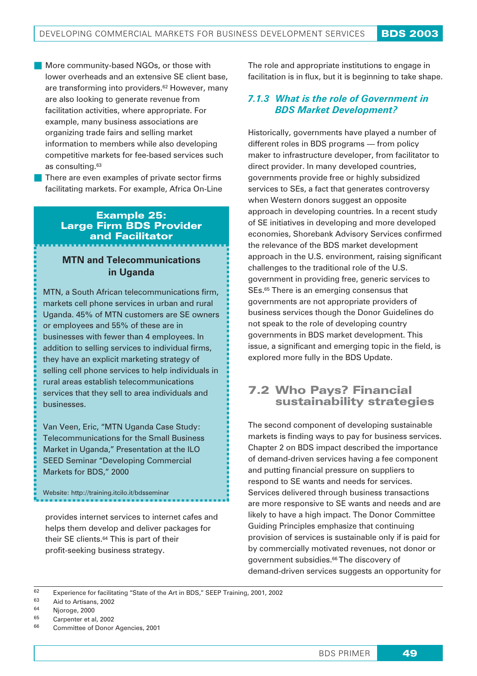- More community-based NGOs, or those with lower overheads and an extensive SE client base, are transforming into providers.<sup>62</sup> However, many are also looking to generate revenue from facilitation activities, where appropriate. For example, many business associations are organizing trade fairs and selling market information to members while also developing competitive markets for fee-based services such as consulting.63
- There are even examples of private sector firms facilitating markets. For example, Africa On-Line

#### Example 25: Large Firm BDS Provider and Facilitator

## **MTN and Telecommunications in Uganda**

MTN, a South African telecommunications firm, markets cell phone services in urban and rural Uganda. 45% of MTN customers are SE owners or employees and 55% of these are in businesses with fewer than 4 employees. In addition to selling services to individual firms, they have an explicit marketing strategy of selling cell phone services to help individuals in rural areas establish telecommunications services that they sell to area individuals and businesses.

Van Veen, Eric, "MTN Uganda Case Study: Telecommunications for the Small Business Market in Uganda," Presentation at the ILO SEED Seminar "Developing Commercial Markets for BDS," 2000

Website: http://training.itcilo.it/bdsseminar

provides internet services to internet cafes and helps them develop and deliver packages for their SE clients.64 This is part of their profit-seeking business strategy.

The role and appropriate institutions to engage in facilitation is in flux, but it is beginning to take shape.

# *7.1.3 What is the role of Government in BDS Market Development?*

Historically, governments have played a number of different roles in BDS programs — from policy maker to infrastructure developer, from facilitator to direct provider. In many developed countries, governments provide free or highly subsidized services to SEs, a fact that generates controversy when Western donors suggest an opposite approach in developing countries. In a recent study of SE initiatives in developing and more developed economies, Shorebank Advisory Services confirmed the relevance of the BDS market development approach in the U.S. environment, raising significant challenges to the traditional role of the U.S. government in providing free, generic services to SEs.<sup>65</sup> There is an emerging consensus that governments are not appropriate providers of business services though the Donor Guidelines do not speak to the role of developing country governments in BDS market development. This issue, a significant and emerging topic in the field, is explored more fully in the BDS Update.

# **7.2 Who Pays? Financial sustainability strategies**

The second component of developing sustainable markets is finding ways to pay for business services. Chapter 2 on BDS impact described the importance of demand-driven services having a fee component and putting financial pressure on suppliers to respond to SE wants and needs for services. Services delivered through business transactions are more responsive to SE wants and needs and are likely to have a high impact. The Donor Committee Guiding Principles emphasize that continuing provision of services is sustainable only if is paid for by commercially motivated revenues, not donor or government subsidies.66 The discovery of demand-driven services suggests an opportunity for

Carpenter et al, 2002

<sup>&</sup>lt;sup>62</sup> Experience for facilitating "State of the Art in BDS," SEEP Training, 2001, 2002<br><sup>63</sup> Aid to Artisses, 2002

 $^{63}$  Aid to Artisans, 2002

 $^{64}$  Njoroge, 2000

<sup>66</sup> Committee of Donor Agencies, 2001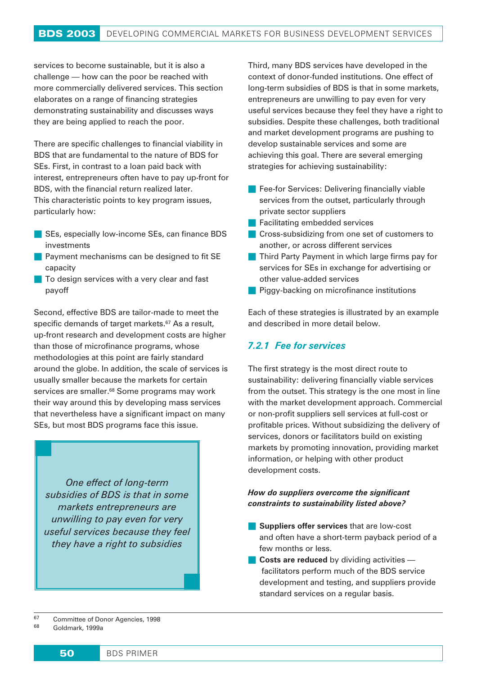services to become sustainable, but it is also a challenge — how can the poor be reached with more commercially delivered services. This section elaborates on a range of financing strategies demonstrating sustainability and discusses ways they are being applied to reach the poor.

There are specific challenges to financial viability in BDS that are fundamental to the nature of BDS for SEs. First, in contrast to a loan paid back with interest, entrepreneurs often have to pay up-front for BDS, with the financial return realized later. This characteristic points to key program issues, particularly how:

- SEs, especially low-income SEs, can finance BDS investments
- Payment mechanisms can be designed to fit SE capacity
- **To design services with a very clear and fast** payoff

Second, effective BDS are tailor-made to meet the specific demands of target markets.<sup>67</sup> As a result, up-front research and development costs are higher than those of microfinance programs, whose methodologies at this point are fairly standard around the globe. In addition, the scale of services is usually smaller because the markets for certain services are smaller.<sup>68</sup> Some programs may work their way around this by developing mass services that nevertheless have a significant impact on many SEs, but most BDS programs face this issue.

*One effect of long-term subsidies of BDS is that in some markets entrepreneurs are unwilling to pay even for very useful services because they feel they have a right to subsidies*

Third, many BDS services have developed in the context of donor-funded institutions. One effect of long-term subsidies of BDS is that in some markets, entrepreneurs are unwilling to pay even for very useful services because they feel they have a right to subsidies. Despite these challenges, both traditional and market development programs are pushing to develop sustainable services and some are achieving this goal. There are several emerging strategies for achieving sustainability:

- **Fee-for Services: Delivering financially viable** services from the outset, particularly through private sector suppliers
- **Facilitating embedded services**
- **Cross-subsidizing from one set of customers to** another, or across different services
- **Third Party Payment in which large firms pay for** services for SEs in exchange for advertising or other value-added services
- **Piggy-backing on microfinance institutions**

Each of these strategies is illustrated by an example and described in more detail below.

## *7.2.1 Fee for services*

The first strategy is the most direct route to sustainability: delivering financially viable services from the outset. This strategy is the one most in line with the market development approach. Commercial or non-profit suppliers sell services at full-cost or profitable prices. Without subsidizing the delivery of services, donors or facilitators build on existing markets by promoting innovation, providing market information, or helping with other product development costs.

#### *How do suppliers overcome the significant constraints to sustainability listed above?*

- **Suppliers offer services** that are low-cost and often have a short-term payback period of a few months or less.
- **Costs are reduced** by dividing activities facilitators perform much of the BDS service development and testing, and suppliers provide standard services on a regular basis.

Goldmark, 1999a

<sup>67</sup> Committee of Donor Agencies, 1998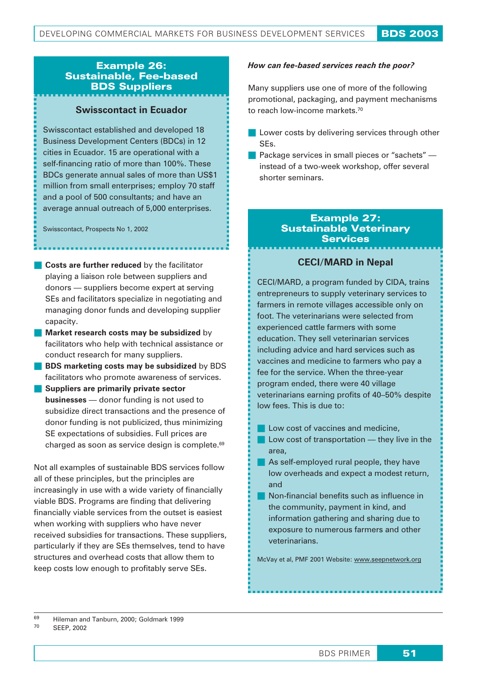## Example 26: Sustainable, Fee-based BDS Suppliers

#### **Swisscontact in Ecuador**

Swisscontact established and developed 18 Business Development Centers (BDCs) in 12 cities in Ecuador. 15 are operational with a self-financing ratio of more than 100%. These BDCs generate annual sales of more than US\$1 million from small enterprises; employ 70 staff and a pool of 500 consultants; and have an average annual outreach of 5,000 enterprises.

Swisscontact, Prospects No 1, 2002

- **Costs are further reduced** by the facilitator playing a liaison role between suppliers and donors — suppliers become expert at serving SEs and facilitators specialize in negotiating and managing donor funds and developing supplier capacity.
- **Market research costs may be subsidized** by facilitators who help with technical assistance or conduct research for many suppliers.
- **BDS marketing costs may be subsidized** by BDS facilitators who promote awareness of services.
- **Suppliers are primarily private sector businesses** — donor funding is not used to subsidize direct transactions and the presence of donor funding is not publicized, thus minimizing SE expectations of subsidies. Full prices are charged as soon as service design is complete.69

Not all examples of sustainable BDS services follow all of these principles, but the principles are increasingly in use with a wide variety of financially viable BDS. Programs are finding that delivering financially viable services from the outset is easiest when working with suppliers who have never received subsidies for transactions. These suppliers, particularly if they are SEs themselves, tend to have structures and overhead costs that allow them to keep costs low enough to profitably serve SEs.

#### *How can fee-based services reach the poor?*

Many suppliers use one of more of the following promotional, packaging, and payment mechanisms to reach low-income markets.70

- Lower costs by delivering services through other SEs.
- **Package services in small pieces or "sachets"**  $$ instead of a two-week workshop, offer several shorter seminars.

#### *Example 27: Sustainable Veterinary Services*

## **CECI/MARD in Nepal**

CECI/MARD, a program funded by CIDA, trains entrepreneurs to supply veterinary services to farmers in remote villages accessible only on foot. The veterinarians were selected from experienced cattle farmers with some education. They sell veterinarian services including advice and hard services such as vaccines and medicine to farmers who pay a fee for the service. When the three-year program ended, there were 40 village veterinarians earning profits of 40–50% despite low fees. This is due to:

- **Low cost of vaccines and medicine.**
- $\blacksquare$  Low cost of transportation they live in the area,
- As self-employed rural people, they have low overheads and expect a modest return, and
- **Non-financial benefits such as influence in** the community, payment in kind, and information gathering and sharing due to exposure to numerous farmers and other veterinarians.

McVay et al, PMF 2001 Website: www.seepnetwork.org

 $^{69}$  Hileman and Tanburn, 2000; Goldmark 1999 SEEP, 2002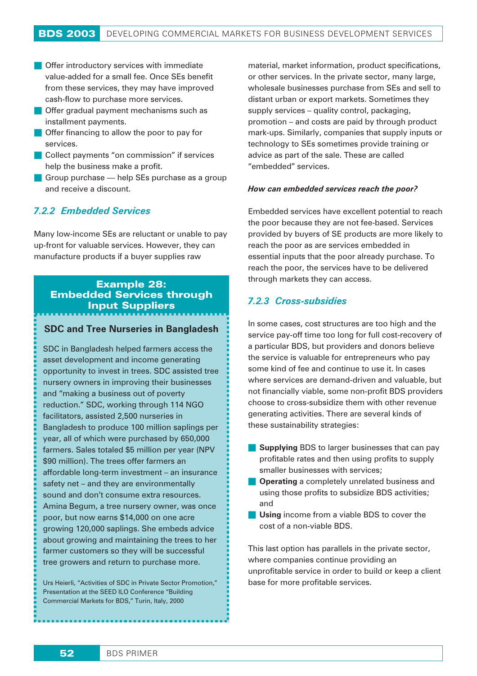- **Offer introductory services with immediate** value-added for a small fee. Once SEs benefit from these services, they may have improved cash-flow to purchase more services.
- **Offer gradual payment mechanisms such as** installment payments.
- **Offer financing to allow the poor to pay for** services.
- Collect payments "on commission" if services help the business make a profit.
- Group purchase help SEs purchase as a group and receive a discount.

## *7.2.2 Embedded Services*

Many low-income SEs are reluctant or unable to pay up-front for valuable services. However, they can manufacture products if a buyer supplies raw

## Example 28: Embedded Services through Input Suppliers

#### **SDC and Tree Nurseries in Bangladesh**

SDC in Bangladesh helped farmers access the asset development and income generating opportunity to invest in trees. SDC assisted tree nursery owners in improving their businesses and "making a business out of poverty reduction." SDC, working through 114 NGO facilitators, assisted 2,500 nurseries in Bangladesh to produce 100 million saplings per year, all of which were purchased by 650,000 farmers. Sales totaled \$5 million per year (NPV \$90 million). The trees offer farmers an affordable long-term investment – an insurance safety net – and they are environmentally sound and don't consume extra resources. Amina Begum, a tree nursery owner, was once poor, but now earns \$14,000 on one acre growing 120,000 saplings. She embeds advice about growing and maintaining the trees to her farmer customers so they will be successful tree growers and return to purchase more.

Urs Heierli, "Activities of SDC in Private Sector Promotion," Presentation at the SEED ILO Conference "Building Commercial Markets for BDS," Turin, Italy, 2000

material, market information, product specifications, or other services. In the private sector, many large, wholesale businesses purchase from SEs and sell to distant urban or export markets. Sometimes they supply services – quality control, packaging, promotion – and costs are paid by through product mark-ups. Similarly, companies that supply inputs or technology to SEs sometimes provide training or advice as part of the sale. These are called "embedded" services.

#### *How can embedded services reach the poor?*

Embedded services have excellent potential to reach the poor because they are not fee-based. Services provided by buyers of SE products are more likely to reach the poor as are services embedded in essential inputs that the poor already purchase. To reach the poor, the services have to be delivered through markets they can access.

#### *7.2.3 Cross-subsidies*

In some cases, cost structures are too high and the service pay-off time too long for full cost-recovery of a particular BDS, but providers and donors believe the service is valuable for entrepreneurs who pay some kind of fee and continue to use it. In cases where services are demand-driven and valuable, but not financially viable, some non-profit BDS providers choose to cross-subsidize them with other revenue generating activities. There are several kinds of these sustainability strategies:

- **Supplying** BDS to larger businesses that can pay profitable rates and then using profits to supply smaller businesses with services;
- **Operating** a completely unrelated business and using those profits to subsidize BDS activities; and
- **Using** income from a viable BDS to cover the cost of a non-viable BDS.

This last option has parallels in the private sector, where companies continue providing an unprofitable service in order to build or keep a client base for more profitable services.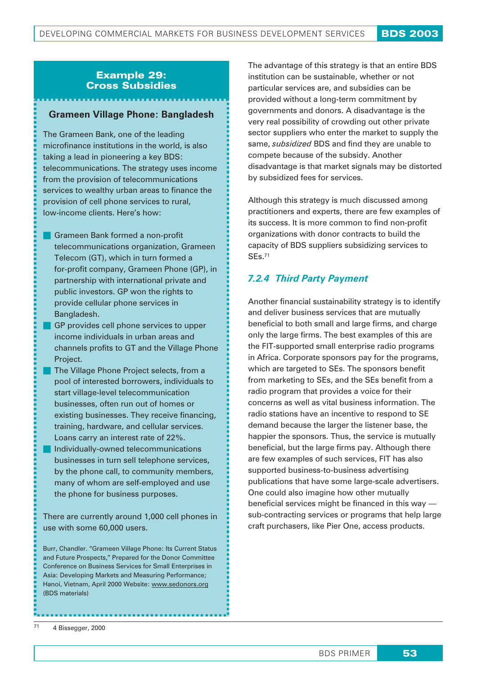## *Example 29: Cross Subsidies*

#### **Grameen Village Phone: Bangladesh**

The Grameen Bank, one of the leading microfinance institutions in the world, is also taking a lead in pioneering a key BDS: telecommunications. The strategy uses income from the provision of telecommunications services to wealthy urban areas to finance the provision of cell phone services to rural, low-income clients. Here's how:

- **Grameen Bank formed a non-profit** telecommunications organization, Grameen Telecom (GT), which in turn formed a for-profit company, Grameen Phone (GP), in partnership with international private and public investors. GP won the rights to provide cellular phone services in Bangladesh.
- GP provides cell phone services to upper income individuals in urban areas and channels profits to GT and the Village Phone Project.
- The Village Phone Project selects, from a pool of interested borrowers, individuals to start village-level telecommunication businesses, often run out of homes or existing businesses. They receive financing, training, hardware, and cellular services. Loans carry an interest rate of 22%.
- **Individually-owned telecommunications** businesses in turn sell telephone services, by the phone call, to community members, many of whom are self-employed and use the phone for business purposes.

There are currently around 1,000 cell phones in use with some 60,000 users.

Burr, Chandler. "Grameen Village Phone: Its Current Status and Future Prospects," Prepared for the Donor Committee Conference on Business Services for Small Enterprises in Asia: Developing Markets and Measuring Performance; Hanoi, Vietnam, April 2000 Website: www.sedonors.org (BDS materials)

The advantage of this strategy is that an entire BDS institution can be sustainable, whether or not particular services are, and subsidies can be provided without a long-term commitment by governments and donors. A disadvantage is the very real possibility of crowding out other private sector suppliers who enter the market to supply the same, *subsidized* BDS and find they are unable to compete because of the subsidy. Another disadvantage is that market signals may be distorted by subsidized fees for services.

Although this strategy is much discussed among practitioners and experts, there are few examples of its success. It is more common to find non-profit organizations with donor contracts to build the capacity of BDS suppliers subsidizing services to SEs.71

## *7.2.4 Third Party Payment*

Another financial sustainability strategy is to identify and deliver business services that are mutually beneficial to both small and large firms, and charge only the large firms. The best examples of this are the FIT-supported small enterprise radio programs in Africa. Corporate sponsors pay for the programs, which are targeted to SEs. The sponsors benefit from marketing to SEs, and the SEs benefit from a radio program that provides a voice for their concerns as well as vital business information. The radio stations have an incentive to respond to SE demand because the larger the listener base, the happier the sponsors. Thus, the service is mutually beneficial, but the large firms pay. Although there are few examples of such services, FIT has also supported business-to-business advertising publications that have some large-scale advertisers. One could also imagine how other mutually beneficial services might be financed in this way sub-contracting services or programs that help large craft purchasers, like Pier One, access products.

<sup>71</sup> 4 Bissegger, 2000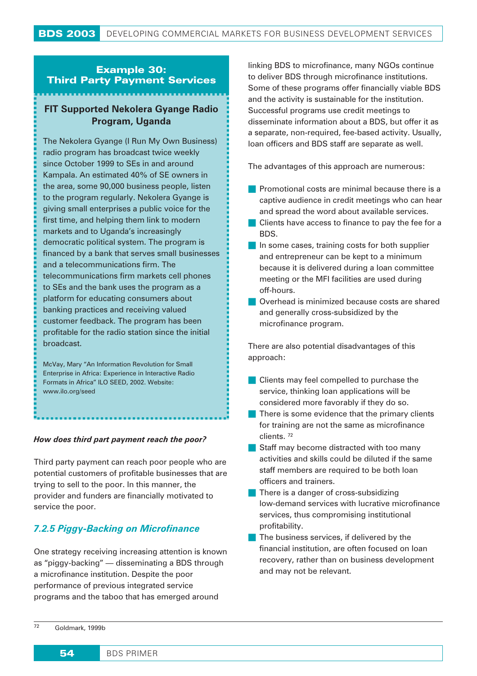## Example 30: Third Party Payment Services

# **FIT Supported Nekolera Gyange Radio Program, Uganda**

The Nekolera Gyange (I Run My Own Business) radio program has broadcast twice weekly since October 1999 to SEs in and around Kampala. An estimated 40% of SE owners in the area, some 90,000 business people, listen to the program regularly. Nekolera Gyange is giving small enterprises a public voice for the first time, and helping them link to modern markets and to Uganda's increasingly democratic political system. The program is financed by a bank that serves small businesses and a telecommunications firm. The telecommunications firm markets cell phones to SEs and the bank uses the program as a platform for educating consumers about banking practices and receiving valued customer feedback. The program has been profitable for the radio station since the initial broadcast.

McVay, Mary "An Information Revolution for Small Enterprise in Africa: Experience in Interactive Radio Formats in Africa" ILO SEED, 2002. Website: www.ilo.org/seed

#### *How does third part payment reach the poor?*

Third party payment can reach poor people who are potential customers of profitable businesses that are trying to sell to the poor. In this manner, the provider and funders are financially motivated to service the poor.

# *7.2.5 Piggy-Backing on Microfinance*

One strategy receiving increasing attention is known as "piggy-backing" — disseminating a BDS through a microfinance institution. Despite the poor performance of previous integrated service programs and the taboo that has emerged around

linking BDS to microfinance, many NGOs continue to deliver BDS through microfinance institutions. Some of these programs offer financially viable BDS and the activity is sustainable for the institution. Successful programs use credit meetings to disseminate information about a BDS, but offer it as a separate, non-required, fee-based activity. Usually, loan officers and BDS staff are separate as well.

The advantages of this approach are numerous:

- **Promotional costs are minimal because there is a** captive audience in credit meetings who can hear and spread the word about available services.
- Clients have access to finance to pay the fee for a BDS.
- In some cases, training costs for both supplier and entrepreneur can be kept to a minimum because it is delivered during a loan committee meeting or the MFI facilities are used during off-hours.
- Overhead is minimized because costs are shared and generally cross-subsidized by the microfinance program.

There are also potential disadvantages of this approach:

- **Clients may feel compelled to purchase the** service, thinking loan applications will be considered more favorably if they do so.
- There is some evidence that the primary clients for training are not the same as microfinance clients. <sup>72</sup>
- Staff may become distracted with too many activities and skills could be diluted if the same staff members are required to be both loan officers and trainers.
- **There is a danger of cross-subsidizing** low-demand services with lucrative microfinance services, thus compromising institutional profitability.
- The business services, if delivered by the financial institution, are often focused on loan recovery, rather than on business development and may not be relevant.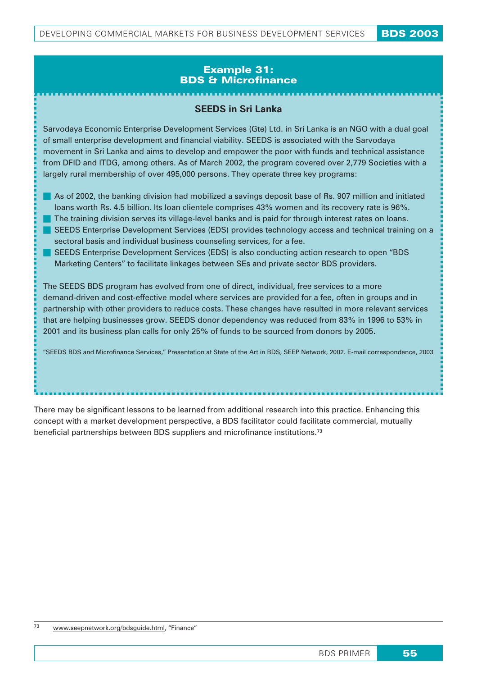## Example 31: BDS & Microfinance

## **SEEDS in Sri Lanka**

Sarvodaya Economic Enterprise Development Services (Gte) Ltd. in Sri Lanka is an NGO with a dual goal of small enterprise development and financial viability. SEEDS is associated with the Sarvodaya movement in Sri Lanka and aims to develop and empower the poor with funds and technical assistance from DFID and ITDG, among others. As of March 2002, the program covered over 2,779 Societies with a largely rural membership of over 495,000 persons. They operate three key programs:

- As of 2002, the banking division had mobilized a savings deposit base of Rs. 907 million and initiated loans worth Rs. 4.5 billion. Its loan clientele comprises 43% women and its recovery rate is 96%.
- The training division serves its village-level banks and is paid for through interest rates on loans. SEEDS Enterprise Development Services (EDS) provides technology access and technical training on a
- sectoral basis and individual business counseling services, for a fee.
- SEEDS Enterprise Development Services (EDS) is also conducting action research to open "BDS Marketing Centers" to facilitate linkages between SEs and private sector BDS providers.

The SEEDS BDS program has evolved from one of direct, individual, free services to a more demand-driven and cost-effective model where services are provided for a fee, often in groups and in partnership with other providers to reduce costs. These changes have resulted in more relevant services that are helping businesses grow. SEEDS donor dependency was reduced from 83% in 1996 to 53% in 2001 and its business plan calls for only 25% of funds to be sourced from donors by 2005.

"SEEDS BDS and Microfinance Services," Presentation at State of the Art in BDS, SEEP Network, 2002. E-mail correspondence, 2003

There may be significant lessons to be learned from additional research into this practice. Enhancing this concept with a market development perspective, a BDS facilitator could facilitate commercial, mutually beneficial partnerships between BDS suppliers and microfinance institutions.73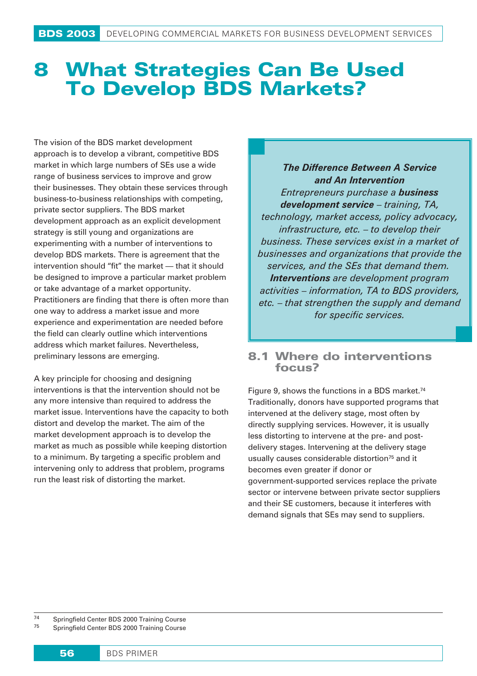# 8 **What Strategies Can Be Used To Develop BDS Markets?**

The vision of the BDS market development approach is to develop a vibrant, competitive BDS market in which large numbers of SEs use a wide range of business services to improve and grow their businesses. They obtain these services through business-to-business relationships with competing, private sector suppliers. The BDS market development approach as an explicit development strategy is still young and organizations are experimenting with a number of interventions to develop BDS markets. There is agreement that the intervention should "fit" the market — that it should be designed to improve a particular market problem or take advantage of a market opportunity. Practitioners are finding that there is often more than one way to address a market issue and more experience and experimentation are needed before the field can clearly outline which interventions address which market failures. Nevertheless, preliminary lessons are emerging.

A key principle for choosing and designing interventions is that the intervention should not be any more intensive than required to address the market issue. Interventions have the capacity to both distort and develop the market. The aim of the market development approach is to develop the market as much as possible while keeping distortion to a minimum. By targeting a specific problem and intervening only to address that problem, programs run the least risk of distorting the market.

*The Difference Between A Service and An Intervention Entrepreneurs purchase a business development service – training, TA, technology, market access, policy advocacy, infrastructure, etc. – to develop their business. These services exist in a market of businesses and organizations that provide the services, and the SEs that demand them. Interventions are development program activities – information, TA to BDS providers, etc. – that strengthen the supply and demand for specific services.*

# 8.1 Where do interventions focus?

Figure 9, shows the functions in a BDS market.<sup>74</sup> Traditionally, donors have supported programs that intervened at the delivery stage, most often by directly supplying services. However, it is usually less distorting to intervene at the pre- and postdelivery stages. Intervening at the delivery stage usually causes considerable distortion<sup>75</sup> and it becomes even greater if donor or government-supported services replace the private sector or intervene between private sector suppliers and their SE customers, because it interferes with demand signals that SEs may send to suppliers.

<sup>74</sup> Springfield Center BDS 2000 Training Course<br><sup>75</sup> Springfield Center BDS 2000 Training Course <sup>75</sup> Springfield Center BDS 2000 Training Course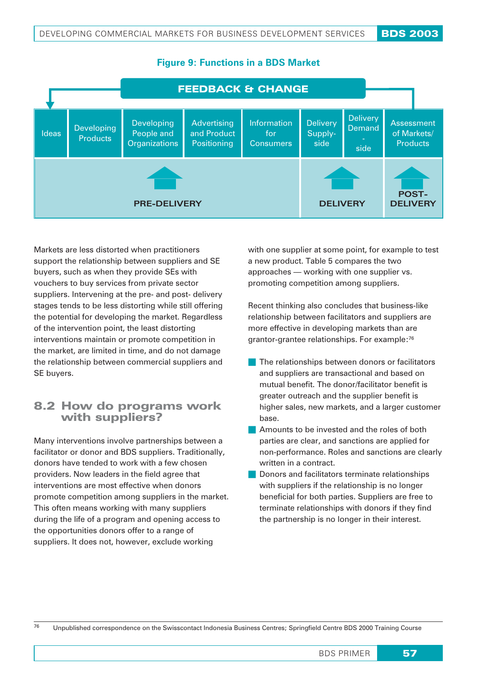

## **Figure 9: Functions in a BDS Market**

Markets are less distorted when practitioners support the relationship between suppliers and SE buyers, such as when they provide SEs with vouchers to buy services from private sector suppliers. Intervening at the pre- and post- delivery stages tends to be less distorting while still offering the potential for developing the market. Regardless of the intervention point, the least distorting interventions maintain or promote competition in the market, are limited in time, and do not damage the relationship between commercial suppliers and SE buyers.

# 8.2 How do programs work with suppliers?

Many interventions involve partnerships between a facilitator or donor and BDS suppliers. Traditionally, donors have tended to work with a few chosen providers. Now leaders in the field agree that interventions are most effective when donors promote competition among suppliers in the market. This often means working with many suppliers during the life of a program and opening access to the opportunities donors offer to a range of suppliers. It does not, however, exclude working

with one supplier at some point, for example to test a new product. Table 5 compares the two approaches — working with one supplier vs. promoting competition among suppliers.

Recent thinking also concludes that business-like relationship between facilitators and suppliers are more effective in developing markets than are grantor-grantee relationships. For example:76

- The relationships between donors or facilitators and suppliers are transactional and based on mutual benefit. The donor/facilitator benefit is greater outreach and the supplier benefit is higher sales, new markets, and a larger customer base.
- **Amounts to be invested and the roles of both** parties are clear, and sanctions are applied for non-performance. Roles and sanctions are clearly written in a contract.
- **Donors and facilitators terminate relationships** with suppliers if the relationship is no longer beneficial for both parties. Suppliers are free to terminate relationships with donors if they find the partnership is no longer in their interest.

<sup>76</sup> Unpublished correspondence on the Swisscontact Indonesia Business Centres; Springfield Centre BDS 2000 Training Course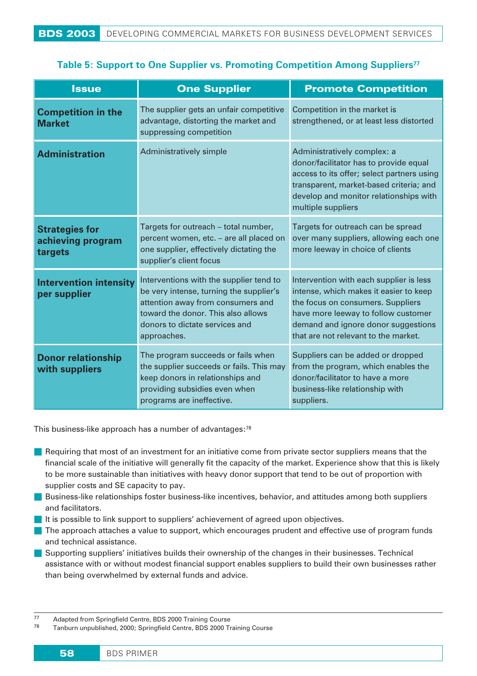# **Table 5: Support to One Supplier vs. Promoting Competition Among Suppliers**<sup>77</sup>

| <b>Issue</b>                                          | <b>One Supplier</b>                                                                                                                                                                                            | <b>Promote Competition</b>                                                                                                                                                                                                                   |
|-------------------------------------------------------|----------------------------------------------------------------------------------------------------------------------------------------------------------------------------------------------------------------|----------------------------------------------------------------------------------------------------------------------------------------------------------------------------------------------------------------------------------------------|
| <b>Competition in the</b><br><b>Market</b>            | The supplier gets an unfair competitive<br>advantage, distorting the market and<br>suppressing competition                                                                                                     | Competition in the market is<br>strengthened, or at least less distorted                                                                                                                                                                     |
| <b>Administration</b>                                 | Administratively simple                                                                                                                                                                                        | Administratively complex: a<br>donor/facilitator has to provide equal<br>access to its offer; select partners using<br>transparent, market-based criteria; and<br>develop and monitor relationships with<br>multiple suppliers               |
| <b>Strategies for</b><br>achieving program<br>targets | Targets for outreach - total number,<br>percent women, etc. - are all placed on<br>one supplier, effectively dictating the<br>supplier's client focus                                                          | Targets for outreach can be spread<br>over many suppliers, allowing each one<br>more leeway in choice of clients                                                                                                                             |
| <b>Intervention intensity</b><br>per supplier         | Interventions with the supplier tend to<br>be very intense, turning the supplier's<br>attention away from consumers and<br>toward the donor. This also allows<br>donors to dictate services and<br>approaches. | Intervention with each supplier is less<br>intense, which makes it easier to keep<br>the focus on consumers. Suppliers<br>have more leeway to follow customer<br>demand and ignore donor suggestions<br>that are not relevant to the market. |
| <b>Donor relationship</b><br>with suppliers           | The program succeeds or fails when<br>the supplier succeeds or fails. This may<br>keep donors in relationships and<br>providing subsidies even when<br>programs are ineffective.                               | Suppliers can be added or dropped<br>from the program, which enables the<br>donor/facilitator to have a more<br>business-like relationship with<br>suppliers.                                                                                |

This business-like approach has a number of advantages:78

- Requiring that most of an investment for an initiative come from private sector suppliers means that the financial scale of the initiative will generally fit the capacity of the market. Experience show that this is likely to be more sustainable than initiatives with heavy donor support that tend to be out of proportion with supplier costs and SE capacity to pay.
- **Business-like relationships foster business-like incentives, behavior, and attitudes among both suppliers** and facilitators.
- It is possible to link support to suppliers' achievement of agreed upon objectives.
- The approach attaches a value to support, which encourages prudent and effective use of program funds and technical assistance.
- **Supporting suppliers' initiatives builds their ownership of the changes in their businesses. Technical** assistance with or without modest financial support enables suppliers to build their own businesses rather than being overwhelmed by external funds and advice.

<sup>77</sup> Adapted from Springfield Centre, BDS 2000 Training Course<br>78 Taphura uppublished 2000: Springfield Centre, BDS 2000 Tra

Tanburn unpublished, 2000; Springfield Centre, BDS 2000 Training Course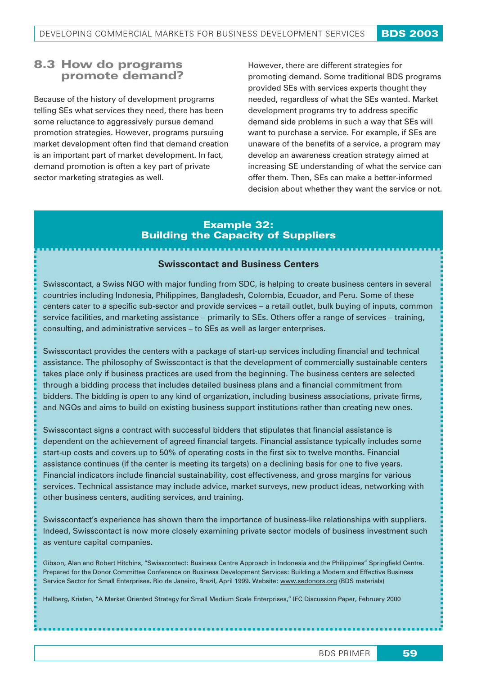# 8.3 How do programs promote demand?

Because of the history of development programs telling SEs what services they need, there has been some reluctance to aggressively pursue demand promotion strategies. However, programs pursuing market development often find that demand creation is an important part of market development. In fact, demand promotion is often a key part of private sector marketing strategies as well.

However, there are different strategies for promoting demand. Some traditional BDS programs provided SEs with services experts thought they needed, regardless of what the SEs wanted. Market development programs try to address specific demand side problems in such a way that SEs will want to purchase a service. For example, if SEs are unaware of the benefits of a service, a program may develop an awareness creation strategy aimed at increasing SE understanding of what the service can offer them. Then, SEs can make a better-informed decision about whether they want the service or not.

# *Example 32: Building the Capacity of Suppliers*

#### **Swisscontact and Business Centers**

Swisscontact, a Swiss NGO with major funding from SDC, is helping to create business centers in several countries including Indonesia, Philippines, Bangladesh, Colombia, Ecuador, and Peru. Some of these centers cater to a specific sub-sector and provide services – a retail outlet, bulk buying of inputs, common service facilities, and marketing assistance – primarily to SEs. Others offer a range of services – training, consulting, and administrative services – to SEs as well as larger enterprises.

Swisscontact provides the centers with a package of start-up services including financial and technical assistance. The philosophy of Swisscontact is that the development of commercially sustainable centers takes place only if business practices are used from the beginning. The business centers are selected through a bidding process that includes detailed business plans and a financial commitment from bidders. The bidding is open to any kind of organization, including business associations, private firms, and NGOs and aims to build on existing business support institutions rather than creating new ones.

Swisscontact signs a contract with successful bidders that stipulates that financial assistance is dependent on the achievement of agreed financial targets. Financial assistance typically includes some start-up costs and covers up to 50% of operating costs in the first six to twelve months. Financial assistance continues (if the center is meeting its targets) on a declining basis for one to five years. Financial indicators include financial sustainability, cost effectiveness, and gross margins for various services. Technical assistance may include advice, market surveys, new product ideas, networking with other business centers, auditing services, and training.

Swisscontact's experience has shown them the importance of business-like relationships with suppliers. Indeed, Swisscontact is now more closely examining private sector models of business investment such as venture capital companies.

Gibson, Alan and Robert Hitchins, "Swisscontact: Business Centre Approach in Indonesia and the Philippines" Springfield Centre. Prepared for the Donor Committee Conference on Business Development Services: Building a Modern and Effective Business Service Sector for Small Enterprises. Rio de Janeiro, Brazil, April 1999. Website: www.sedonors.org (BDS materials)

Hallberg, Kristen, "A Market Oriented Strategy for Small Medium Scale Enterprises," IFC Discussion Paper, February 2000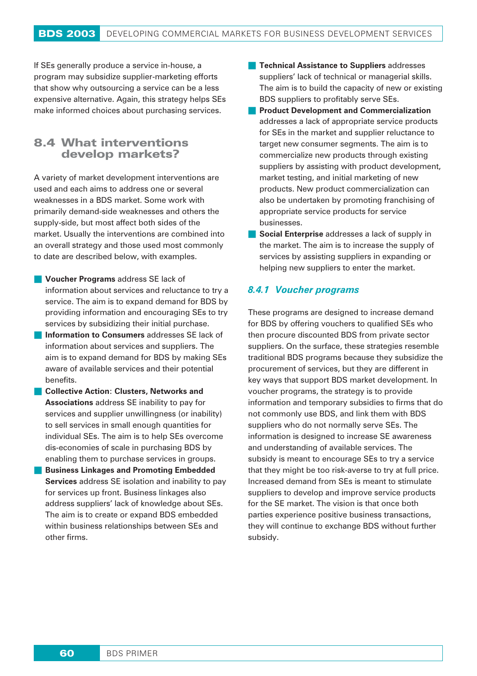If SEs generally produce a service in-house, a program may subsidize supplier-marketing efforts that show why outsourcing a service can be a less expensive alternative. Again, this strategy helps SEs make informed choices about purchasing services.

# **8.4 What interventions develop markets?**

A variety of market development interventions are used and each aims to address one or several weaknesses in a BDS market. Some work with primarily demand-side weaknesses and others the supply-side, but most affect both sides of the market. Usually the interventions are combined into an overall strategy and those used most commonly to date are described below, with examples.

- **Voucher Programs** address SE lack of information about services and reluctance to try a service. The aim is to expand demand for BDS by providing information and encouraging SEs to try services by subsidizing their initial purchase.
- **Information to Consumers** addresses SE lack of information about services and suppliers. The aim is to expand demand for BDS by making SEs aware of available services and their potential benefits.
- **Collective Action**: **Clusters, Networks and Associations** address SE inability to pay for services and supplier unwillingness (or inability) to sell services in small enough quantities for individual SEs. The aim is to help SEs overcome dis-economies of scale in purchasing BDS by enabling them to purchase services in groups.
- **Business Linkages and Promoting Embedded Services** address SE isolation and inability to pay for services up front. Business linkages also address suppliers' lack of knowledge about SEs. The aim is to create or expand BDS embedded within business relationships between SEs and other firms.
- **Technical Assistance to Suppliers** addresses suppliers' lack of technical or managerial skills. The aim is to build the capacity of new or existing BDS suppliers to profitably serve SEs.
- **Product Development and Commercialization** addresses a lack of appropriate service products for SEs in the market and supplier reluctance to target new consumer segments. The aim is to commercialize new products through existing suppliers by assisting with product development, market testing, and initial marketing of new products. New product commercialization can also be undertaken by promoting franchising of appropriate service products for service businesses.
- **Social Enterprise** addresses a lack of supply in the market. The aim is to increase the supply of services by assisting suppliers in expanding or helping new suppliers to enter the market.

## *8.4.1 Voucher programs*

These programs are designed to increase demand for BDS by offering vouchers to qualified SEs who then procure discounted BDS from private sector suppliers. On the surface, these strategies resemble traditional BDS programs because they subsidize the procurement of services, but they are different in key ways that support BDS market development. In voucher programs, the strategy is to provide information and temporary subsidies to firms that do not commonly use BDS, and link them with BDS suppliers who do not normally serve SEs. The information is designed to increase SE awareness and understanding of available services. The subsidy is meant to encourage SEs to try a service that they might be too risk-averse to try at full price. Increased demand from SEs is meant to stimulate suppliers to develop and improve service products for the SE market. The vision is that once both parties experience positive business transactions, they will continue to exchange BDS without further subsidy.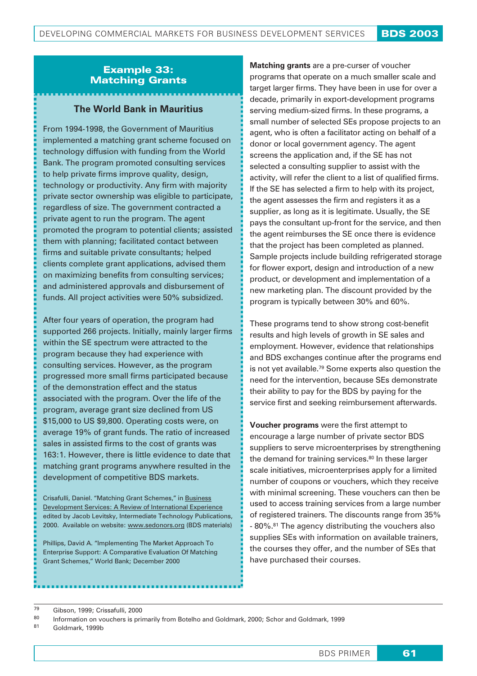## Example 33: Matching Grants

## **The World Bank in Mauritius**

From 1994-1998, the Government of Mauritius implemented a matching grant scheme focused on technology diffusion with funding from the World Bank. The program promoted consulting services to help private firms improve quality, design, technology or productivity. Any firm with majority private sector ownership was eligible to participate, regardless of size. The government contracted a private agent to run the program. The agent promoted the program to potential clients; assisted them with planning; facilitated contact between firms and suitable private consultants; helped clients complete grant applications, advised them on maximizing benefits from consulting services; and administered approvals and disbursement of funds. All project activities were 50% subsidized.

After four years of operation, the program had supported 266 projects. Initially, mainly larger firms within the SE spectrum were attracted to the program because they had experience with consulting services. However, as the program progressed more small firms participated because of the demonstration effect and the status associated with the program. Over the life of the program, average grant size declined from US \$15,000 to US \$9,800. Operating costs were, on average 19% of grant funds. The ratio of increased sales in assisted firms to the cost of grants was 163:1. However, there is little evidence to date that matching grant programs anywhere resulted in the development of competitive BDS markets.

Crisafulli, Daniel. "Matching Grant Schemes," in Business Development Services: A Review of International Experience edited by Jacob Levitsky, Intermediate Technology Publications, 2000. Available on website: www.sedonors.org (BDS materials)

Phillips, David A. "Implementing The Market Approach To Enterprise Support: A Comparative Evaluation Of Matching Grant Schemes," World Bank; December 2000

**Matching grants** are a pre-curser of voucher programs that operate on a much smaller scale and target larger firms. They have been in use for over a decade, primarily in export-development programs serving medium-sized firms. In these programs, a small number of selected SEs propose projects to an agent, who is often a facilitator acting on behalf of a donor or local government agency. The agent screens the application and, if the SE has not selected a consulting supplier to assist with the activity, will refer the client to a list of qualified firms. If the SE has selected a firm to help with its project, the agent assesses the firm and registers it as a supplier, as long as it is legitimate. Usually, the SE pays the consultant up-front for the service, and then the agent reimburses the SE once there is evidence that the project has been completed as planned. Sample projects include building refrigerated storage for flower export, design and introduction of a new product, or development and implementation of a new marketing plan. The discount provided by the program is typically between 30% and 60%.

These programs tend to show strong cost-benefit results and high levels of growth in SE sales and employment. However, evidence that relationships and BDS exchanges continue after the programs end is not yet available.79 Some experts also question the need for the intervention, because SEs demonstrate their ability to pay for the BDS by paying for the service first and seeking reimbursement afterwards.

**Voucher programs** were the first attempt to encourage a large number of private sector BDS suppliers to serve microenterprises by strengthening the demand for training services.<sup>80</sup> In these larger scale initiatives, microenterprises apply for a limited number of coupons or vouchers, which they receive with minimal screening. These vouchers can then be used to access training services from a large number of registered trainers. The discounts range from 35% - 80%.81 The agency distributing the vouchers also supplies SEs with information on available trainers, the courses they offer, and the number of SEs that have purchased their courses.

 $^{79}$  Gibson, 1999; Crissafulli, 2000

<sup>81</sup> Goldmark, 1999b

<sup>80</sup> Information on vouchers is primarily from Botelho and Goldmark, 2000; Schor and Goldmark, 1999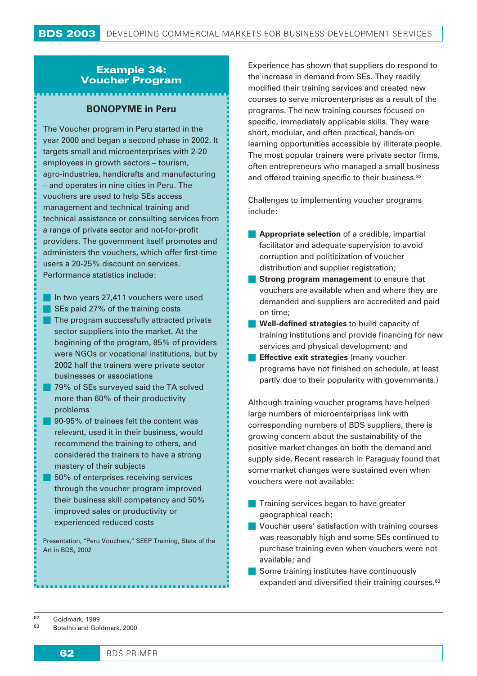## Example 34: Voucher Program

## **BONOPYME in Peru**

The Voucher program in Peru started in the year 2000 and began a second phase in 2002. It targets small and microenterprises with 2-20 employees in growth sectors – tourism, agro-industries, handicrafts and manufacturing – and operates in nine cities in Peru. The vouchers are used to help SEs access management and technical training and technical assistance or consulting services from a range of private sector and not-for-profit providers. The government itself promotes and administers the vouchers, which offer first-time users a 20-25% discount on services. Performance statistics include:

- In two years 27,411 vouchers were used
- SEs paid 27% of the training costs
- The program successfully attracted private sector suppliers into the market. At the beginning of the program, 85% of providers were NGOs or vocational institutions, but by 2002 half the trainers were private sector businesses or associations
- 79% of SEs surveyed said the TA solved more than 60% of their productivity problems
- 90-95% of trainees felt the content was relevant, used it in their business, would recommend the training to others, and considered the trainers to have a strong mastery of their subjects
- 50% of enterprises receiving services through the voucher program improved their business skill competency and 50% improved sales or productivity or experienced reduced costs

Presentation, "Peru Vouchers," SEEP Training, State of the Art in BDS, 2002

Experience has shown that suppliers do respond to the increase in demand from SEs. They readily modified their training services and created new courses to serve microenterprises as a result of the programs. The new training courses focused on specific, immediately applicable skills. They were short, modular, and often practical, hands-on learning opportunities accessible by illiterate people. The most popular trainers were private sector firms, often entrepreneurs who managed a small business and offered training specific to their business.<sup>82</sup>

Challenges to implementing voucher programs include:

- **Appropriate selection** of a credible, impartial facilitator and adequate supervision to avoid corruption and politicization of voucher distribution and supplier registration;
- **Strong program management** to ensure that vouchers are available when and where they are demanded and suppliers are accredited and paid on time;
- **Well-defined strategies** to build capacity of training institutions and provide financing for new services and physical development; and
- **Effective exit strategies** (many voucher programs have not finished on schedule, at least partly due to their popularity with governments.)

Although training voucher programs have helped large numbers of microenterprises link with corresponding numbers of BDS suppliers, there is growing concern about the sustainability of the positive market changes on both the demand and supply side. Recent research in Paraguay found that some market changes were sustained even when vouchers were not available:

- **Training services began to have greater** geographical reach;
- **Voucher users' satisfaction with training courses** was reasonably high and some SEs continued to purchase training even when vouchers were not available; and
- Some training institutes have continuously expanded and diversified their training courses.<sup>83</sup>

 $\begin{array}{r} 82 \text{ Goldmark, } 1999 \end{array}$ <br> $\begin{array}{r} 83 \text{ Botolho, and } \text{Goldmark} \end{array}$ 

Botelho and Goldmark, 2000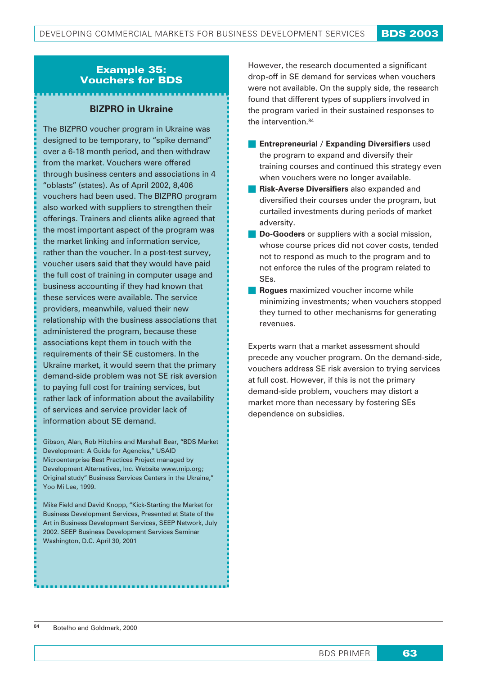## Example 35: Vouchers for BDS

## **BIZPRO in Ukraine**

The BIZPRO voucher program in Ukraine was designed to be temporary, to "spike demand" over a 6-18 month period, and then withdraw from the market. Vouchers were offered through business centers and associations in 4 "oblasts" (states). As of April 2002, 8,406 vouchers had been used. The BIZPRO program also worked with suppliers to strengthen their offerings. Trainers and clients alike agreed that the most important aspect of the program was the market linking and information service, rather than the voucher. In a post-test survey, voucher users said that they would have paid the full cost of training in computer usage and business accounting if they had known that these services were available. The service providers, meanwhile, valued their new relationship with the business associations that administered the program, because these associations kept them in touch with the requirements of their SE customers. In the Ukraine market, it would seem that the primary demand-side problem was not SE risk aversion to paying full cost for training services, but rather lack of information about the availability of services and service provider lack of information about SE demand.

Gibson, Alan, Rob Hitchins and Marshall Bear, "BDS Market Development: A Guide for Agencies," USAID Microenterprise Best Practices Project managed by Development Alternatives, Inc. Website www.mip.org; Original study" Business Services Centers in the Ukraine," Yoo Mi Lee, 1999.

Mike Field and David Knopp, "Kick-Starting the Market for Business Development Services, Presented at State of the Art in Business Development Services, SEEP Network, July 2002. SEEP Business Development Services Seminar Washington, D.C. April 30, 2001

However, the research documented a significant drop-off in SE demand for services when vouchers were not available. On the supply side, the research found that different types of suppliers involved in the program varied in their sustained responses to the intervention.84

- **Entrepreneurial / Expanding Diversifiers** used the program to expand and diversify their training courses and continued this strategy even when vouchers were no longer available.
- **Risk-Averse Diversifiers** also expanded and diversified their courses under the program, but curtailed investments during periods of market adversity.
- **Do-Gooders** or suppliers with a social mission, whose course prices did not cover costs, tended not to respond as much to the program and to not enforce the rules of the program related to SEs.
- **Rogues** maximized voucher income while minimizing investments; when vouchers stopped they turned to other mechanisms for generating revenues.

Experts warn that a market assessment should precede any voucher program. On the demand-side, vouchers address SE risk aversion to trying services at full cost. However, if this is not the primary demand-side problem, vouchers may distort a market more than necessary by fostering SEs dependence on subsidies.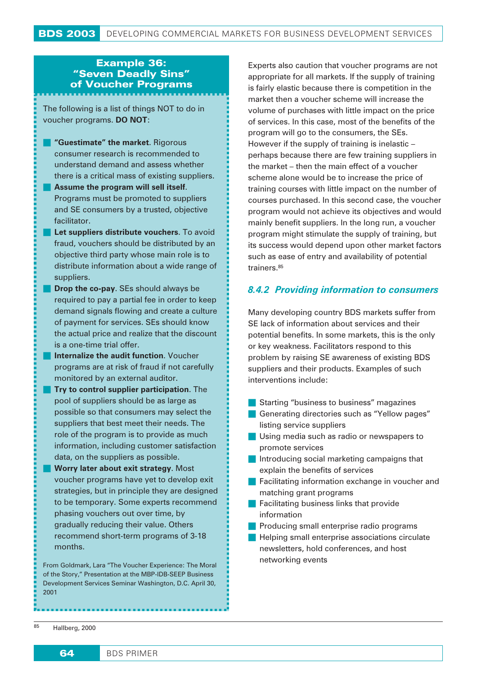# Example 36: "Seven Deadly Sins" of Voucher Programs

The following is a list of things NOT to do in voucher programs. **DO NOT**:

- **"Guestimate" the market**. Rigorous consumer research is recommended to understand demand and assess whether there is a critical mass of existing suppliers.
- **Assume the program will sell itself.** Programs must be promoted to suppliers and SE consumers by a trusted, objective facilitator.
- **Let suppliers distribute vouchers**. To avoid fraud, vouchers should be distributed by an objective third party whose main role is to distribute information about a wide range of suppliers.
- **Drop the co-pay**. SEs should always be required to pay a partial fee in order to keep demand signals flowing and create a culture of payment for services. SEs should know the actual price and realize that the discount is a one-time trial offer.
- **Internalize the audit function**. Voucher programs are at risk of fraud if not carefully monitored by an external auditor.
- **Try to control supplier participation.** The pool of suppliers should be as large as possible so that consumers may select the suppliers that best meet their needs. The role of the program is to provide as much information, including customer satisfaction data, on the suppliers as possible.
- **Worry later about exit strategy**. Most voucher programs have yet to develop exit strategies, but in principle they are designed to be temporary. Some experts recommend phasing vouchers out over time, by gradually reducing their value. Others recommend short-term programs of 3-18 months.

From Goldmark, Lara "The Voucher Experience: The Moral of the Story," Presentation at the MBP-IDB-SEEP Business Development Services Seminar Washington, D.C. April 30, 2001

Experts also caution that voucher programs are not appropriate for all markets. If the supply of training is fairly elastic because there is competition in the market then a voucher scheme will increase the volume of purchases with little impact on the price of services. In this case, most of the benefits of the program will go to the consumers, the SEs. However if the supply of training is inelastic – perhaps because there are few training suppliers in the market – then the main effect of a voucher scheme alone would be to increase the price of training courses with little impact on the number of courses purchased. In this second case, the voucher program would not achieve its objectives and would mainly benefit suppliers. In the long run, a voucher program might stimulate the supply of training, but its success would depend upon other market factors such as ease of entry and availability of potential trainers.<sup>85</sup>

## *8.4.2 Providing information to consumers*

Many developing country BDS markets suffer from SE lack of information about services and their potential benefits. In some markets, this is the only or key weakness. Facilitators respond to this problem by raising SE awareness of existing BDS suppliers and their products. Examples of such interventions include:

- **Starting "business to business" magazines**
- Generating directories such as "Yellow pages" listing service suppliers
- **Using media such as radio or newspapers to** promote services
- Introducing social marketing campaigns that explain the benefits of services
- **Facilitating information exchange in voucher and** matching grant programs
- **Facilitating business links that provide** information
- **Producing small enterprise radio programs**
- **Helping small enterprise associations circulate** newsletters, hold conferences, and host networking events

<sup>85</sup> Hallberg, 2000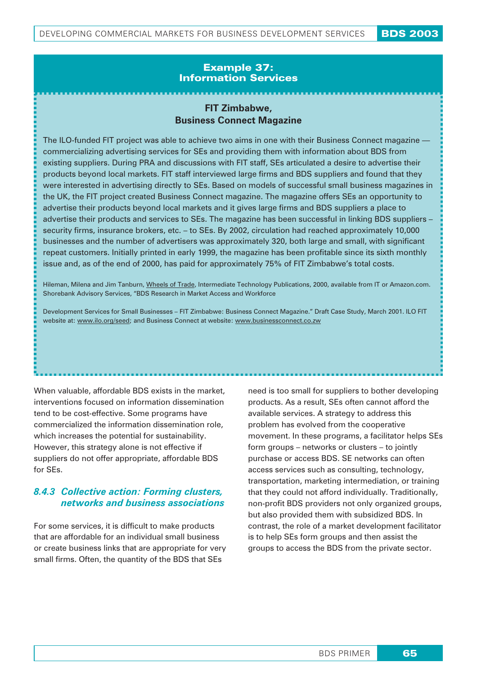### Example 37: Information Services

## **FIT Zimbabwe, Business Connect Magazine**

The ILO-funded FIT project was able to achieve two aims in one with their Business Connect magazine commercializing advertising services for SEs and providing them with information about BDS from existing suppliers. During PRA and discussions with FIT staff, SEs articulated a desire to advertise their products beyond local markets. FIT staff interviewed large firms and BDS suppliers and found that they were interested in advertising directly to SEs. Based on models of successful small business magazines in the UK, the FIT project created Business Connect magazine. The magazine offers SEs an opportunity to advertise their products beyond local markets and it gives large firms and BDS suppliers a place to advertise their products and services to SEs. The magazine has been successful in linking BDS suppliers – security firms, insurance brokers, etc. – to SEs. By 2002, circulation had reached approximately 10,000 businesses and the number of advertisers was approximately 320, both large and small, with significant repeat customers. Initially printed in early 1999, the magazine has been profitable since its sixth monthly issue and, as of the end of 2000, has paid for approximately 75% of FIT Zimbabwe's total costs.

Hileman, Milena and Jim Tanburn, Wheels of Trade, Intermediate Technology Publications, 2000, available from IT or Amazon.com. Shorebank Advisory Services, "BDS Research in Market Access and Workforce

Development Services for Small Businesses – FIT Zimbabwe: Business Connect Magazine." Draft Case Study, March 2001. ILO FIT website at: www.ilo.org/seed; and Business Connect at website: www.businessconnect.co.zw

When valuable, affordable BDS exists in the market. interventions focused on information dissemination tend to be cost-effective. Some programs have commercialized the information dissemination role, which increases the potential for sustainability. However, this strategy alone is not effective if suppliers do not offer appropriate, affordable BDS for SEs.

### *8.4.3 Collective action: Forming clusters, networks and business associations*

For some services, it is difficult to make products that are affordable for an individual small business or create business links that are appropriate for very small firms. Often, the quantity of the BDS that SEs

need is too small for suppliers to bother developing products. As a result, SEs often cannot afford the available services. A strategy to address this problem has evolved from the cooperative movement. In these programs, a facilitator helps SEs form groups – networks or clusters – to jointly purchase or access BDS. SE networks can often access services such as consulting, technology, transportation, marketing intermediation, or training that they could not afford individually. Traditionally, non-profit BDS providers not only organized groups, but also provided them with subsidized BDS. In contrast, the role of a market development facilitator is to help SEs form groups and then assist the groups to access the BDS from the private sector.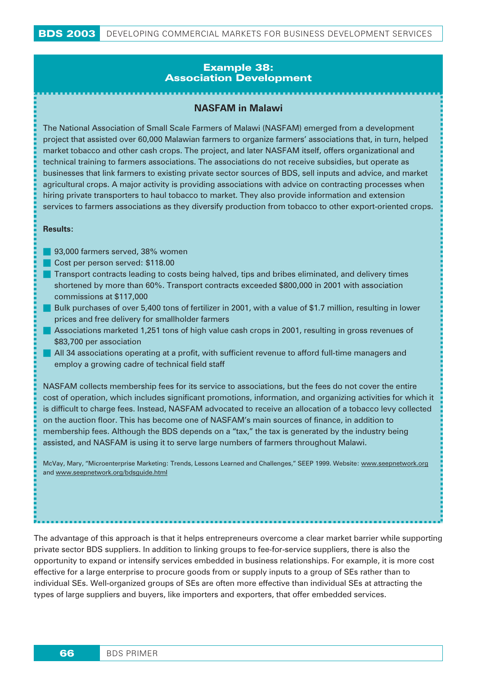### *Example 38: Association Development*

### **NASFAM in Malawi**

The National Association of Small Scale Farmers of Malawi (NASFAM) emerged from a development project that assisted over 60,000 Malawian farmers to organize farmers' associations that, in turn, helped market tobacco and other cash crops. The project, and later NASFAM itself, offers organizational and technical training to farmers associations. The associations do not receive subsidies, but operate as businesses that link farmers to existing private sector sources of BDS, sell inputs and advice, and market agricultural crops. A major activity is providing associations with advice on contracting processes when hiring private transporters to haul tobacco to market. They also provide information and extension services to farmers associations as they diversify production from tobacco to other export-oriented crops.

#### **Results:**

- **93,000 farmers served, 38% women**
- Cost per person served: \$118.00
- **The Transport contracts leading to costs being halved, tips and bribes eliminated, and delivery times** shortened by more than 60%. Transport contracts exceeded \$800,000 in 2001 with association commissions at \$117,000
- Bulk purchases of over 5,400 tons of fertilizer in 2001, with a value of \$1.7 million, resulting in lower prices and free delivery for smallholder farmers
- Associations marketed 1,251 tons of high value cash crops in 2001, resulting in gross revenues of \$83,700 per association
- **All 34 associations operating at a profit, with sufficient revenue to afford full-time managers and** employ a growing cadre of technical field staff

NASFAM collects membership fees for its service to associations, but the fees do not cover the entire cost of operation, which includes significant promotions, information, and organizing activities for which it is difficult to charge fees. Instead, NASFAM advocated to receive an allocation of a tobacco levy collected on the auction floor. This has become one of NASFAM's main sources of finance, in addition to membership fees. Although the BDS depends on a "tax," the tax is generated by the industry being assisted, and NASFAM is using it to serve large numbers of farmers throughout Malawi.

McVay, Mary, "Microenterprise Marketing: Trends, Lessons Learned and Challenges," SEEP 1999. Website: www.seepnetwork.org and www.seepnetwork.org/bdsguide.html

The advantage of this approach is that it helps entrepreneurs overcome a clear market barrier while supporting private sector BDS suppliers. In addition to linking groups to fee-for-service suppliers, there is also the opportunity to expand or intensify services embedded in business relationships. For example, it is more cost effective for a large enterprise to procure goods from or supply inputs to a group of SEs rather than to individual SEs. Well-organized groups of SEs are often more effective than individual SEs at attracting the types of large suppliers and buyers, like importers and exporters, that offer embedded services.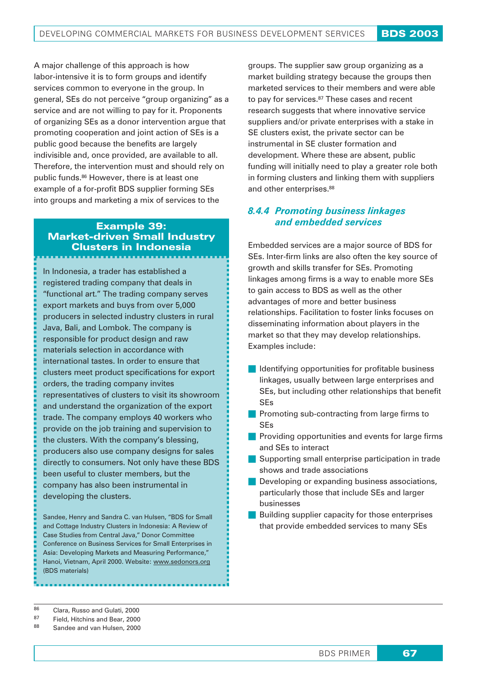A major challenge of this approach is how labor-intensive it is to form groups and identify services common to everyone in the group. In general, SEs do not perceive "group organizing" as a service and are not willing to pay for it. Proponents of organizing SEs as a donor intervention argue that promoting cooperation and joint action of SEs is a public good because the benefits are largely indivisible and, once provided, are available to all. Therefore, the intervention must and should rely on public funds.86 However, there is at least one example of a for-profit BDS supplier forming SEs into groups and marketing a mix of services to the

### Example 39: Market-driven Small Industry Clusters in Indonesia

In Indonesia, a trader has established a registered trading company that deals in "functional art." The trading company serves export markets and buys from over 5,000 producers in selected industry clusters in rural Java, Bali, and Lombok. The company is responsible for product design and raw materials selection in accordance with international tastes. In order to ensure that clusters meet product specifications for export orders, the trading company invites representatives of clusters to visit its showroom and understand the organization of the export trade. The company employs 40 workers who provide on the job training and supervision to the clusters. With the company's blessing, producers also use company designs for sales directly to consumers. Not only have these BDS been useful to cluster members, but the company has also been instrumental in developing the clusters.

Sandee, Henry and Sandra C. van Hulsen, "BDS for Small and Cottage Industry Clusters in Indonesia: A Review of Case Studies from Central Java," Donor Committee Conference on Business Services for Small Enterprises in Asia: Developing Markets and Measuring Performance," Hanoi, Vietnam, April 2000. Website: www.sedonors.org (BDS materials)

groups. The supplier saw group organizing as a market building strategy because the groups then marketed services to their members and were able to pay for services.<sup>87</sup> These cases and recent research suggests that where innovative service suppliers and/or private enterprises with a stake in SE clusters exist, the private sector can be instrumental in SE cluster formation and development. Where these are absent, public funding will initially need to play a greater role both in forming clusters and linking them with suppliers and other enterprises.<sup>88</sup>

### *8.4.4 Promoting business linkages and embedded services*

Embedded services are a major source of BDS for SEs. Inter-firm links are also often the key source of growth and skills transfer for SEs. Promoting linkages among firms is a way to enable more SEs to gain access to BDS as well as the other advantages of more and better business relationships. Facilitation to foster links focuses on disseminating information about players in the market so that they may develop relationships. Examples include:

- $\blacksquare$  Identifying opportunities for profitable business linkages, usually between large enterprises and SEs, but including other relationships that benefit SEs
- **Promoting sub-contracting from large firms to** SEs
- **Providing opportunities and events for large firms** and SEs to interact
- Supporting small enterprise participation in trade shows and trade associations
- **Developing or expanding business associations,** particularly those that include SEs and larger businesses
- **Building supplier capacity for those enterprises** that provide embedded services to many SEs

- Field, Hitchins and Bear, 2000
- 88 Sandee and van Hulsen, 2000

<sup>86</sup> Clara, Russo and Gulati, 2000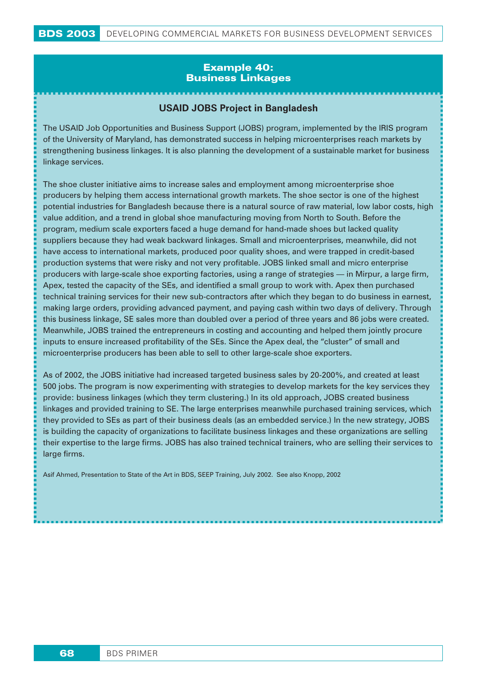### *Example 40: Business Linkages*

### **USAID JOBS Project in Bangladesh**

The USAID Job Opportunities and Business Support (JOBS) program, implemented by the IRIS program of the University of Maryland, has demonstrated success in helping microenterprises reach markets by strengthening business linkages. It is also planning the development of a sustainable market for business linkage services.

The shoe cluster initiative aims to increase sales and employment among microenterprise shoe producers by helping them access international growth markets. The shoe sector is one of the highest potential industries for Bangladesh because there is a natural source of raw material, low labor costs, high value addition, and a trend in global shoe manufacturing moving from North to South. Before the program, medium scale exporters faced a huge demand for hand-made shoes but lacked quality suppliers because they had weak backward linkages. Small and microenterprises, meanwhile, did not have access to international markets, produced poor quality shoes, and were trapped in credit-based production systems that were risky and not very profitable. JOBS linked small and micro enterprise producers with large-scale shoe exporting factories, using a range of strategies — in Mirpur, a large firm, Apex, tested the capacity of the SEs, and identified a small group to work with. Apex then purchased technical training services for their new sub-contractors after which they began to do business in earnest, making large orders, providing advanced payment, and paying cash within two days of delivery. Through this business linkage, SE sales more than doubled over a period of three years and 86 jobs were created. Meanwhile, JOBS trained the entrepreneurs in costing and accounting and helped them jointly procure inputs to ensure increased profitability of the SEs. Since the Apex deal, the "cluster" of small and microenterprise producers has been able to sell to other large-scale shoe exporters.

As of 2002, the JOBS initiative had increased targeted business sales by 20-200%, and created at least 500 jobs. The program is now experimenting with strategies to develop markets for the key services they provide: business linkages (which they term clustering.) In its old approach, JOBS created business linkages and provided training to SE. The large enterprises meanwhile purchased training services, which they provided to SEs as part of their business deals (as an embedded service.) In the new strategy, JOBS is building the capacity of organizations to facilitate business linkages and these organizations are selling their expertise to the large firms. JOBS has also trained technical trainers, who are selling their services to large firms.

Asif Ahmed, Presentation to State of the Art in BDS, SEEP Training, July 2002. See also Knopp, 2002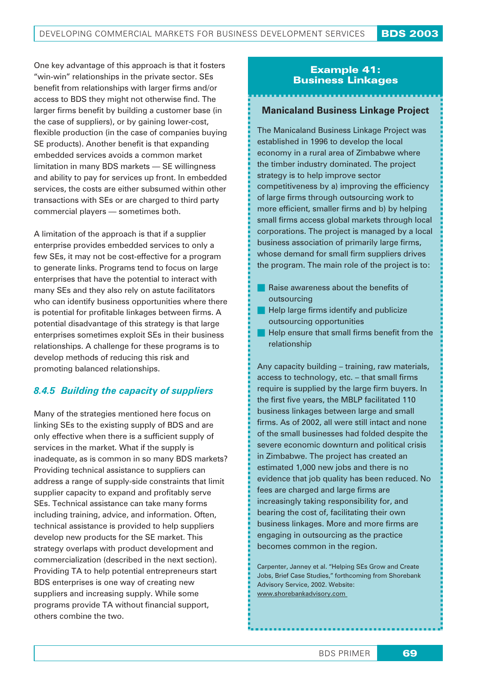One key advantage of this approach is that it fosters "win-win" relationships in the private sector. SEs benefit from relationships with larger firms and/or access to BDS they might not otherwise find. The larger firms benefit by building a customer base (in the case of suppliers), or by gaining lower-cost, flexible production (in the case of companies buying SE products). Another benefit is that expanding embedded services avoids a common market limitation in many BDS markets — SE willingness and ability to pay for services up front. In embedded services, the costs are either subsumed within other transactions with SEs or are charged to third party commercial players — sometimes both.

A limitation of the approach is that if a supplier enterprise provides embedded services to only a few SEs, it may not be cost-effective for a program to generate links. Programs tend to focus on large enterprises that have the potential to interact with many SEs and they also rely on astute facilitators who can identify business opportunities where there is potential for profitable linkages between firms. A potential disadvantage of this strategy is that large enterprises sometimes exploit SEs in their business relationships. A challenge for these programs is to develop methods of reducing this risk and promoting balanced relationships.

## *8.4.5 Building the capacity of suppliers*

Many of the strategies mentioned here focus on linking SEs to the existing supply of BDS and are only effective when there is a sufficient supply of services in the market. What if the supply is inadequate, as is common in so many BDS markets? Providing technical assistance to suppliers can address a range of supply-side constraints that limit supplier capacity to expand and profitably serve SEs. Technical assistance can take many forms including training, advice, and information. Often, technical assistance is provided to help suppliers develop new products for the SE market. This strategy overlaps with product development and commercialization (described in the next section). Providing TA to help potential entrepreneurs start BDS enterprises is one way of creating new suppliers and increasing supply. While some programs provide TA without financial support, others combine the two.

### Example 41: Business Linkages

### **Manicaland Business Linkage Project**

The Manicaland Business Linkage Project was established in 1996 to develop the local economy in a rural area of Zimbabwe where the timber industry dominated. The project strategy is to help improve sector competitiveness by a) improving the efficiency of large firms through outsourcing work to more efficient, smaller firms and b) by helping small firms access global markets through local corporations. The project is managed by a local business association of primarily large firms, whose demand for small firm suppliers drives the program. The main role of the project is to:

- Raise awareness about the benefits of outsourcing
- **Help large firms identify and publicize** outsourcing opportunities
- $\blacksquare$  Help ensure that small firms benefit from the relationship

Any capacity building – training, raw materials, access to technology, etc. – that small firms require is supplied by the large firm buyers. In the first five years, the MBLP facilitated 110 business linkages between large and small firms. As of 2002, all were still intact and none of the small businesses had folded despite the severe economic downturn and political crisis in Zimbabwe. The project has created an estimated 1,000 new jobs and there is no evidence that job quality has been reduced. No fees are charged and large firms are increasingly taking responsibility for, and bearing the cost of, facilitating their own business linkages. More and more firms are engaging in outsourcing as the practice becomes common in the region.

Carpenter, Janney et al. "Helping SEs Grow and Create Jobs, Brief Case Studies," forthcoming from Shorebank Advisory Service, 2002. Website: www.shorebankadvisory.com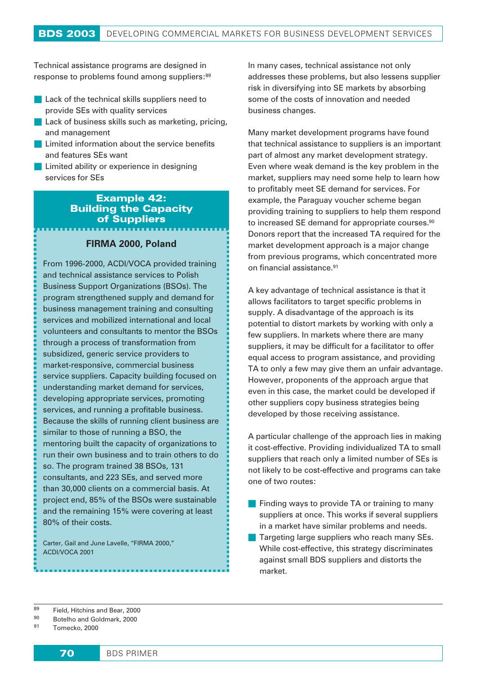Technical assistance programs are designed in response to problems found among suppliers:<sup>89</sup>

- **Lack of the technical skills suppliers need to** provide SEs with quality services
- **Lack of business skills such as marketing, pricing,** and management
- Limited information about the service benefits and features SEs want
- Limited ability or experience in designing services for SEs

### Example 42: Building the Capacity of Suppliers

### **FIRMA 2000, Poland**

From 1996-2000, ACDI/VOCA provided training and technical assistance services to Polish Business Support Organizations (BSOs). The program strengthened supply and demand for business management training and consulting services and mobilized international and local volunteers and consultants to mentor the BSOs through a process of transformation from subsidized, generic service providers to market-responsive, commercial business service suppliers. Capacity building focused on understanding market demand for services, developing appropriate services, promoting services, and running a profitable business. Because the skills of running client business are similar to those of running a BSO, the mentoring built the capacity of organizations to run their own business and to train others to do so. The program trained 38 BSOs, 131 consultants, and 223 SEs, and served more than 30,000 clients on a commercial basis. At project end, 85% of the BSOs were sustainable and the remaining 15% were covering at least 80% of their costs.

Carter, Gail and June Lavelle, "FIRMA 2000," ACDI/VOCA 2001

In many cases, technical assistance not only addresses these problems, but also lessens supplier risk in diversifying into SE markets by absorbing some of the costs of innovation and needed business changes.

Many market development programs have found that technical assistance to suppliers is an important part of almost any market development strategy. Even where weak demand is the key problem in the market, suppliers may need some help to learn how to profitably meet SE demand for services. For example, the Paraguay voucher scheme began providing training to suppliers to help them respond to increased SE demand for appropriate courses.<sup>90</sup> Donors report that the increased TA required for the market development approach is a major change from previous programs, which concentrated more on financial assistance.91

A key advantage of technical assistance is that it allows facilitators to target specific problems in supply. A disadvantage of the approach is its potential to distort markets by working with only a few suppliers. In markets where there are many suppliers, it may be difficult for a facilitator to offer equal access to program assistance, and providing TA to only a few may give them an unfair advantage. However, proponents of the approach argue that even in this case, the market could be developed if other suppliers copy business strategies being developed by those receiving assistance.

A particular challenge of the approach lies in making it cost-effective. Providing individualized TA to small suppliers that reach only a limited number of SEs is not likely to be cost-effective and programs can take one of two routes:

- **Finding ways to provide TA or training to many** suppliers at once. This works if several suppliers in a market have similar problems and needs.
- Targeting large suppliers who reach many SEs. While cost-effective, this strategy discriminates against small BDS suppliers and distorts the market.

<sup>91</sup> Tomecko, 2000

 $^{89}$  Field, Hitchins and Bear, 2000

Botelho and Goldmark, 2000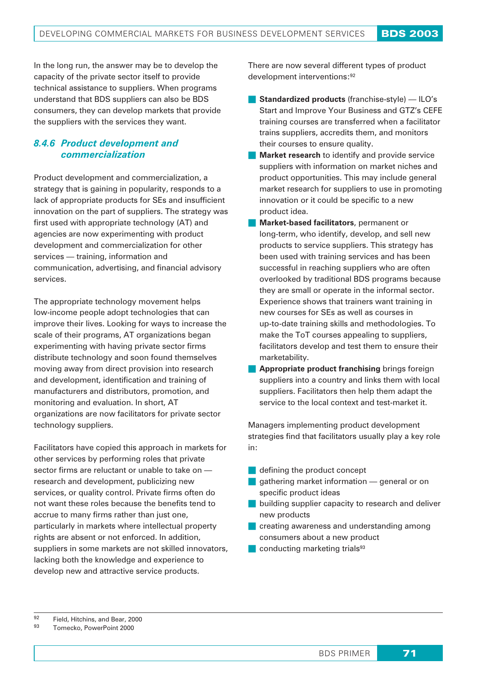In the long run, the answer may be to develop the capacity of the private sector itself to provide technical assistance to suppliers. When programs understand that BDS suppliers can also be BDS consumers, they can develop markets that provide the suppliers with the services they want.

### *8.4.6 Product development and commercialization*

Product development and commercialization, a strategy that is gaining in popularity, responds to a lack of appropriate products for SEs and insufficient innovation on the part of suppliers. The strategy was first used with appropriate technology (AT) and agencies are now experimenting with product development and commercialization for other services — training, information and communication, advertising, and financial advisory services.

The appropriate technology movement helps low-income people adopt technologies that can improve their lives. Looking for ways to increase the scale of their programs, AT organizations began experimenting with having private sector firms distribute technology and soon found themselves moving away from direct provision into research and development, identification and training of manufacturers and distributors, promotion, and monitoring and evaluation. In short, AT organizations are now facilitators for private sector technology suppliers.

Facilitators have copied this approach in markets for other services by performing roles that private sector firms are reluctant or unable to take on research and development, publicizing new services, or quality control. Private firms often do not want these roles because the benefits tend to accrue to many firms rather than just one, particularly in markets where intellectual property rights are absent or not enforced. In addition, suppliers in some markets are not skilled innovators, lacking both the knowledge and experience to develop new and attractive service products.

There are now several different types of product development interventions:92

- **Standardized products** (franchise-style) ILO's Start and Improve Your Business and GTZ's CEFE training courses are transferred when a facilitator trains suppliers, accredits them, and monitors their courses to ensure quality.
- **Market research** to identify and provide service suppliers with information on market niches and product opportunities. This may include general market research for suppliers to use in promoting innovation or it could be specific to a new product idea.
- **Market-based facilitators**, permanent or long-term, who identify, develop, and sell new products to service suppliers. This strategy has been used with training services and has been successful in reaching suppliers who are often overlooked by traditional BDS programs because they are small or operate in the informal sector. Experience shows that trainers want training in new courses for SEs as well as courses in up-to-date training skills and methodologies. To make the ToT courses appealing to suppliers, facilitators develop and test them to ensure their marketability.
- **Appropriate product franchising** brings foreign suppliers into a country and links them with local suppliers. Facilitators then help them adapt the service to the local context and test-market it.

Managers implementing product development strategies find that facilitators usually play a key role in:

- defining the product concept
- **gathering market information** general or on specific product ideas
- **building supplier capacity to research and deliver** new products
- **C** creating awareness and understanding among consumers about a new product
- $\Box$  conducting marketing trials<sup>93</sup>

<sup>93</sup> Tomecko, PowerPoint 2000

 $^{92}$  Field, Hitchins, and Bear, 2000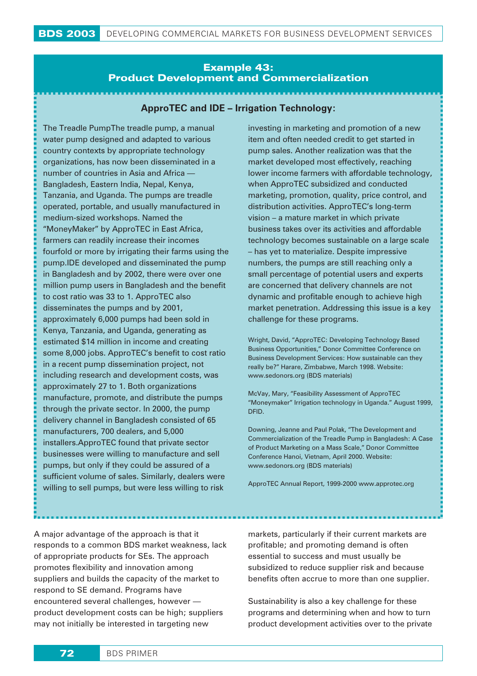### Example 43: Product Development and Commercialization

### **ApproTEC and IDE – Irrigation Technology:**

The Treadle PumpThe treadle pump, a manual water pump designed and adapted to various country contexts by appropriate technology organizations, has now been disseminated in a number of countries in Asia and Africa — Bangladesh, Eastern India, Nepal, Kenya, Tanzania, and Uganda. The pumps are treadle operated, portable, and usually manufactured in medium-sized workshops. Named the "MoneyMaker" by ApproTEC in East Africa, farmers can readily increase their incomes fourfold or more by irrigating their farms using the pump.IDE developed and disseminated the pump in Bangladesh and by 2002, there were over one million pump users in Bangladesh and the benefit to cost ratio was 33 to 1. ApproTEC also disseminates the pumps and by 2001, approximately 6,000 pumps had been sold in Kenya, Tanzania, and Uganda, generating as estimated \$14 million in income and creating some 8,000 jobs. ApproTEC's benefit to cost ratio in a recent pump dissemination project, not including research and development costs, was approximately 27 to 1. Both organizations manufacture, promote, and distribute the pumps through the private sector. In 2000, the pump delivery channel in Bangladesh consisted of 65 manufacturers, 700 dealers, and 5,000 installers.ApproTEC found that private sector businesses were willing to manufacture and sell pumps, but only if they could be assured of a sufficient volume of sales. Similarly, dealers were willing to sell pumps, but were less willing to risk

investing in marketing and promotion of a new item and often needed credit to get started in pump sales. Another realization was that the market developed most effectively, reaching lower income farmers with affordable technology, when ApproTEC subsidized and conducted marketing, promotion, quality, price control, and distribution activities. ApproTEC's long-term vision – a mature market in which private business takes over its activities and affordable technology becomes sustainable on a large scale – has yet to materialize. Despite impressive numbers, the pumps are still reaching only a small percentage of potential users and experts are concerned that delivery channels are not dynamic and profitable enough to achieve high market penetration. Addressing this issue is a key challenge for these programs.

Wright, David, "ApproTEC: Developing Technology Based Business Opportunities," Donor Committee Conference on Business Development Services: How sustainable can they really be?" Harare, Zimbabwe, March 1998. Website: www.sedonors.org (BDS materials)

McVay, Mary, "Feasibility Assessment of ApproTEC "Moneymaker" Irrigation technology in Uganda." August 1999, DFID.

Downing, Jeanne and Paul Polak, "The Development and Commercialization of the Treadle Pump in Bangladesh: A Case of Product Marketing on a Mass Scale," Donor Committee Conference Hanoi, Vietnam, April 2000. Website: www.sedonors.org (BDS materials)

ApproTEC Annual Report, 1999-2000 www.approtec.org

A major advantage of the approach is that it responds to a common BDS market weakness, lack of appropriate products for SEs. The approach promotes flexibility and innovation among suppliers and builds the capacity of the market to respond to SE demand. Programs have encountered several challenges, however product development costs can be high; suppliers may not initially be interested in targeting new

markets, particularly if their current markets are profitable; and promoting demand is often essential to success and must usually be subsidized to reduce supplier risk and because benefits often accrue to more than one supplier.

Sustainability is also a key challenge for these programs and determining when and how to turn product development activities over to the private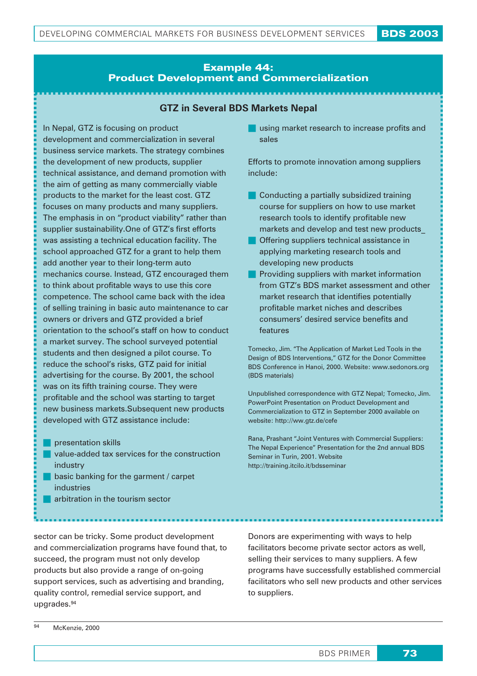### Example 44: Product Development and Commercialization

### **GTZ in Several BDS Markets Nepal**

In Nepal, GTZ is focusing on product development and commercialization in several business service markets. The strategy combines the development of new products, supplier technical assistance, and demand promotion with the aim of getting as many commercially viable products to the market for the least cost. GTZ focuses on many products and many suppliers. The emphasis in on "product viability" rather than supplier sustainability.One of GTZ's first efforts was assisting a technical education facility. The school approached GTZ for a grant to help them add another year to their long-term auto mechanics course. Instead, GTZ encouraged them to think about profitable ways to use this core competence. The school came back with the idea of selling training in basic auto maintenance to car owners or drivers and GTZ provided a brief orientation to the school's staff on how to conduct a market survey. The school surveyed potential students and then designed a pilot course. To reduce the school's risks, GTZ paid for initial advertising for the course. By 2001, the school was on its fifth training course. They were profitable and the school was starting to target new business markets.Subsequent new products developed with GTZ assistance include:

- **presentation skills**
- value-added tax services for the construction industry
- **basic banking for the garment / carpet** industries
- **arbitration in the tourism sector**

sector can be tricky. Some product development and commercialization programs have found that, to succeed, the program must not only develop products but also provide a range of on-going support services, such as advertising and branding, quality control, remedial service support, and upgrades.94

Donors are experimenting with ways to help facilitators become private sector actors as well, selling their services to many suppliers. A few programs have successfully established commercial facilitators who sell new products and other services to suppliers.

using market research to increase profits and sales

Efforts to promote innovation among suppliers include:

- **Conducting a partially subsidized training** course for suppliers on how to use market research tools to identify profitable new markets and develop and test new products\_
- **Offering suppliers technical assistance in** applying marketing research tools and developing new products
- **Providing suppliers with market information** from GTZ's BDS market assessment and other market research that identifies potentially profitable market niches and describes consumers' desired service benefits and features

Tomecko, Jim. "The Application of Market Led Tools in the Design of BDS Interventions," GTZ for the Donor Committee BDS Conference in Hanoi, 2000. Website: www.sedonors.org (BDS materials)

Unpublished correspondence with GTZ Nepal; Tomecko, Jim. PowerPoint Presentation on Product Development and Commercialization to GTZ in September 2000 available on website: http://ww.gtz.de/cefe

Rana, Prashant "Joint Ventures with Commercial Suppliers: The Nepal Experience" Presentation for the 2nd annual BDS Seminar in Turin, 2001. Website http://training.itcilo.it/bdsseminar

McKenzie, 2000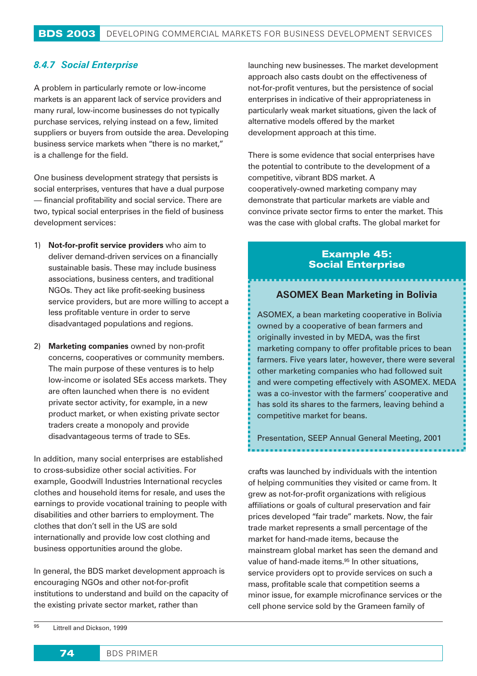### *8.4.7 Social Enterprise*

A problem in particularly remote or low-income markets is an apparent lack of service providers and many rural, low-income businesses do not typically purchase services, relying instead on a few, limited suppliers or buyers from outside the area. Developing business service markets when "there is no market," is a challenge for the field.

One business development strategy that persists is social enterprises, ventures that have a dual purpose — financial profitability and social service. There are two, typical social enterprises in the field of business development services:

- 1) **Not-for-profit service providers** who aim to deliver demand-driven services on a financially sustainable basis. These may include business associations, business centers, and traditional NGOs. They act like profit-seeking business service providers, but are more willing to accept a less profitable venture in order to serve disadvantaged populations and regions.
- 2) **Marketing companies** owned by non-profit concerns, cooperatives or community members. The main purpose of these ventures is to help low-income or isolated SEs access markets. They are often launched when there is no evident private sector activity, for example, in a new product market, or when existing private sector traders create a monopoly and provide disadvantageous terms of trade to SEs.

In addition, many social enterprises are established to cross-subsidize other social activities. For example, Goodwill Industries International recycles clothes and household items for resale, and uses the earnings to provide vocational training to people with disabilities and other barriers to employment. The clothes that don't sell in the US are sold internationally and provide low cost clothing and business opportunities around the globe.

In general, the BDS market development approach is encouraging NGOs and other not-for-profit institutions to understand and build on the capacity of the existing private sector market, rather than

launching new businesses. The market development approach also casts doubt on the effectiveness of not-for-profit ventures, but the persistence of social enterprises in indicative of their appropriateness in particularly weak market situations, given the lack of alternative models offered by the market development approach at this time.

There is some evidence that social enterprises have the potential to contribute to the development of a competitive, vibrant BDS market. A cooperatively-owned marketing company may demonstrate that particular markets are viable and convince private sector firms to enter the market. This was the case with global crafts. The global market for

### Example 45: Social Enterprise

### **ASOMEX Bean Marketing in Bolivia**

ASOMEX, a bean marketing cooperative in Bolivia owned by a cooperative of bean farmers and originally invested in by MEDA, was the first marketing company to offer profitable prices to bean farmers. Five years later, however, there were several other marketing companies who had followed suit and were competing effectively with ASOMEX. MEDA was a co-investor with the farmers' cooperative and has sold its shares to the farmers, leaving behind a competitive market for beans.

Presentation, SEEP Annual General Meeting, 2001

crafts was launched by individuals with the intention of helping communities they visited or came from. It grew as not-for-profit organizations with religious affiliations or goals of cultural preservation and fair prices developed "fair trade" markets. Now, the fair trade market represents a small percentage of the market for hand-made items, because the mainstream global market has seen the demand and value of hand-made items.<sup>95</sup> In other situations, service providers opt to provide services on such a mass, profitable scale that competition seems a minor issue, for example microfinance services or the cell phone service sold by the Grameen family of

95 Littrell and Dickson, 1999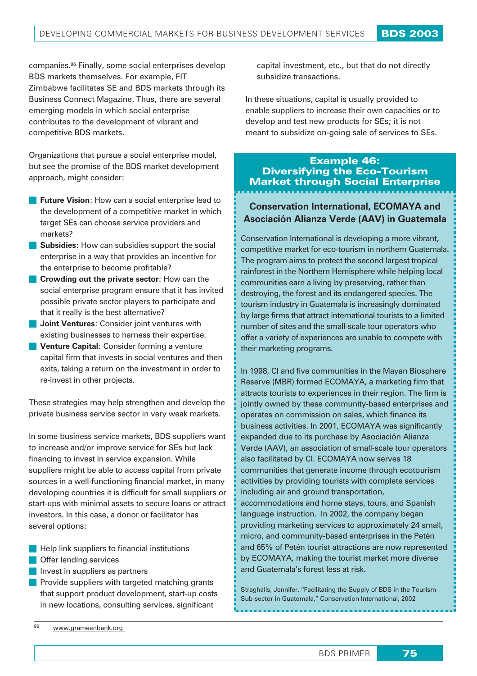companies.96 Finally, some social enterprises develop BDS markets themselves. For example, FIT Zimbabwe facilitates SE and BDS markets through its Business Connect Magazine. Thus, there are several emerging models in which social enterprise contributes to the development of vibrant and competitive BDS markets.

Organizations that pursue a social enterprise model, but see the promise of the BDS market development approach, might consider:

- **Future Vision:** How can a social enterprise lead to the development of a competitive market in which target SEs can choose service providers and markets?
- **Subsidies:** How can subsidies support the social enterprise in a way that provides an incentive for the enterprise to become profitable?
- **Crowding out the private sector**: How can the social enterprise program ensure that it has invited possible private sector players to participate and that it really is the best alternative?
- **Joint Ventures**: Consider joint ventures with existing businesses to harness their expertise.
- **Venture Capital:** Consider forming a venture capital firm that invests in social ventures and then exits, taking a return on the investment in order to re-invest in other projects.

These strategies may help strengthen and develop the private business service sector in very weak markets.

In some business service markets, BDS suppliers want to increase and/or improve service for SEs but lack financing to invest in service expansion. While suppliers might be able to access capital from private sources in a well-functioning financial market, in many developing countries it is difficult for small suppliers or start-ups with minimal assets to secure loans or attract investors. In this case, a donor or facilitator has several options:

- **Help link suppliers to financial institutions**
- **Offer lending services**
- Invest in suppliers as partners
- **Provide suppliers with targeted matching grants** that support product development, start-up costs in new locations, consulting services, significant

capital investment, etc., but that do not directly subsidize transactions.

In these situations, capital is usually provided to enable suppliers to increase their own capacities or to develop and test new products for SEs; it is not meant to subsidize on-going sale of services to SEs.

## Example 46: Diversifying the Eco-Tourism Market through Social Enterprise

### **Conservation International, ECOMAYA and Asociación Alianza Verde (AAV) in Guatemala**

Conservation International is developing a more vibrant, competitive market for eco-tourism in northern Guatemala. The program aims to protect the second largest tropical rainforest in the Northern Hemisphere while helping local communities earn a living by preserving, rather than destroying, the forest and its endangered species. The tourism industry in Guatemala is increasingly dominated by large firms that attract international tourists to a limited number of sites and the small-scale tour operators who offer a variety of experiences are unable to compete with their marketing programs.

In 1998, CI and five communities in the Mayan Biosphere Reserve (MBR) formed ECOMAYA, a marketing firm that attracts tourists to experiences in their region. The firm is jointly owned by these community-based enterprises and operates on commission on sales, which finance its business activities. In 2001, ECOMAYA was significantly expanded due to its purchase by Asociación Alianza Verde (AAV), an association of small-scale tour operators also facilitated by CI. ECOMAYA now serves 18 communities that generate income through ecotourism activities by providing tourists with complete services including air and ground transportation, accommodations and home stays, tours, and Spanish language instruction. In 2002, the company began providing marketing services to approximately 24 small, micro, and community-based enterprises in the Petén and 65% of Petén tourist attractions are now represented by ECOMAYA, making the tourist market more diverse and Guatemala's forest less at risk.

Straghalis, Jennifer. "Facilitating the Supply of BDS in the Tourism Sub-sector in Guatemala," Conservation International, 2002

<sup>96</sup> www.grameenbank.org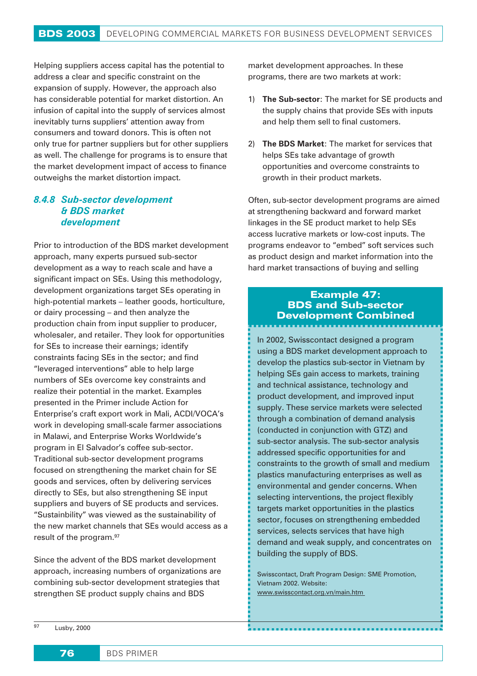Helping suppliers access capital has the potential to address a clear and specific constraint on the expansion of supply. However, the approach also has considerable potential for market distortion. An infusion of capital into the supply of services almost inevitably turns suppliers' attention away from consumers and toward donors. This is often not only true for partner suppliers but for other suppliers as well. The challenge for programs is to ensure that the market development impact of access to finance outweighs the market distortion impact.

### *8.4.8 Sub-sector development & BDS market development*

Prior to introduction of the BDS market development approach, many experts pursued sub-sector development as a way to reach scale and have a significant impact on SEs. Using this methodology, development organizations target SEs operating in high-potential markets – leather goods, horticulture, or dairy processing – and then analyze the production chain from input supplier to producer, wholesaler, and retailer. They look for opportunities for SEs to increase their earnings; identify constraints facing SEs in the sector; and find "leveraged interventions" able to help large numbers of SEs overcome key constraints and realize their potential in the market. Examples presented in the Primer include Action for Enterprise's craft export work in Mali, ACDI/VOCA's work in developing small-scale farmer associations in Malawi, and Enterprise Works Worldwide's program in El Salvador's coffee sub-sector. Traditional sub-sector development programs focused on strengthening the market chain for SE goods and services, often by delivering services directly to SEs, but also strengthening SE input suppliers and buyers of SE products and services. "Sustainbility" was viewed as the sustainability of the new market channels that SEs would access as a result of the program.97

Since the advent of the BDS market development approach, increasing numbers of organizations are combining sub-sector development strategies that strengthen SE product supply chains and BDS

market development approaches. In these programs, there are two markets at work:

- 1) **The Sub-sector**: The market for SE products and the supply chains that provide SEs with inputs and help them sell to final customers.
- 2) **The BDS Market**: The market for services that helps SEs take advantage of growth opportunities and overcome constraints to growth in their product markets.

Often, sub-sector development programs are aimed at strengthening backward and forward market linkages in the SE product market to help SEs access lucrative markets or low-cost inputs. The programs endeavor to "embed" soft services such as product design and market information into the hard market transactions of buying and selling

### Example 47: BDS and Sub-sector Development Combined

In 2002, Swisscontact designed a program using a BDS market development approach to develop the plastics sub-sector in Vietnam by helping SEs gain access to markets, training and technical assistance, technology and product development, and improved input supply. These service markets were selected through a combination of demand analysis (conducted in conjunction with GTZ) and sub-sector analysis. The sub-sector analysis addressed specific opportunities for and constraints to the growth of small and medium plastics manufacturing enterprises as well as environmental and gender concerns. When selecting interventions, the project flexibly targets market opportunities in the plastics sector, focuses on strengthening embedded services, selects services that have high demand and weak supply, and concentrates on building the supply of BDS.

Swisscontact, Draft Program Design: SME Promotion, Vietnam 2002. Website: www.swisscontact.org.vn/main.htm

<sup>97</sup> Lusby, 2000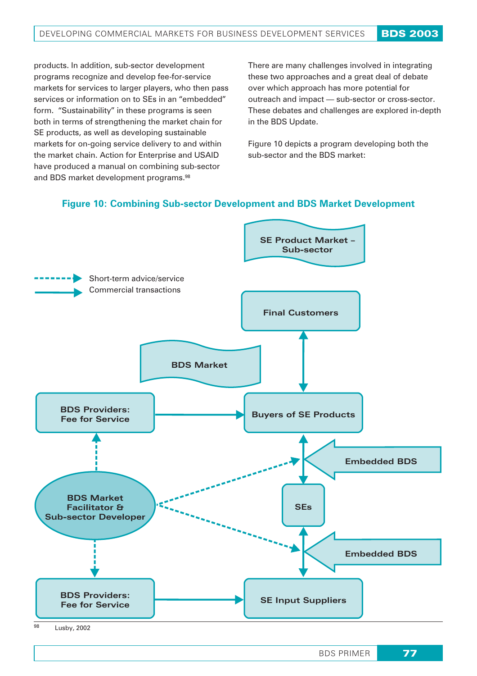products. In addition, sub-sector development programs recognize and develop fee-for-service markets for services to larger players, who then pass services or information on to SEs in an "embedded" form. "Sustainability" in these programs is seen both in terms of strengthening the market chain for SE products, as well as developing sustainable markets for on-going service delivery to and within the market chain. Action for Enterprise and USAID have produced a manual on combining sub-sector and BDS market development programs.98

There are many challenges involved in integrating these two approaches and a great deal of debate over which approach has more potential for outreach and impact — sub-sector or cross-sector. These debates and challenges are explored in-depth in the BDS Update.

Figure 10 depicts a program developing both the sub-sector and the BDS market:

### **Figure 10: Combining Sub-sector Development and BDS Market Development**



<sup>98</sup> Lusby, 2002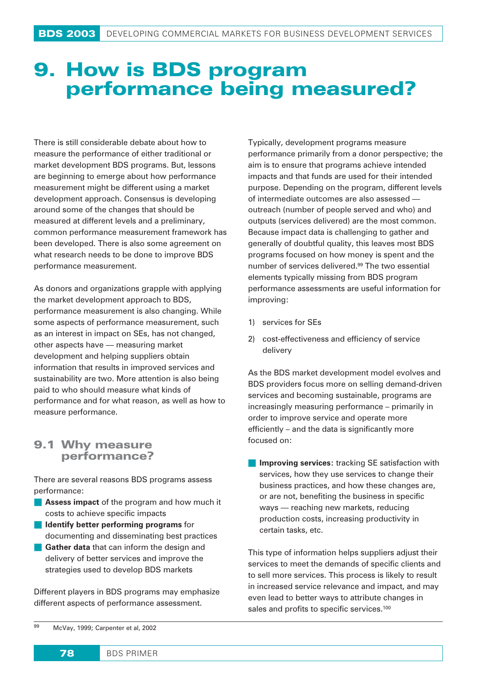## **9. How is BDS program performance being measured?**

There is still considerable debate about how to measure the performance of either traditional or market development BDS programs. But, lessons are beginning to emerge about how performance measurement might be different using a market development approach. Consensus is developing around some of the changes that should be measured at different levels and a preliminary, common performance measurement framework has been developed. There is also some agreement on what research needs to be done to improve BDS performance measurement.

As donors and organizations grapple with applying the market development approach to BDS, performance measurement is also changing. While some aspects of performance measurement, such as an interest in impact on SEs, has not changed, other aspects have — measuring market development and helping suppliers obtain information that results in improved services and sustainability are two. More attention is also being paid to who should measure what kinds of performance and for what reason, as well as how to measure performance.

### **9.1 Why measure performance?**

There are several reasons BDS programs assess performance:

- **Assess impact** of the program and how much it costs to achieve specific impacts
- **ID** Identify better performing programs for documenting and disseminating best practices
- **Gather data** that can inform the design and delivery of better services and improve the strategies used to develop BDS markets

Different players in BDS programs may emphasize different aspects of performance assessment.

Typically, development programs measure performance primarily from a donor perspective; the aim is to ensure that programs achieve intended impacts and that funds are used for their intended purpose. Depending on the program, different levels of intermediate outcomes are also assessed outreach (number of people served and who) and outputs (services delivered) are the most common. Because impact data is challenging to gather and generally of doubtful quality, this leaves most BDS programs focused on how money is spent and the number of services delivered.99 The two essential elements typically missing from BDS program performance assessments are useful information for improving:

- 1) services for SEs
- 2) cost-effectiveness and efficiency of service delivery

As the BDS market development model evolves and BDS providers focus more on selling demand-driven services and becoming sustainable, programs are increasingly measuring performance – primarily in order to improve service and operate more efficiently – and the data is significantly more focused on:

**Improving services:** tracking SE satisfaction with services, how they use services to change their business practices, and how these changes are, or are not, benefiting the business in specific ways — reaching new markets, reducing production costs, increasing productivity in certain tasks, etc.

This type of information helps suppliers adjust their services to meet the demands of specific clients and to sell more services. This process is likely to result in increased service relevance and impact, and may even lead to better ways to attribute changes in sales and profits to specific services.<sup>100</sup>

<sup>99</sup> McVay, 1999; Carpenter et al, 2002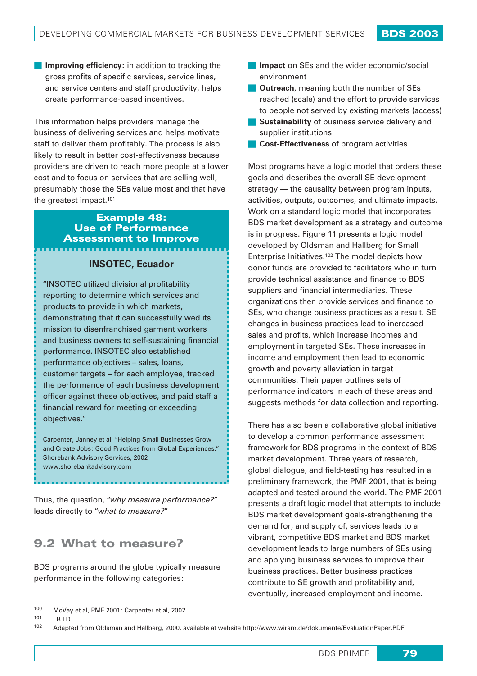**Improving efficiency:** in addition to tracking the gross profits of specific services, service lines, and service centers and staff productivity, helps create performance-based incentives.

This information helps providers manage the business of delivering services and helps motivate staff to deliver them profitably. The process is also likely to result in better cost-effectiveness because providers are driven to reach more people at a lower cost and to focus on services that are selling well, presumably those the SEs value most and that have the greatest impact.<sup>101</sup>

## Example 48: Use of Performance Assessment to Improve

### **INSOTEC, Ecuador**

"INSOTEC utilized divisional profitability reporting to determine which services and products to provide in which markets, demonstrating that it can successfully wed its mission to disenfranchised garment workers and business owners to self-sustaining financial performance. INSOTEC also established performance objectives – sales, loans, customer targets – for each employee, tracked the performance of each business development officer against these objectives, and paid staff a financial reward for meeting or exceeding objectives."

Carpenter, Janney et al. "Helping Small Businesses Grow and Create Jobs: Good Practices from Global Experiences." Shorebank Advisory Services, 2002 www.shorebankadvisory.com

Thus, the question, "*why measure performance?*" leads directly to "*what to measure?*"

## 9.2 What to measure?

BDS programs around the globe typically measure performance in the following categories:

- **Impact** on SEs and the wider economic/social environment
- **Cutreach**, meaning both the number of SEs reached (scale) and the effort to provide services to people not served by existing markets (access)
- **Sustainability** of business service delivery and supplier institutions
- **Cost-Effectiveness** of program activities

Most programs have a logic model that orders these goals and describes the overall SE development strategy — the causality between program inputs, activities, outputs, outcomes, and ultimate impacts. Work on a standard logic model that incorporates BDS market development as a strategy and outcome is in progress. Figure 11 presents a logic model developed by Oldsman and Hallberg for Small Enterprise Initiatives.102 The model depicts how donor funds are provided to facilitators who in turn provide technical assistance and finance to BDS suppliers and financial intermediaries. These organizations then provide services and finance to SEs, who change business practices as a result. SE changes in business practices lead to increased sales and profits, which increase incomes and employment in targeted SEs. These increases in income and employment then lead to economic growth and poverty alleviation in target communities. Their paper outlines sets of performance indicators in each of these areas and suggests methods for data collection and reporting.

There has also been a collaborative global initiative to develop a common performance assessment framework for BDS programs in the context of BDS market development. Three years of research, global dialogue, and field-testing has resulted in a preliminary framework, the PMF 2001, that is being adapted and tested around the world. The PMF 2001 presents a draft logic model that attempts to include BDS market development goals-strengthening the demand for, and supply of, services leads to a vibrant, competitive BDS market and BDS market development leads to large numbers of SEs using and applying business services to improve their business practices. Better business practices contribute to SE growth and profitability and, eventually, increased employment and income.

<sup>100</sup> McVay et al, PMF 2001; Carpenter et al, 2002

 $101$  I.B.I.D.<br> $102$  Adapts

<sup>102</sup> Adapted from Oldsman and Hallberg, 2000, available at website http://www.wiram.de/dokumente/EvaluationPaper.PDF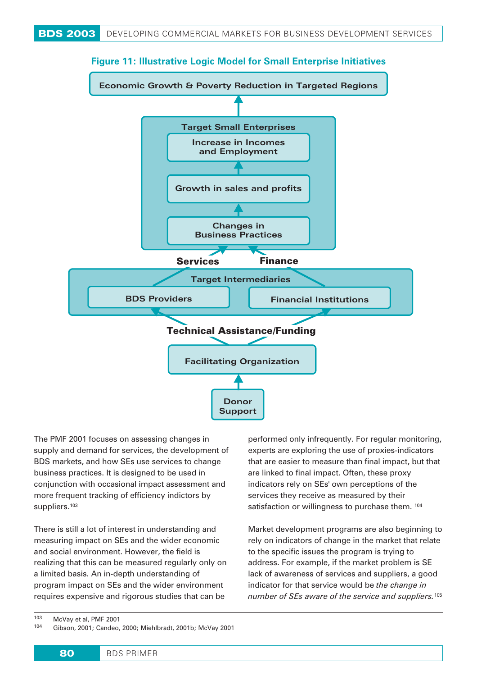

**Figure 11: Illustrative Logic Model for Small Enterprise Initiatives**

The PMF 2001 focuses on assessing changes in supply and demand for services, the development of BDS markets, and how SEs use services to change business practices. It is designed to be used in conjunction with occasional impact assessment and more frequent tracking of efficiency indictors by suppliers.<sup>103</sup>

There is still a lot of interest in understanding and measuring impact on SEs and the wider economic and social environment. However, the field is realizing that this can be measured regularly only on a limited basis. An in-depth understanding of program impact on SEs and the wider environment requires expensive and rigorous studies that can be

performed only infrequently. For regular monitoring, experts are exploring the use of proxies-indicators that are easier to measure than final impact, but that are linked to final impact. Often, these proxy indicators rely on SEs' own perceptions of the services they receive as measured by their satisfaction or willingness to purchase them. 104

Market development programs are also beginning to rely on indicators of change in the market that relate to the specific issues the program is trying to address. For example, if the market problem is SE lack of awareness of services and suppliers, a good indicator for that service would be *the change in number of SEs aware of the service and suppliers.*<sup>105</sup>

<sup>104</sup> Gibson, 2001; Candeo, 2000; Miehlbradt, 2001b; McVay 2001

 $103$  McVay et al, PMF 2001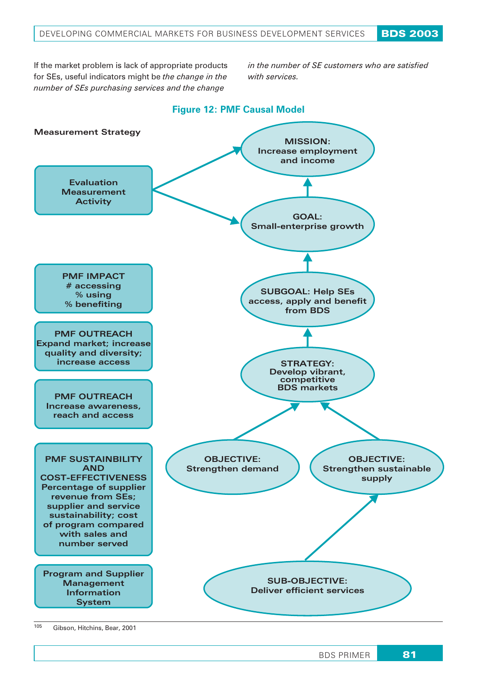If the market problem is lack of appropriate products for SEs, useful indicators might be *the change in the number of SEs purchasing services and the change*

*in the number of SE customers who are satisfied with services.*



<sup>105</sup> Gibson, Hitchins, Bear, 2001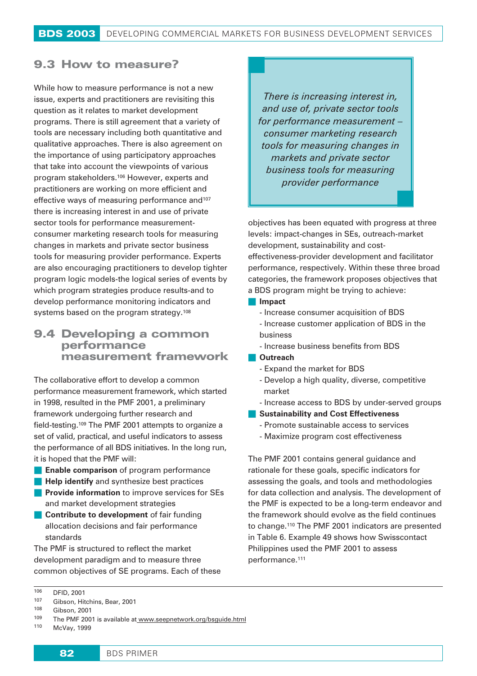## 9.3 How to measure?

While how to measure performance is not a new issue, experts and practitioners are revisiting this question as it relates to market development programs. There is still agreement that a variety of tools are necessary including both quantitative and qualitative approaches. There is also agreement on the importance of using participatory approaches that take into account the viewpoints of various program stakeholders.106 However, experts and practitioners are working on more efficient and effective ways of measuring performance and<sup>107</sup> there is increasing interest in and use of private sector tools for performance measurementconsumer marketing research tools for measuring changes in markets and private sector business tools for measuring provider performance. Experts are also encouraging practitioners to develop tighter program logic models-the logical series of events by which program strategies produce results-and to develop performance monitoring indicators and systems based on the program strategy.<sup>108</sup>

## 9.4 Developing a common performance measurement framework

The collaborative effort to develop a common performance measurement framework, which started in 1998, resulted in the PMF 2001, a preliminary framework undergoing further research and field-testing.109 The PMF 2001 attempts to organize a set of valid, practical, and useful indicators to assess the performance of all BDS initiatives. In the long run, it is hoped that the PMF will:

- **Enable comparison** of program performance
- **Help identify** and synthesize best practices
- **Provide information** to improve services for SEs and market development strategies
- **Contribute to development** of fair funding allocation decisions and fair performance standards

The PMF is structured to reflect the market development paradigm and to measure three common objectives of SE programs. Each of these

*There is increasing interest in, and use of, private sector tools for performance measurement – consumer marketing research tools for measuring changes in markets and private sector business tools for measuring provider performance*

objectives has been equated with progress at three levels: impact-changes in SEs, outreach-market development, sustainability and costeffectiveness-provider development and facilitator performance, respectively. Within these three broad categories, the framework proposes objectives that a BDS program might be trying to achieve:

#### **Impact**

- Increase consumer acquisition of BDS - Increase customer application of BDS in the business
- Increase business benefits from BDS
- **Outreach**
	- Expand the market for BDS
	- Develop a high quality, diverse, competitive market
	- Increase access to BDS by under-served groups
- **Kalakger Sustainability and Cost Effectiveness** 
	- Promote sustainable access to services
	- Maximize program cost effectiveness

The PMF 2001 contains general guidance and rationale for these goals, specific indicators for assessing the goals, and tools and methodologies for data collection and analysis. The development of the PMF is expected to be a long-term endeavor and the framework should evolve as the field continues to change.110 The PMF 2001 indicators are presented in Table 6. Example 49 shows how Swisscontact Philippines used the PMF 2001 to assess performance.111

<sup>106</sup> DFID, 2001 <sup>107</sup> Gibson, Hitchins, Bear, 2001

 $108$  Gibson, 2001

The PMF 2001 is available at www.seepnetwork.org/bsguide.html

<sup>110</sup> McVay, 1999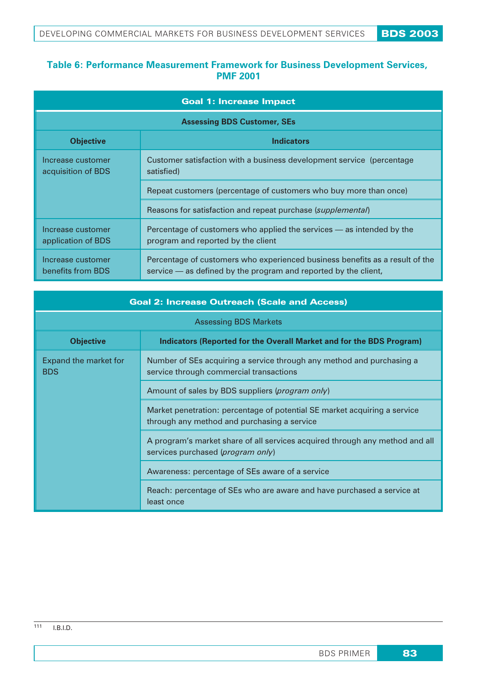## **Table 6: Performance Measurement Framework for Business Development Services, PMF 2001**

| <b>Goal 1: Increase Impact</b>          |                                                                                                                                                 |  |
|-----------------------------------------|-------------------------------------------------------------------------------------------------------------------------------------------------|--|
| <b>Assessing BDS Customer, SEs</b>      |                                                                                                                                                 |  |
| <b>Objective</b><br><b>Indicators</b>   |                                                                                                                                                 |  |
| Increase customer<br>acquisition of BDS | Customer satisfaction with a business development service (percentage)<br>satisfied)                                                            |  |
|                                         | Repeat customers (percentage of customers who buy more than once)                                                                               |  |
|                                         | Reasons for satisfaction and repeat purchase (supplemental)                                                                                     |  |
| Increase customer<br>application of BDS | Percentage of customers who applied the services – as intended by the<br>program and reported by the client                                     |  |
| Increase customer<br>benefits from BDS  | Percentage of customers who experienced business benefits as a result of the<br>service — as defined by the program and reported by the client, |  |

| <b>Goal 2: Increase Outreach (Scale and Access)</b>                                      |                                                                                                                          |  |
|------------------------------------------------------------------------------------------|--------------------------------------------------------------------------------------------------------------------------|--|
| <b>Assessing BDS Markets</b>                                                             |                                                                                                                          |  |
| <b>Objective</b><br>Indicators (Reported for the Overall Market and for the BDS Program) |                                                                                                                          |  |
| Expand the market for<br><b>BDS</b>                                                      | Number of SEs acquiring a service through any method and purchasing a<br>service through commercial transactions         |  |
|                                                                                          | Amount of sales by BDS suppliers (program only)                                                                          |  |
|                                                                                          | Market penetration: percentage of potential SE market acquiring a service<br>through any method and purchasing a service |  |
|                                                                                          | A program's market share of all services acquired through any method and all<br>services purchased (program only)        |  |
|                                                                                          | Awareness: percentage of SEs aware of a service                                                                          |  |
|                                                                                          | Reach: percentage of SEs who are aware and have purchased a service at<br>least once                                     |  |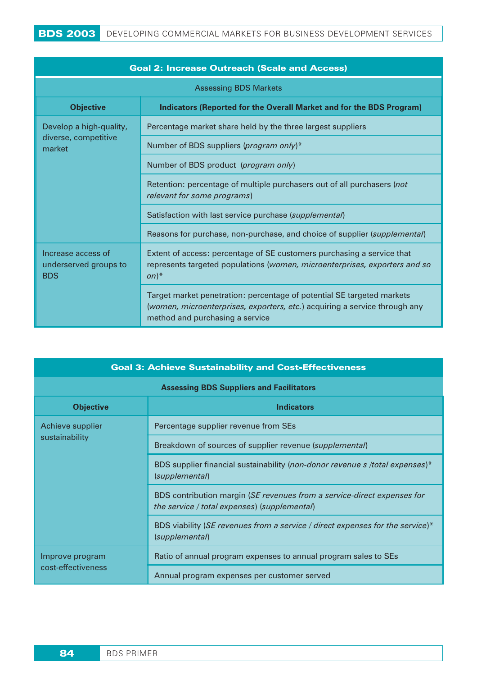| <b>Goal 2: Increase Outreach (Scale and Access)</b>                                      |                                                                                                                                                                                         |  |
|------------------------------------------------------------------------------------------|-----------------------------------------------------------------------------------------------------------------------------------------------------------------------------------------|--|
| <b>Assessing BDS Markets</b>                                                             |                                                                                                                                                                                         |  |
| <b>Objective</b><br>Indicators (Reported for the Overall Market and for the BDS Program) |                                                                                                                                                                                         |  |
| Develop a high-quality,<br>diverse, competitive<br>market                                | Percentage market share held by the three largest suppliers                                                                                                                             |  |
|                                                                                          | Number of BDS suppliers (program only)*                                                                                                                                                 |  |
|                                                                                          | Number of BDS product (program only)                                                                                                                                                    |  |
|                                                                                          | Retention: percentage of multiple purchasers out of all purchasers (not<br>relevant for some programs)                                                                                  |  |
|                                                                                          | Satisfaction with last service purchase (supplemental)                                                                                                                                  |  |
|                                                                                          | Reasons for purchase, non-purchase, and choice of supplier (supplemental)                                                                                                               |  |
| Increase access of<br>underserved groups to<br><b>BDS</b>                                | Extent of access: percentage of SE customers purchasing a service that<br>represents targeted populations (women, microenterprises, exporters and so<br>$(n)^*$                         |  |
|                                                                                          | Target market penetration: percentage of potential SE targeted markets<br>(women, microenterprises, exporters, etc.) acquiring a service through any<br>method and purchasing a service |  |

| <b>Goal 3: Achieve Sustainability and Cost-Effectiveness</b> |                                                                                                                         |  |
|--------------------------------------------------------------|-------------------------------------------------------------------------------------------------------------------------|--|
| <b>Assessing BDS Suppliers and Facilitators</b>              |                                                                                                                         |  |
| <b>Objective</b>                                             | <b>Indicators</b>                                                                                                       |  |
| Achieve supplier<br>sustainability                           | Percentage supplier revenue from SEs                                                                                    |  |
|                                                              | Breakdown of sources of supplier revenue (supplemental)                                                                 |  |
|                                                              | BDS supplier financial sustainability (non-donor revenue s /total expenses)*<br>(supplemental)                          |  |
|                                                              | BDS contribution margin (SE revenues from a service-direct expenses for<br>the service / total expenses) (supplemental) |  |
|                                                              | BDS viability (SE revenues from a service / direct expenses for the service)*<br>(supplemental)                         |  |
| Improve program<br>cost-effectiveness                        | Ratio of annual program expenses to annual program sales to SEs                                                         |  |
|                                                              | Annual program expenses per customer served                                                                             |  |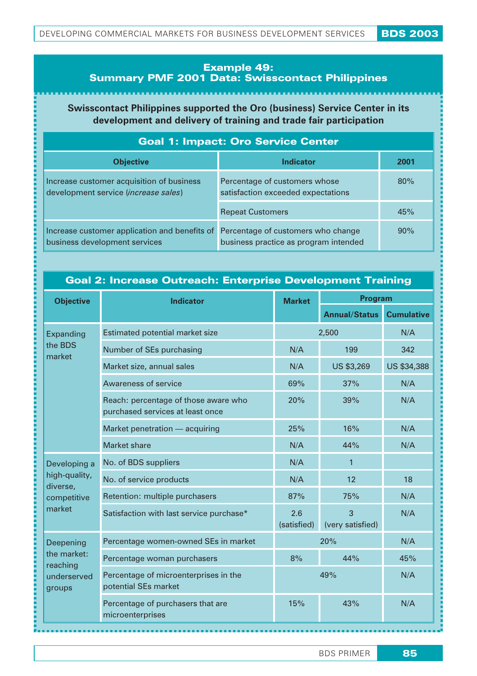### **Example 49: Summary PMF 2001 Data: Swisscontact Philippines**

**Swisscontact Philippines supported the Oro (business) Service Center in its development and delivery of training and trade fair participation**

| <b>Goal 1: Impact: Oro Service Center</b>                                         |                                                                             |      |
|-----------------------------------------------------------------------------------|-----------------------------------------------------------------------------|------|
| <b>Objective</b>                                                                  | <b>Indicator</b>                                                            | 2001 |
| Increase customer acquisition of business<br>development service (increase sales) | Percentage of customers whose<br>satisfaction exceeded expectations         | 80%  |
|                                                                                   | <b>Repeat Customers</b>                                                     | 45%  |
| Increase customer application and benefits of<br>business development services    | Percentage of customers who change<br>business practice as program intended | 90%  |

### **Goal 2: Increase Outreach: Enterprise Development Training**

| <b>Objective</b>                                   | <b>Indicator</b>                                                         | <b>Market</b>      | Program               |                   |
|----------------------------------------------------|--------------------------------------------------------------------------|--------------------|-----------------------|-------------------|
|                                                    |                                                                          |                    | <b>Annual/Status</b>  | <b>Cumulative</b> |
| Expanding                                          | Estimated potential market size                                          |                    | 2,500                 | N/A               |
| the BDS<br>market                                  | Number of SEs purchasing                                                 | N/A                | 199                   | 342               |
|                                                    | Market size, annual sales                                                | N/A                | <b>US \$3,269</b>     | US \$34,388       |
|                                                    | Awareness of service                                                     | 69%                | 37%                   | N/A               |
|                                                    | Reach: percentage of those aware who<br>purchased services at least once | 20%                | 39%                   | N/A               |
|                                                    | Market penetration - acquiring                                           | 25%                | 16%                   | N/A               |
|                                                    | <b>Market share</b>                                                      | N/A                | 44%                   | N/A               |
| Developing a                                       | No. of BDS suppliers                                                     | N/A                | $\mathbf{1}$          |                   |
| high-quality,<br>diverse,<br>competitive<br>market | No. of service products                                                  | N/A                | 12                    | 18                |
|                                                    | Retention: multiple purchasers                                           | 87%                | 75%                   | N/A               |
|                                                    | Satisfaction with last service purchase*                                 | 2.6<br>(satisfied) | 3<br>(very satisfied) | N/A               |
| Deepening                                          | Percentage women-owned SEs in market                                     | N/A<br>20%         |                       |                   |
| the market:<br>reaching<br>underserved<br>groups   | Percentage woman purchasers                                              | 8%                 | 44%                   | 45%               |
|                                                    | Percentage of microenterprises in the<br>potential SEs market            | 49%<br>N/A         |                       |                   |
|                                                    | Percentage of purchasers that are<br>microenterprises                    | 15%                | 43%                   | N/A               |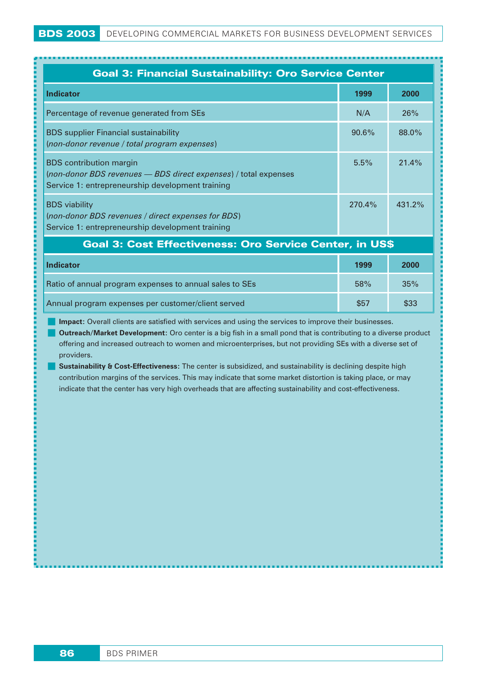| <b>Goal 3: Financial Sustainability: Oro Service Center</b>                                                                                           |           |        |
|-------------------------------------------------------------------------------------------------------------------------------------------------------|-----------|--------|
| <b>Indicator</b>                                                                                                                                      | 1999      | 2000   |
| Percentage of revenue generated from SEs                                                                                                              | N/A       | 26%    |
| <b>BDS</b> supplier Financial sustainability<br>(non-donor revenue / total program expenses)                                                          | $90.6\%$  | 88.0%  |
| <b>BDS</b> contribution margin<br>(non-donor BDS revenues - BDS direct expenses) / total expenses<br>Service 1: entrepreneurship development training | 5.5%      | 21.4%  |
| <b>BDS</b> viability<br>(non-donor BDS revenues / direct expenses for BDS)<br>Service 1: entrepreneurship development training                        | $270.4\%$ | 431.2% |

### Goal 3: Cost Effectiveness: Oro Service Center, in US\$

| <b>Indicator</b>                                        | 1999 | 2000 |
|---------------------------------------------------------|------|------|
| Ratio of annual program expenses to annual sales to SEs | 58%  | 35%  |
| Annual program expenses per customer/client served      | \$57 | \$33 |

**Impact:** Overall clients are satisfied with services and using the services to improve their businesses.

 **Outreach/Market Development:** Oro center is a big fish in a small pond that is contributing to a diverse product offering and increased outreach to women and microenterprises, but not providing SEs with a diverse set of providers.

**Sustainability & Cost-Effectiveness:** The center is subsidized, and sustainability is declining despite high contribution margins of the services. This may indicate that some market distortion is taking place, or may indicate that the center has very high overheads that are affecting sustainability and cost-effectiveness.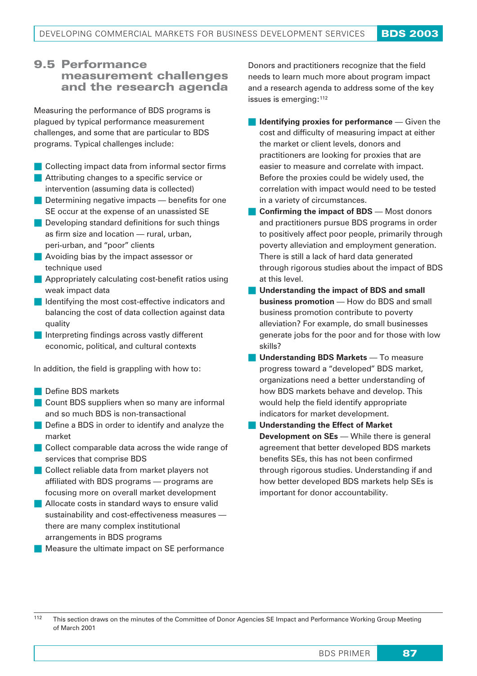## 9.5 Performance measurement challenges and the research agenda

Measuring the performance of BDS programs is plagued by typical performance measurement challenges, and some that are particular to BDS programs. Typical challenges include:

- **Collecting impact data from informal sector firms**
- **Attributing changes to a specific service or** intervention (assuming data is collected)
- **Determining negative impacts benefits for one** SE occur at the expense of an unassisted SE
- **Developing standard definitions for such things** as firm size and location — rural, urban, peri-urban, and "poor" clients
- **Avoiding bias by the impact assessor or** technique used
- **Appropriately calculating cost-benefit ratios using** weak impact data
- I Identifying the most cost-effective indicators and balancing the cost of data collection against data quality
- Interpreting findings across vastly different economic, political, and cultural contexts

In addition, the field is grappling with how to:

- Define BDS markets
- **Count BDS suppliers when so many are informal** and so much BDS is non-transactional
- Define a BDS in order to identify and analyze the market
- Collect comparable data across the wide range of services that comprise BDS
- Collect reliable data from market players not affiliated with BDS programs — programs are focusing more on overall market development
- **Allocate costs in standard ways to ensure valid** sustainability and cost-effectiveness measures there are many complex institutional arrangements in BDS programs
- Measure the ultimate impact on SE performance

Donors and practitioners recognize that the field needs to learn much more about program impact and a research agenda to address some of the key issues is emerging:<sup>112</sup>

- **Identifying proxies for performance** Given the cost and difficulty of measuring impact at either the market or client levels, donors and practitioners are looking for proxies that are easier to measure and correlate with impact. Before the proxies could be widely used, the correlation with impact would need to be tested in a variety of circumstances.
- **Confirming the impact of BDS** Most donors and practitioners pursue BDS programs in order to positively affect poor people, primarily through poverty alleviation and employment generation. There is still a lack of hard data generated through rigorous studies about the impact of BDS at this level.
- **Understanding the impact of BDS and small business promotion** — How do BDS and small business promotion contribute to poverty alleviation? For example, do small businesses generate jobs for the poor and for those with low skills?
- **Understanding BDS Markets** To measure progress toward a "developed" BDS market, organizations need a better understanding of how BDS markets behave and develop. This would help the field identify appropriate indicators for market development.
- **Understanding the Effect of Market Development on SEs** — While there is general agreement that better developed BDS markets benefits SEs, this has not been confirmed through rigorous studies. Understanding if and how better developed BDS markets help SEs is important for donor accountability.

<sup>112</sup> This section draws on the minutes of the Committee of Donor Agencies SE Impact and Performance Working Group Meeting of March 2001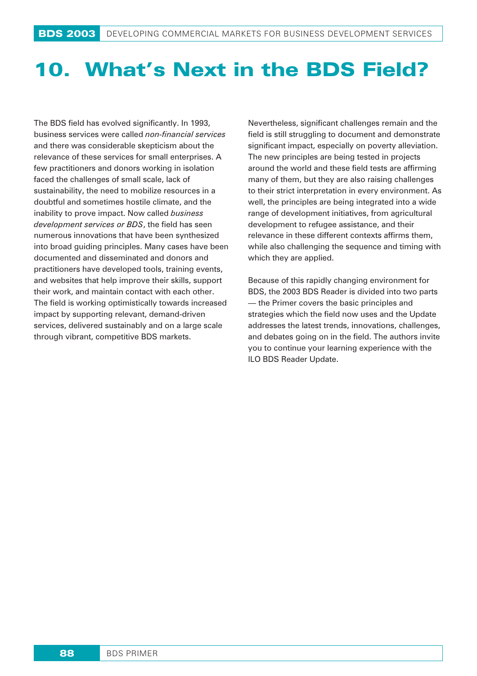# 10. What's Next in the BDS Field?

The BDS field has evolved significantly. In 1993, business services were called *non-financial services* and there was considerable skepticism about the relevance of these services for small enterprises. A few practitioners and donors working in isolation faced the challenges of small scale, lack of sustainability, the need to mobilize resources in a doubtful and sometimes hostile climate, and the inability to prove impact. Now called *business development services or BDS*, the field has seen numerous innovations that have been synthesized into broad guiding principles. Many cases have been documented and disseminated and donors and practitioners have developed tools, training events, and websites that help improve their skills, support their work, and maintain contact with each other. The field is working optimistically towards increased impact by supporting relevant, demand-driven services, delivered sustainably and on a large scale through vibrant, competitive BDS markets.

Nevertheless, significant challenges remain and the field is still struggling to document and demonstrate significant impact, especially on poverty alleviation. The new principles are being tested in projects around the world and these field tests are affirming many of them, but they are also raising challenges to their strict interpretation in every environment. As well, the principles are being integrated into a wide range of development initiatives, from agricultural development to refugee assistance, and their relevance in these different contexts affirms them, while also challenging the sequence and timing with which they are applied.

Because of this rapidly changing environment for BDS, the 2003 BDS Reader is divided into two parts — the Primer covers the basic principles and strategies which the field now uses and the Update addresses the latest trends, innovations, challenges, and debates going on in the field. The authors invite you to continue your learning experience with the ILO BDS Reader Update.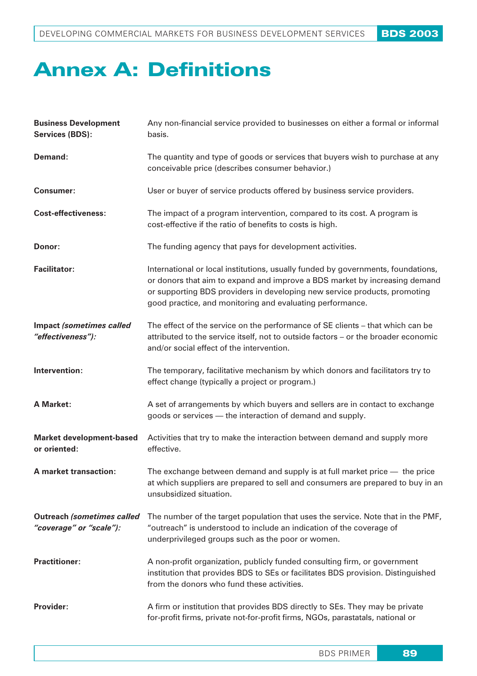# **Annex A: Definitions**

| <b>Business Development</b><br><b>Services (BDS):</b>        | Any non-financial service provided to businesses on either a formal or informal<br>basis.                                                                                                                                                                                                                |
|--------------------------------------------------------------|----------------------------------------------------------------------------------------------------------------------------------------------------------------------------------------------------------------------------------------------------------------------------------------------------------|
| Demand:                                                      | The quantity and type of goods or services that buyers wish to purchase at any<br>conceivable price (describes consumer behavior.)                                                                                                                                                                       |
| <b>Consumer:</b>                                             | User or buyer of service products offered by business service providers.                                                                                                                                                                                                                                 |
| <b>Cost-effectiveness:</b>                                   | The impact of a program intervention, compared to its cost. A program is<br>cost-effective if the ratio of benefits to costs is high.                                                                                                                                                                    |
| Donor:                                                       | The funding agency that pays for development activities.                                                                                                                                                                                                                                                 |
| <b>Facilitator:</b>                                          | International or local institutions, usually funded by governments, foundations,<br>or donors that aim to expand and improve a BDS market by increasing demand<br>or supporting BDS providers in developing new service products, promoting<br>good practice, and monitoring and evaluating performance. |
| Impact (sometimes called<br>"effectiveness"):                | The effect of the service on the performance of SE clients – that which can be<br>attributed to the service itself, not to outside factors - or the broader economic<br>and/or social effect of the intervention.                                                                                        |
| Intervention:                                                | The temporary, facilitative mechanism by which donors and facilitators try to<br>effect change (typically a project or program.)                                                                                                                                                                         |
| <b>A Market:</b>                                             | A set of arrangements by which buyers and sellers are in contact to exchange<br>goods or services - the interaction of demand and supply.                                                                                                                                                                |
| <b>Market development-based</b><br>or oriented:              | Activities that try to make the interaction between demand and supply more<br>effective.                                                                                                                                                                                                                 |
| A market transaction:                                        | The exchange between demand and supply is at full market price $-$ the price<br>at which suppliers are prepared to sell and consumers are prepared to buy in an<br>unsubsidized situation.                                                                                                               |
| <b>Outreach (sometimes called</b><br>"coverage" or "scale"): | The number of the target population that uses the service. Note that in the PMF,<br>"outreach" is understood to include an indication of the coverage of<br>underprivileged groups such as the poor or women.                                                                                            |
| <b>Practitioner:</b>                                         | A non-profit organization, publicly funded consulting firm, or government<br>institution that provides BDS to SEs or facilitates BDS provision. Distinguished<br>from the donors who fund these activities.                                                                                              |
| <b>Provider:</b>                                             | A firm or institution that provides BDS directly to SEs. They may be private<br>for-profit firms, private not-for-profit firms, NGOs, parastatals, national or                                                                                                                                           |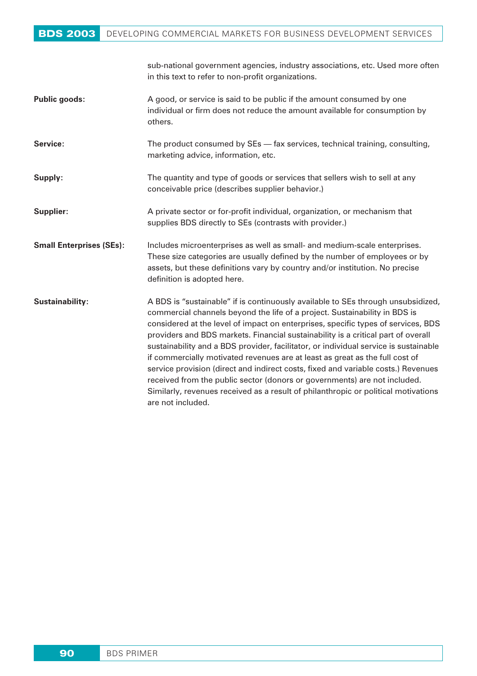## BDS 2003 DEVELOPING COMMERCIAL MARKETS FOR BUSINESS DEVELOPMENT SERVICES

|                                 | sub-national government agencies, industry associations, etc. Used more often<br>in this text to refer to non-profit organizations.                                                                                                                                                                                                                                                                                                                                                                                                                                                                                                                                                                                                                                                           |
|---------------------------------|-----------------------------------------------------------------------------------------------------------------------------------------------------------------------------------------------------------------------------------------------------------------------------------------------------------------------------------------------------------------------------------------------------------------------------------------------------------------------------------------------------------------------------------------------------------------------------------------------------------------------------------------------------------------------------------------------------------------------------------------------------------------------------------------------|
| <b>Public goods:</b>            | A good, or service is said to be public if the amount consumed by one<br>individual or firm does not reduce the amount available for consumption by<br>others.                                                                                                                                                                                                                                                                                                                                                                                                                                                                                                                                                                                                                                |
| Service:                        | The product consumed by SEs - fax services, technical training, consulting,<br>marketing advice, information, etc.                                                                                                                                                                                                                                                                                                                                                                                                                                                                                                                                                                                                                                                                            |
| Supply:                         | The quantity and type of goods or services that sellers wish to sell at any<br>conceivable price (describes supplier behavior.)                                                                                                                                                                                                                                                                                                                                                                                                                                                                                                                                                                                                                                                               |
| Supplier:                       | A private sector or for-profit individual, organization, or mechanism that<br>supplies BDS directly to SEs (contrasts with provider.)                                                                                                                                                                                                                                                                                                                                                                                                                                                                                                                                                                                                                                                         |
| <b>Small Enterprises (SEs):</b> | Includes microenterprises as well as small- and medium-scale enterprises.<br>These size categories are usually defined by the number of employees or by<br>assets, but these definitions vary by country and/or institution. No precise<br>definition is adopted here.                                                                                                                                                                                                                                                                                                                                                                                                                                                                                                                        |
| Sustainability:                 | A BDS is "sustainable" if is continuously available to SEs through unsubsidized,<br>commercial channels beyond the life of a project. Sustainability in BDS is<br>considered at the level of impact on enterprises, specific types of services, BDS<br>providers and BDS markets. Financial sustainability is a critical part of overall<br>sustainability and a BDS provider, facilitator, or individual service is sustainable<br>if commercially motivated revenues are at least as great as the full cost of<br>service provision (direct and indirect costs, fixed and variable costs.) Revenues<br>received from the public sector (donors or governments) are not included.<br>Similarly, revenues received as a result of philanthropic or political motivations<br>are not included. |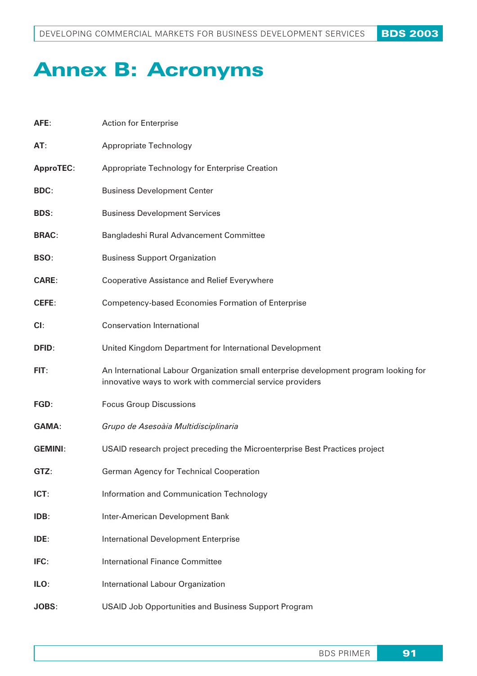# **Annex B: Acronyms**

| AFE:             | <b>Action for Enterprise</b>                                                                                                                       |
|------------------|----------------------------------------------------------------------------------------------------------------------------------------------------|
| AT:              | Appropriate Technology                                                                                                                             |
| <b>ApproTEC:</b> | Appropriate Technology for Enterprise Creation                                                                                                     |
| <b>BDC:</b>      | <b>Business Development Center</b>                                                                                                                 |
| <b>BDS:</b>      | <b>Business Development Services</b>                                                                                                               |
| <b>BRAC:</b>     | Bangladeshi Rural Advancement Committee                                                                                                            |
| BSO:             | <b>Business Support Organization</b>                                                                                                               |
| <b>CARE:</b>     | <b>Cooperative Assistance and Relief Everywhere</b>                                                                                                |
| CEFE:            | Competency-based Economies Formation of Enterprise                                                                                                 |
| Cl:              | <b>Conservation International</b>                                                                                                                  |
| DFID:            | United Kingdom Department for International Development                                                                                            |
| FIT:             | An International Labour Organization small enterprise development program looking for<br>innovative ways to work with commercial service providers |
| FGD:             | <b>Focus Group Discussions</b>                                                                                                                     |
| <b>GAMA:</b>     | Grupo de Asesoàia Multidisciplinaria                                                                                                               |
| <b>GEMINI:</b>   | USAID research project preceding the Microenterprise Best Practices project                                                                        |
| GTZ:             | German Agency for Technical Cooperation                                                                                                            |
| ICT:             | Information and Communication Technology                                                                                                           |
| IDB:             | Inter-American Development Bank                                                                                                                    |
| IDE:             | <b>International Development Enterprise</b>                                                                                                        |
| IFC:             | <b>International Finance Committee</b>                                                                                                             |
| ILO:             | International Labour Organization                                                                                                                  |
| <b>JOBS:</b>     | <b>USAID Job Opportunities and Business Support Program</b>                                                                                        |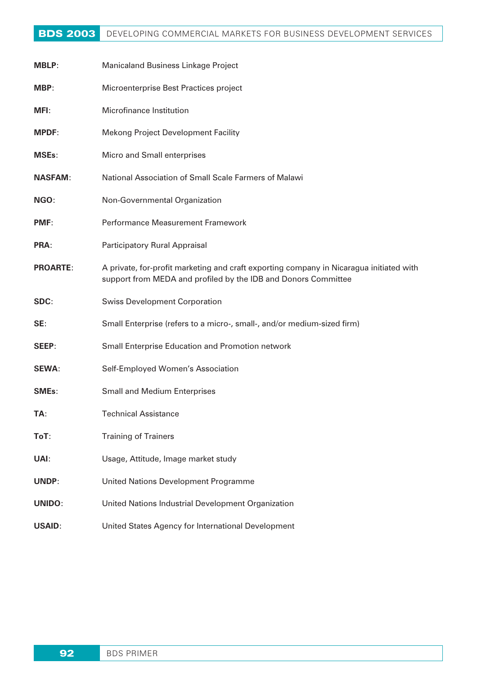## **BDS 2003** DEVELOPING COMMERCIAL MARKETS FOR BUSINESS DEVELOPMENT SERVICES

| <b>MBLP:</b>    | Manicaland Business Linkage Project                                                                                                                       |
|-----------------|-----------------------------------------------------------------------------------------------------------------------------------------------------------|
| MBP:            | Microenterprise Best Practices project                                                                                                                    |
| MFI:            | Microfinance Institution                                                                                                                                  |
| <b>MPDF:</b>    | <b>Mekong Project Development Facility</b>                                                                                                                |
| <b>MSEs:</b>    | Micro and Small enterprises                                                                                                                               |
| <b>NASFAM:</b>  | National Association of Small Scale Farmers of Malawi                                                                                                     |
| NGO:            | Non-Governmental Organization                                                                                                                             |
| PMF:            | Performance Measurement Framework                                                                                                                         |
| PRA:            | Participatory Rural Appraisal                                                                                                                             |
| <b>PROARTE:</b> | A private, for-profit marketing and craft exporting company in Nicaragua initiated with<br>support from MEDA and profiled by the IDB and Donors Committee |
| SDC:            | <b>Swiss Development Corporation</b>                                                                                                                      |
| SE:             | Small Enterprise (refers to a micro-, small-, and/or medium-sized firm)                                                                                   |
| SEEP:           | Small Enterprise Education and Promotion network                                                                                                          |
| <b>SEWA:</b>    | Self-Employed Women's Association                                                                                                                         |
| SMEs:           | <b>Small and Medium Enterprises</b>                                                                                                                       |
| TA:             | Technical Assistance                                                                                                                                      |
| ToT:            | <b>Training of Trainers</b>                                                                                                                               |
| UAI:            | Usage, Attitude, Image market study                                                                                                                       |
| UNDP:           | United Nations Development Programme                                                                                                                      |
| <b>UNIDO:</b>   | United Nations Industrial Development Organization                                                                                                        |
| <b>USAID:</b>   | United States Agency for International Development                                                                                                        |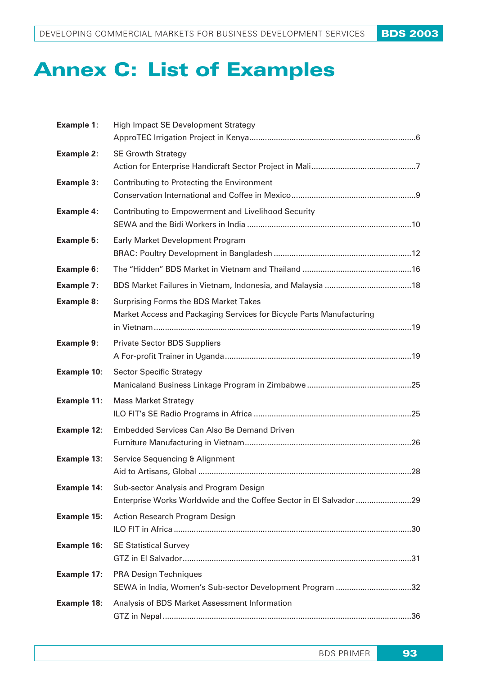# **Annex C: List of Examples**

| <b>Example 1:</b>  | High Impact SE Development Strategy                                                                           |
|--------------------|---------------------------------------------------------------------------------------------------------------|
| <b>Example 2:</b>  | <b>SE Growth Strategy</b>                                                                                     |
| <b>Example 3:</b>  | Contributing to Protecting the Environment                                                                    |
| <b>Example 4:</b>  | Contributing to Empowerment and Livelihood Security                                                           |
| <b>Example 5:</b>  | Early Market Development Program                                                                              |
| <b>Example 6:</b>  |                                                                                                               |
| <b>Example 7:</b>  |                                                                                                               |
| <b>Example 8:</b>  | Surprising Forms the BDS Market Takes<br>Market Access and Packaging Services for Bicycle Parts Manufacturing |
| <b>Example 9:</b>  | <b>Private Sector BDS Suppliers</b>                                                                           |
| <b>Example 10:</b> | <b>Sector Specific Strategy</b>                                                                               |
| <b>Example 11:</b> | <b>Mass Market Strategy</b>                                                                                   |
| <b>Example 12:</b> | Embedded Services Can Also Be Demand Driven                                                                   |
| Example 13:        | Service Sequencing & Alignment                                                                                |
| Example 14:        | Sub-sector Analysis and Program Design<br>Enterprise Works Worldwide and the Coffee Sector in El Salvador 29  |
| <b>Example 15:</b> | Action Research Program Design                                                                                |
| <b>Example 16:</b> | <b>SE Statistical Survey</b>                                                                                  |
| <b>Example 17:</b> | <b>PRA Design Techniques</b><br>SEWA in India, Women's Sub-sector Development Program 32                      |
| <b>Example 18:</b> | Analysis of BDS Market Assessment Information                                                                 |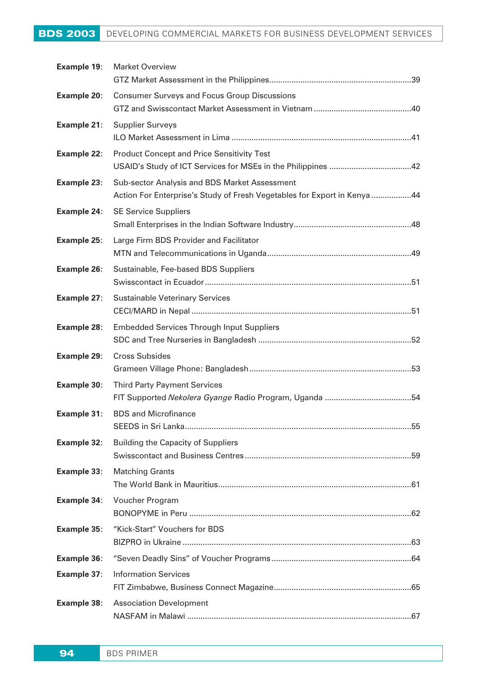## BDS 2003 DEVELOPING COMMERCIAL MARKETS FOR BUSINESS DEVELOPMENT SERVICES

| Example 19:        | <b>Market Overview</b>                                                                                                    |
|--------------------|---------------------------------------------------------------------------------------------------------------------------|
| <b>Example 20:</b> | <b>Consumer Surveys and Focus Group Discussions</b>                                                                       |
|                    |                                                                                                                           |
| <b>Example 21:</b> | <b>Supplier Surveys</b>                                                                                                   |
| <b>Example 22:</b> | <b>Product Concept and Price Sensitivity Test</b>                                                                         |
| <b>Example 23:</b> | Sub-sector Analysis and BDS Market Assessment<br>Action For Enterprise's Study of Fresh Vegetables for Export in Kenya 44 |
| <b>Example 24:</b> | <b>SE Service Suppliers</b>                                                                                               |
| <b>Example 25:</b> | Large Firm BDS Provider and Facilitator                                                                                   |
| <b>Example 26:</b> | Sustainable, Fee-based BDS Suppliers                                                                                      |
| <b>Example 27:</b> | <b>Sustainable Veterinary Services</b>                                                                                    |
| <b>Example 28:</b> | <b>Embedded Services Through Input Suppliers</b>                                                                          |
| Example 29:        | <b>Cross Subsides</b>                                                                                                     |
| <b>Example 30:</b> | <b>Third Party Payment Services</b>                                                                                       |
| <b>Example 31:</b> | <b>BDS and Microfinance</b>                                                                                               |
| <b>Example 32:</b> | <b>Building the Capacity of Suppliers</b>                                                                                 |
| <b>Example 33:</b> | <b>Matching Grants</b>                                                                                                    |
| Example 34:        | Voucher Program                                                                                                           |
| <b>Example 35:</b> | "Kick-Start" Vouchers for BDS                                                                                             |
| <b>Example 36:</b> |                                                                                                                           |
| <b>Example 37:</b> | <b>Information Services</b>                                                                                               |
| <b>Example 38:</b> | <b>Association Development</b>                                                                                            |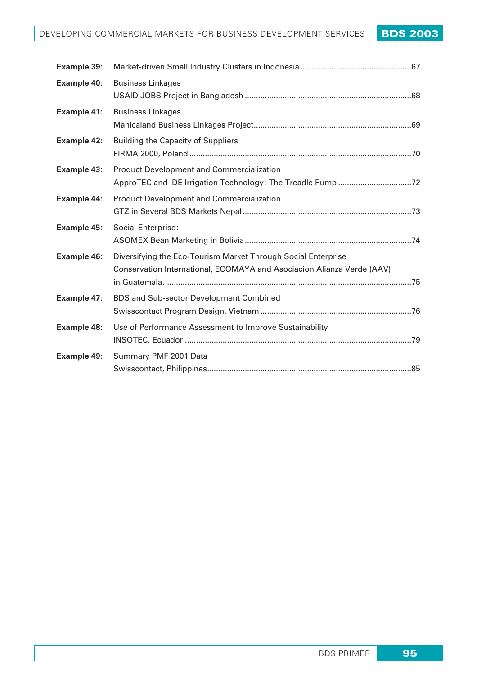| Example 39:        |                                                                                                                                         |
|--------------------|-----------------------------------------------------------------------------------------------------------------------------------------|
| Example 40:        | <b>Business Linkages</b>                                                                                                                |
| Example 41:        | <b>Business Linkages</b>                                                                                                                |
| <b>Example 42:</b> | <b>Building the Capacity of Suppliers</b>                                                                                               |
| <b>Example 43:</b> | <b>Product Development and Commercialization</b><br>ApproTEC and IDE Irrigation Technology: The Treadle Pump72                          |
| Example 44:        | <b>Product Development and Commercialization</b>                                                                                        |
| <b>Example 45:</b> | <b>Social Enterprise:</b>                                                                                                               |
| <b>Example 46:</b> | Diversifying the Eco-Tourism Market Through Social Enterprise<br>Conservation International, ECOMAYA and Asociacion Alianza Verde (AAV) |
| Example 47:        | <b>BDS and Sub-sector Development Combined</b>                                                                                          |
| <b>Example 48:</b> | Use of Performance Assessment to Improve Sustainability                                                                                 |
| Example 49:        | Summary PMF 2001 Data                                                                                                                   |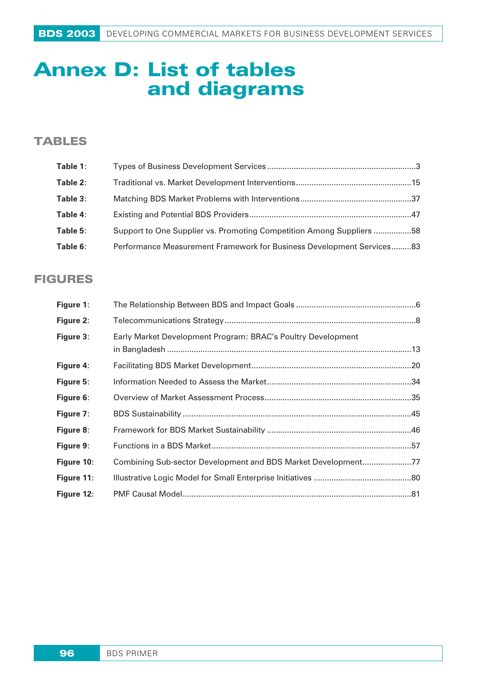## **Annex D: List of tables and diagrams**

## **TABLES**

| Table 1: |                                                                       |  |
|----------|-----------------------------------------------------------------------|--|
| Table 2: |                                                                       |  |
| Table 3: |                                                                       |  |
| Table 4: |                                                                       |  |
| Table 5: | Support to One Supplier vs. Promoting Competition Among Suppliers 58  |  |
| Table 6: | Performance Measurement Framework for Business Development Services83 |  |

## **FIGURES**

| Figure 1:  |                                                               |  |
|------------|---------------------------------------------------------------|--|
| Figure 2:  |                                                               |  |
| Figure 3:  | Early Market Development Program: BRAC's Poultry Development  |  |
| Figure 4:  |                                                               |  |
| Figure 5:  |                                                               |  |
| Figure 6:  |                                                               |  |
| Figure 7:  |                                                               |  |
| Figure 8:  |                                                               |  |
| Figure 9:  |                                                               |  |
| Figure 10: | Combining Sub-sector Development and BDS Market Development77 |  |
| Figure 11: |                                                               |  |
| Figure 12: |                                                               |  |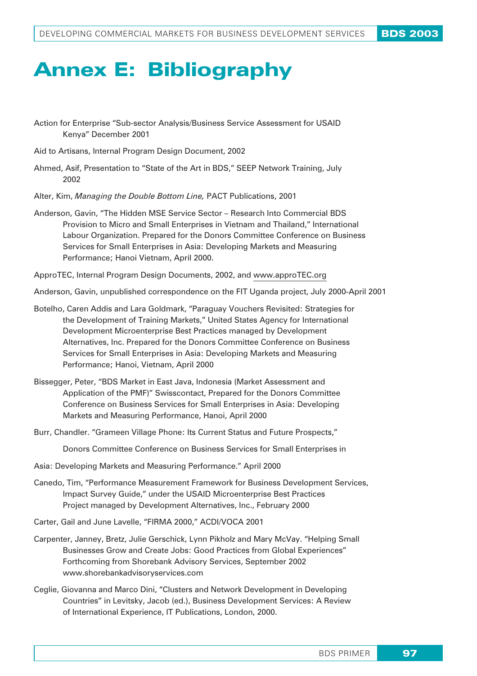# **Annex E: Bibliography**

Action for Enterprise "Sub-sector Analysis/Business Service Assessment for USAID Kenya" December 2001

- Aid to Artisans, Internal Program Design Document, 2002
- Ahmed, Asif, Presentation to "State of the Art in BDS," SEEP Network Training, July 2002
- Alter, Kim, *Managing the Double Bottom Line,* PACT Publications, 2001
- Anderson, Gavin, "The Hidden MSE Service Sector Research Into Commercial BDS Provision to Micro and Small Enterprises in Vietnam and Thailand," International Labour Organization. Prepared for the Donors Committee Conference on Business Services for Small Enterprises in Asia: Developing Markets and Measuring Performance; Hanoi Vietnam, April 2000.

ApproTEC, Internal Program Design Documents, 2002, and www.approTEC.org

- Anderson, Gavin, unpublished correspondence on the FIT Uganda project, July 2000-April 2001
- Botelho, Caren Addis and Lara Goldmark, "Paraguay Vouchers Revisited: Strategies for the Development of Training Markets," United States Agency for International Development Microenterprise Best Practices managed by Development Alternatives, Inc. Prepared for the Donors Committee Conference on Business Services for Small Enterprises in Asia: Developing Markets and Measuring Performance; Hanoi, Vietnam, April 2000
- Bissegger, Peter, "BDS Market in East Java, Indonesia (Market Assessment and Application of the PMF)" Swisscontact, Prepared for the Donors Committee Conference on Business Services for Small Enterprises in Asia: Developing Markets and Measuring Performance, Hanoi, April 2000
- Burr, Chandler. "Grameen Village Phone: Its Current Status and Future Prospects,"

Donors Committee Conference on Business Services for Small Enterprises in

- Asia: Developing Markets and Measuring Performance." April 2000
- Canedo, Tim, "Performance Measurement Framework for Business Development Services, Impact Survey Guide," under the USAID Microenterprise Best Practices Project managed by Development Alternatives, Inc., February 2000
- Carter, Gail and June Lavelle, "FIRMA 2000," ACDI/VOCA 2001
- Carpenter, Janney, Bretz, Julie Gerschick, Lynn Pikholz and Mary McVay. "Helping Small Businesses Grow and Create Jobs: Good Practices from Global Experiences" Forthcoming from Shorebank Advisory Services, September 2002 www.shorebankadvisoryservices.com
- Ceglie, Giovanna and Marco Dini, "Clusters and Network Development in Developing Countries" in Levitsky, Jacob (ed.), Business Development Services: A Review of International Experience, IT Publications, London, 2000.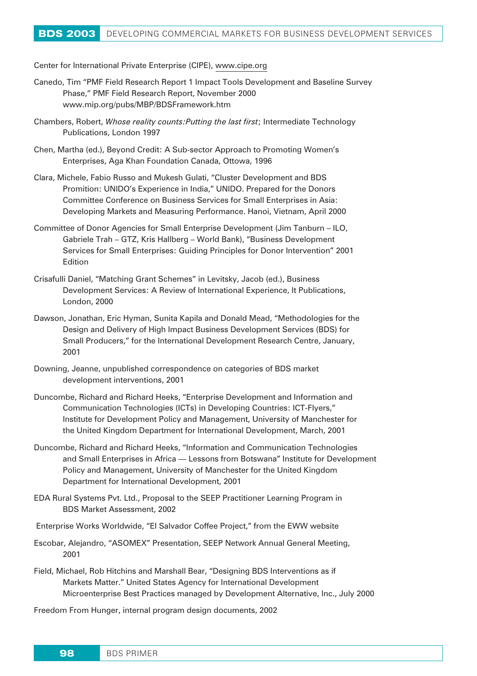Center for International Private Enterprise (CIPE), www.cipe.org

- Canedo, Tim "PMF Field Research Report 1 Impact Tools Development and Baseline Survey Phase," PMF Field Research Report, November 2000 www.mip.org/pubs/MBP/BDSFramework.htm
- Chambers, Robert, *Whose reality counts:Putting the last first*; Intermediate Technology Publications, London 1997
- Chen, Martha (ed.), Beyond Credit: A Sub-sector Approach to Promoting Women's Enterprises, Aga Khan Foundation Canada, Ottowa, 1996
- Clara, Michele, Fabio Russo and Mukesh Gulati, "Cluster Development and BDS Promition: UNIDO's Experience in India," UNIDO. Prepared for the Donors Committee Conference on Business Services for Small Enterprises in Asia: Developing Markets and Measuring Performance. Hanoi, Vietnam, April 2000
- Committee of Donor Agencies for Small Enterprise Development (Jim Tanburn ILO, Gabriele Trah – GTZ, Kris Hallberg – World Bank), "Business Development Services for Small Enterprises: Guiding Principles for Donor Intervention" 2001 Edition
- Crisafulli Daniel, "Matching Grant Schemes" in Levitsky, Jacob (ed.), Business Development Services: A Review of International Experience, It Publications, London, 2000
- Dawson, Jonathan, Eric Hyman, Sunita Kapila and Donald Mead, "Methodologies for the Design and Delivery of High Impact Business Development Services (BDS) for Small Producers," for the International Development Research Centre, January, 2001
- Downing, Jeanne, unpublished correspondence on categories of BDS market development interventions, 2001
- Duncombe, Richard and Richard Heeks, "Enterprise Development and Information and Communication Technologies (ICTs) in Developing Countries: ICT-Flyers," Institute for Development Policy and Management, University of Manchester for the United Kingdom Department for International Development, March, 2001
- Duncombe, Richard and Richard Heeks, "Information and Communication Technologies and Small Enterprises in Africa — Lessons from Botswana" Institute for Development Policy and Management, University of Manchester for the United Kingdom Department for International Development, 2001
- EDA Rural Systems Pvt. Ltd., Proposal to the SEEP Practitioner Learning Program in BDS Market Assessment, 2002
- Enterprise Works Worldwide, "El Salvador Coffee Project," from the EWW website
- Escobar, Alejandro, "ASOMEX" Presentation, SEEP Network Annual General Meeting, 2001
- Field, Michael, Rob Hitchins and Marshall Bear, "Designing BDS Interventions as if Markets Matter." United States Agency for International Development Microenterprise Best Practices managed by Development Alternative, Inc., July 2000

Freedom From Hunger, internal program design documents, 2002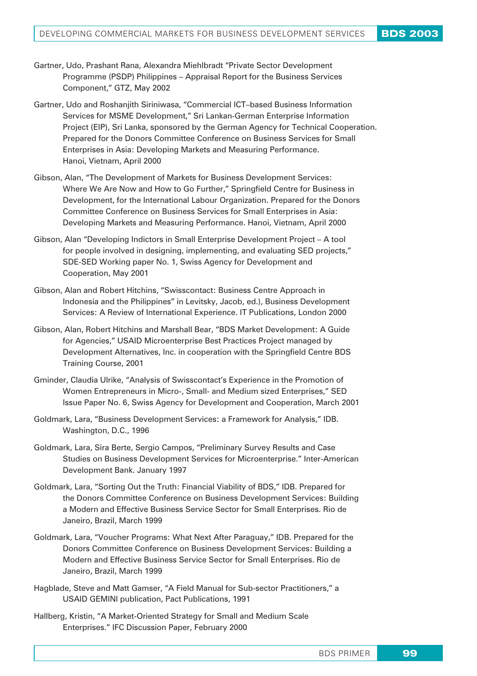- Gartner, Udo, Prashant Rana, Alexandra Miehlbradt "Private Sector Development Programme (PSDP) Philippines – Appraisal Report for the Business Services Component," GTZ, May 2002
- Gartner, Udo and Roshanjith Siriniwasa, "Commercial ICT–based Business Information Services for MSME Development," Sri Lankan-German Enterprise Information Project (EIP), Sri Lanka, sponsored by the German Agency for Technical Cooperation. Prepared for the Donors Committee Conference on Business Services for Small Enterprises in Asia: Developing Markets and Measuring Performance. Hanoi, Vietnam, April 2000
- Gibson, Alan, "The Development of Markets for Business Development Services: Where We Are Now and How to Go Further," Springfield Centre for Business in Development, for the International Labour Organization. Prepared for the Donors Committee Conference on Business Services for Small Enterprises in Asia: Developing Markets and Measuring Performance. Hanoi, Vietnam, April 2000
- Gibson, Alan "Developing Indictors in Small Enterprise Development Project A tool for people involved in designing, implementing, and evaluating SED projects," SDE-SED Working paper No. 1, Swiss Agency for Development and Cooperation, May 2001
- Gibson, Alan and Robert Hitchins, "Swisscontact: Business Centre Approach in Indonesia and the Philippines" in Levitsky, Jacob, ed.), Business Development Services: A Review of International Experience. IT Publications, London 2000
- Gibson, Alan, Robert Hitchins and Marshall Bear, "BDS Market Development: A Guide for Agencies," USAID Microenterprise Best Practices Project managed by Development Alternatives, Inc. in cooperation with the Springfield Centre BDS Training Course, 2001
- Gminder, Claudia Ulrike, "Analysis of Swisscontact's Experience in the Promotion of Women Entrepreneurs in Micro-, Small- and Medium sized Enterprises," SED Issue Paper No. 6, Swiss Agency for Development and Cooperation, March 2001
- Goldmark, Lara, "Business Development Services: a Framework for Analysis," IDB. Washington, D.C., 1996
- Goldmark, Lara, Sira Berte, Sergio Campos, "Preliminary Survey Results and Case Studies on Business Development Services for Microenterprise." Inter-American Development Bank. January 1997
- Goldmark, Lara, "Sorting Out the Truth: Financial Viability of BDS," IDB. Prepared for the Donors Committee Conference on Business Development Services: Building a Modern and Effective Business Service Sector for Small Enterprises. Rio de Janeiro, Brazil, March 1999
- Goldmark, Lara, "Voucher Programs: What Next After Paraguay," IDB. Prepared for the Donors Committee Conference on Business Development Services: Building a Modern and Effective Business Service Sector for Small Enterprises. Rio de Janeiro, Brazil, March 1999
- Hagblade, Steve and Matt Gamser, "A Field Manual for Sub-sector Practitioners," a USAID GEMINI publication, Pact Publications, 1991
- Hallberg, Kristin, "A Market-Oriented Strategy for Small and Medium Scale Enterprises." IFC Discussion Paper, February 2000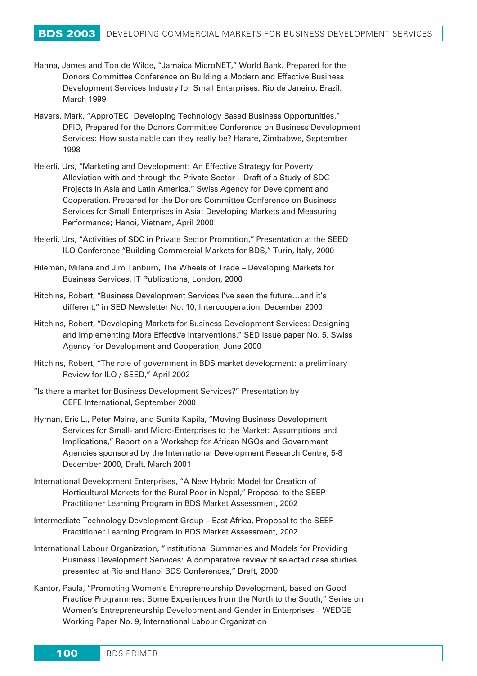- Hanna, James and Ton de Wilde, "Jamaica MicroNET," World Bank. Prepared for the Donors Committee Conference on Building a Modern and Effective Business Development Services Industry for Small Enterprises. Rio de Janeiro, Brazil, March 1999
- Havers, Mark, "ApproTEC: Developing Technology Based Business Opportunities," DFID, Prepared for the Donors Committee Conference on Business Development Services: How sustainable can they really be? Harare, Zimbabwe, September 1998
- Heierli, Urs, "Marketing and Development: An Effective Strategy for Poverty Alleviation with and through the Private Sector – Draft of a Study of SDC Projects in Asia and Latin America," Swiss Agency for Development and Cooperation. Prepared for the Donors Committee Conference on Business Services for Small Enterprises in Asia: Developing Markets and Measuring Performance; Hanoi, Vietnam, April 2000
- Heierli, Urs, "Activities of SDC in Private Sector Promotion," Presentation at the SEED ILO Conference "Building Commercial Markets for BDS," Turin, Italy, 2000
- Hileman, Milena and Jim Tanburn, The Wheels of Trade Developing Markets for Business Services, IT Publications, London, 2000
- Hitchins, Robert, "Business Development Services I've seen the future…and it's different," in SED Newsletter No. 10, Intercooperation, December 2000
- Hitchins, Robert, "Developing Markets for Business Development Services: Designing and Implementing More Effective Interventions," SED Issue paper No. 5, Swiss Agency for Development and Cooperation, June 2000
- Hitchins, Robert, "The role of government in BDS market development: a preliminary Review for ILO / SEED," April 2002
- "Is there a market for Business Development Services?" Presentation by CEFE International, September 2000
- Hyman, Eric L., Peter Maina, and Sunita Kapila, "Moving Business Development Services for Small- and Micro-Enterprises to the Market: Assumptions and Implications," Report on a Workshop for African NGOs and Government Agencies sponsored by the International Development Research Centre, 5-8 December 2000, Draft, March 2001
- International Development Enterprises, "A New Hybrid Model for Creation of Horticultural Markets for the Rural Poor in Nepal," Proposal to the SEEP Practitioner Learning Program in BDS Market Assessment, 2002
- Intermediate Technology Development Group East Africa, Proposal to the SEEP Practitioner Learning Program in BDS Market Assessment, 2002
- International Labour Organization, "Institutional Summaries and Models for Providing Business Development Services: A comparative review of selected case studies presented at Rio and Hanoi BDS Conferences," Draft, 2000
- Kantor, Paula, "Promoting Women's Entrepreneurship Development, based on Good Practice Programmes: Some Experiences from the North to the South," Series on Women's Entrepreneurship Development and Gender in Enterprises – WEDGE Working Paper No. 9, International Labour Organization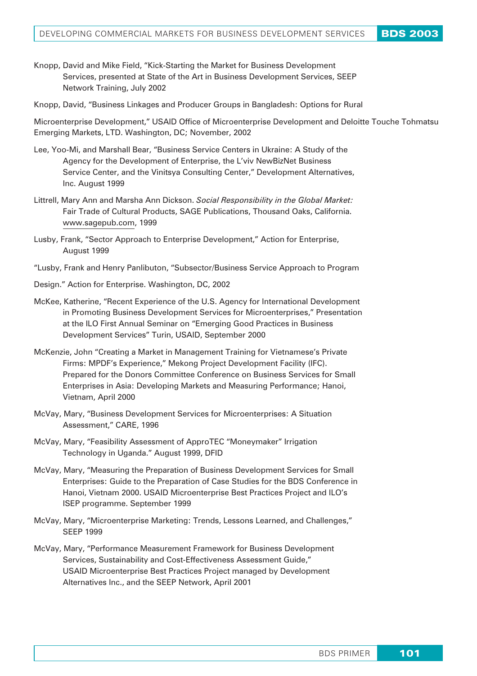- Knopp, David and Mike Field, "Kick-Starting the Market for Business Development Services, presented at State of the Art in Business Development Services, SEEP Network Training, July 2002
- Knopp, David, "Business Linkages and Producer Groups in Bangladesh: Options for Rural

Microenterprise Development," USAID Office of Microenterprise Development and Deloitte Touche Tohmatsu Emerging Markets, LTD. Washington, DC; November, 2002

- Lee, Yoo-Mi, and Marshall Bear, "Business Service Centers in Ukraine: A Study of the Agency for the Development of Enterprise, the L'viv NewBizNet Business Service Center, and the Vinitsya Consulting Center," Development Alternatives, Inc. August 1999
- Littrell, Mary Ann and Marsha Ann Dickson. *Social Responsibility in the Global Market:* Fair Trade of Cultural Products, SAGE Publications, Thousand Oaks, California. www.sagepub.com, 1999
- Lusby, Frank, "Sector Approach to Enterprise Development," Action for Enterprise, August 1999
- "Lusby, Frank and Henry Panlibuton, "Subsector/Business Service Approach to Program
- Design." Action for Enterprise. Washington, DC, 2002
- McKee, Katherine, "Recent Experience of the U.S. Agency for International Development in Promoting Business Development Services for Microenterprises," Presentation at the ILO First Annual Seminar on "Emerging Good Practices in Business Development Services" Turin, USAID, September 2000
- McKenzie, John "Creating a Market in Management Training for Vietnamese's Private Firms: MPDF's Experience," Mekong Project Development Facility (IFC). Prepared for the Donors Committee Conference on Business Services for Small Enterprises in Asia: Developing Markets and Measuring Performance; Hanoi, Vietnam, April 2000
- McVay, Mary, "Business Development Services for Microenterprises: A Situation Assessment," CARE, 1996
- McVay, Mary, "Feasibility Assessment of ApproTEC "Moneymaker" Irrigation Technology in Uganda." August 1999, DFID
- McVay, Mary, "Measuring the Preparation of Business Development Services for Small Enterprises: Guide to the Preparation of Case Studies for the BDS Conference in Hanoi, Vietnam 2000. USAID Microenterprise Best Practices Project and ILO's ISEP programme. September 1999
- McVay, Mary, "Microenterprise Marketing: Trends, Lessons Learned, and Challenges," SEEP 1999
- McVay, Mary, "Performance Measurement Framework for Business Development Services, Sustainability and Cost-Effectiveness Assessment Guide," USAID Microenterprise Best Practices Project managed by Development Alternatives Inc., and the SEEP Network, April 2001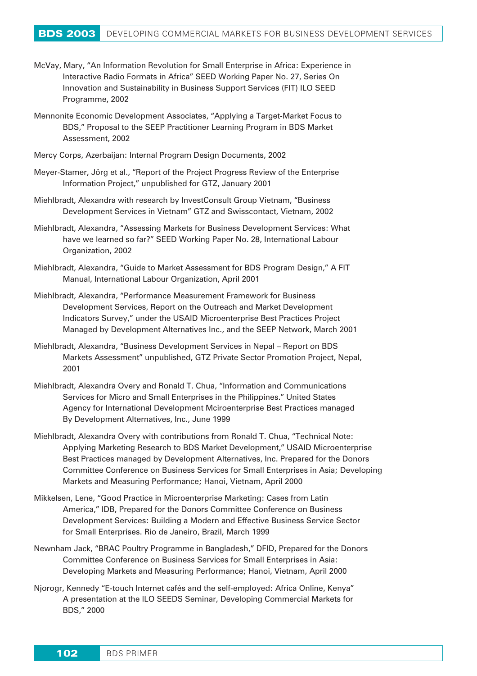- McVay, Mary, "An Information Revolution for Small Enterprise in Africa: Experience in Interactive Radio Formats in Africa" SEED Working Paper No. 27, Series On Innovation and Sustainability in Business Support Services (FIT) ILO SEED Programme, 2002
- Mennonite Economic Development Associates, "Applying a Target-Market Focus to BDS," Proposal to the SEEP Practitioner Learning Program in BDS Market Assessment, 2002
- Mercy Corps, Azerbaijan: Internal Program Design Documents, 2002
- Meyer-Stamer, Jörg et al., "Report of the Project Progress Review of the Enterprise Information Project," unpublished for GTZ, January 2001
- Miehlbradt, Alexandra with research by InvestConsult Group Vietnam, "Business Development Services in Vietnam" GTZ and Swisscontact, Vietnam, 2002
- Miehlbradt, Alexandra, "Assessing Markets for Business Development Services: What have we learned so far?" SEED Working Paper No. 28, International Labour Organization, 2002
- Miehlbradt, Alexandra, "Guide to Market Assessment for BDS Program Design," A FIT Manual, International Labour Organization, April 2001
- Miehlbradt, Alexandra, "Performance Measurement Framework for Business Development Services, Report on the Outreach and Market Development Indicators Survey," under the USAID Microenterprise Best Practices Project Managed by Development Alternatives Inc., and the SEEP Network, March 2001
- Miehlbradt, Alexandra, "Business Development Services in Nepal Report on BDS Markets Assessment" unpublished, GTZ Private Sector Promotion Project, Nepal, 2001
- Miehlbradt, Alexandra Overy and Ronald T. Chua, "Information and Communications Services for Micro and Small Enterprises in the Philippines." United States Agency for International Development Mciroenterprise Best Practices managed By Development Alternatives, Inc., June 1999
- Miehlbradt, Alexandra Overy with contributions from Ronald T. Chua, "Technical Note: Applying Marketing Research to BDS Market Development," USAID Microenterprise Best Practices managed by Development Alternatives, Inc. Prepared for the Donors Committee Conference on Business Services for Small Enterprises in Asia; Developing Markets and Measuring Performance; Hanoi, Vietnam, April 2000
- Mikkelsen, Lene, "Good Practice in Microenterprise Marketing: Cases from Latin America," IDB, Prepared for the Donors Committee Conference on Business Development Services: Building a Modern and Effective Business Service Sector for Small Enterprises. Rio de Janeiro, Brazil, March 1999
- Newnham Jack, "BRAC Poultry Programme in Bangladesh," DFID, Prepared for the Donors Committee Conference on Business Services for Small Enterprises in Asia: Developing Markets and Measuring Performance; Hanoi, Vietnam, April 2000
- Njorogr, Kennedy "E-touch Internet cafés and the self-employed: Africa Online, Kenya" A presentation at the ILO SEEDS Seminar, Developing Commercial Markets for BDS," 2000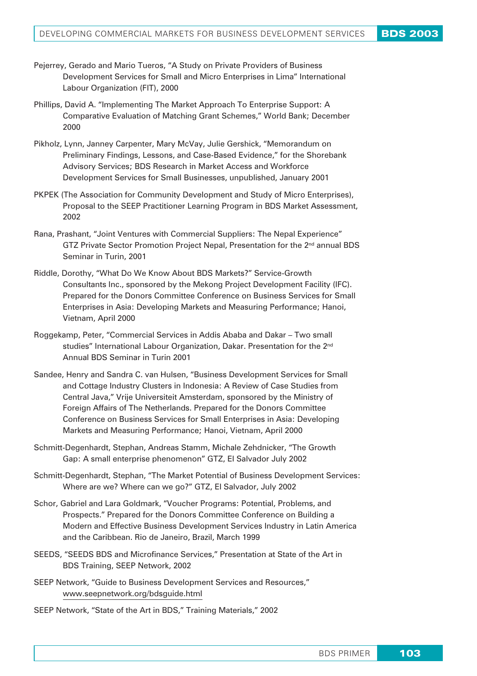- Pejerrey, Gerado and Mario Tueros, "A Study on Private Providers of Business Development Services for Small and Micro Enterprises in Lima" International Labour Organization (FIT), 2000
- Phillips, David A. "Implementing The Market Approach To Enterprise Support: A Comparative Evaluation of Matching Grant Schemes," World Bank; December 2000
- Pikholz, Lynn, Janney Carpenter, Mary McVay, Julie Gershick, "Memorandum on Preliminary Findings, Lessons, and Case-Based Evidence," for the Shorebank Advisory Services; BDS Research in Market Access and Workforce Development Services for Small Businesses, unpublished, January 2001
- PKPEK (The Association for Community Development and Study of Micro Enterprises), Proposal to the SEEP Practitioner Learning Program in BDS Market Assessment, 2002
- Rana, Prashant, "Joint Ventures with Commercial Suppliers: The Nepal Experience" GTZ Private Sector Promotion Project Nepal, Presentation for the 2<sup>nd</sup> annual BDS Seminar in Turin, 2001
- Riddle, Dorothy, "What Do We Know About BDS Markets?" Service-Growth Consultants Inc., sponsored by the Mekong Project Development Facility (IFC). Prepared for the Donors Committee Conference on Business Services for Small Enterprises in Asia: Developing Markets and Measuring Performance; Hanoi, Vietnam, April 2000
- Roggekamp, Peter, "Commercial Services in Addis Ababa and Dakar Two small studies" International Labour Organization, Dakar. Presentation for the 2<sup>nd</sup> Annual BDS Seminar in Turin 2001
- Sandee, Henry and Sandra C. van Hulsen, "Business Development Services for Small and Cottage Industry Clusters in Indonesia: A Review of Case Studies from Central Java," Vrije Universiteit Amsterdam, sponsored by the Ministry of Foreign Affairs of The Netherlands. Prepared for the Donors Committee Conference on Business Services for Small Enterprises in Asia: Developing Markets and Measuring Performance; Hanoi, Vietnam, April 2000
- Schmitt-Degenhardt, Stephan, Andreas Stamm, Michale Zehdnicker, "The Growth Gap: A small enterprise phenomenon" GTZ, El Salvador July 2002
- Schmitt-Degenhardt, Stephan, "The Market Potential of Business Development Services: Where are we? Where can we go?" GTZ, El Salvador, July 2002
- Schor, Gabriel and Lara Goldmark, "Voucher Programs: Potential, Problems, and Prospects." Prepared for the Donors Committee Conference on Building a Modern and Effective Business Development Services Industry in Latin America and the Caribbean. Rio de Janeiro, Brazil, March 1999
- SEEDS, "SEEDS BDS and Microfinance Services," Presentation at State of the Art in BDS Training, SEEP Network, 2002
- SEEP Network, "Guide to Business Development Services and Resources," www.seepnetwork.org/bdsguide.html
- SEEP Network, "State of the Art in BDS," Training Materials," 2002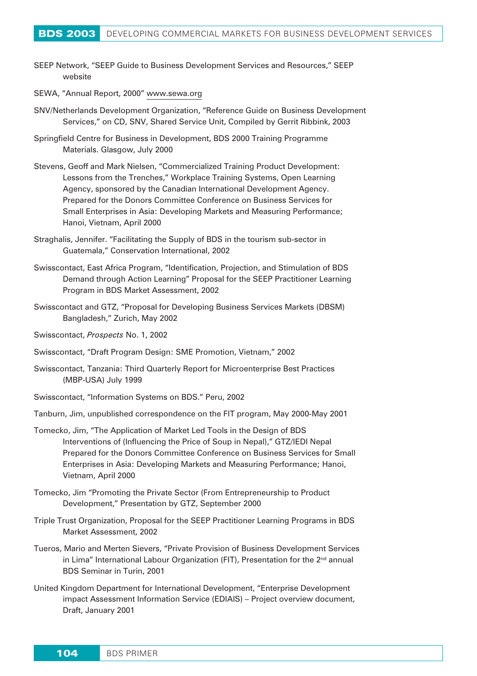- SEEP Network, "SEEP Guide to Business Development Services and Resources," SEEP website
- SEWA, "Annual Report, 2000" www.sewa.org
- SNV/Netherlands Development Organization, "Reference Guide on Business Development Services," on CD, SNV, Shared Service Unit, Compiled by Gerrit Ribbink, 2003
- Springfield Centre for Business in Development, BDS 2000 Training Programme Materials. Glasgow, July 2000
- Stevens, Geoff and Mark Nielsen, "Commercialized Training Product Development: Lessons from the Trenches," Workplace Training Systems, Open Learning Agency, sponsored by the Canadian International Development Agency. Prepared for the Donors Committee Conference on Business Services for Small Enterprises in Asia: Developing Markets and Measuring Performance; Hanoi, Vietnam, April 2000
- Straghalis, Jennifer. "Facilitating the Supply of BDS in the tourism sub-sector in Guatemala," Conservation International, 2002
- Swisscontact, East Africa Program, "Identification, Projection, and Stimulation of BDS Demand through Action Learning" Proposal for the SEEP Practitioner Learning Program in BDS Market Assessment, 2002
- Swisscontact and GTZ, "Proposal for Developing Business Services Markets (DBSM) Bangladesh," Zurich, May 2002
- Swisscontact, *Prospects* No. 1, 2002
- Swisscontact, "Draft Program Design: SME Promotion, Vietnam," 2002
- Swisscontact, Tanzania: Third Quarterly Report for Microenterprise Best Practices (MBP-USA) July 1999
- Swisscontact, "Information Systems on BDS." Peru, 2002
- Tanburn, Jim, unpublished correspondence on the FIT program, May 2000-May 2001
- Tomecko, Jim, "The Application of Market Led Tools in the Design of BDS Interventions of (Influencing the Price of Soup in Nepal)," GTZ/IEDI Nepal Prepared for the Donors Committee Conference on Business Services for Small Enterprises in Asia: Developing Markets and Measuring Performance; Hanoi, Vietnam, April 2000
- Tomecko, Jim "Promoting the Private Sector (From Entrepreneurship to Product Development," Presentation by GTZ, September 2000
- Triple Trust Organization, Proposal for the SEEP Practitioner Learning Programs in BDS Market Assessment, 2002
- Tueros, Mario and Merten Sievers, "Private Provision of Business Development Services in Lima" International Labour Organization (FIT), Presentation for the  $2<sup>nd</sup>$  annual BDS Seminar in Turin, 2001
- United Kingdom Department for International Development, "Enterprise Development impact Assessment Information Service (EDIAIS) – Project overview document, Draft, January 2001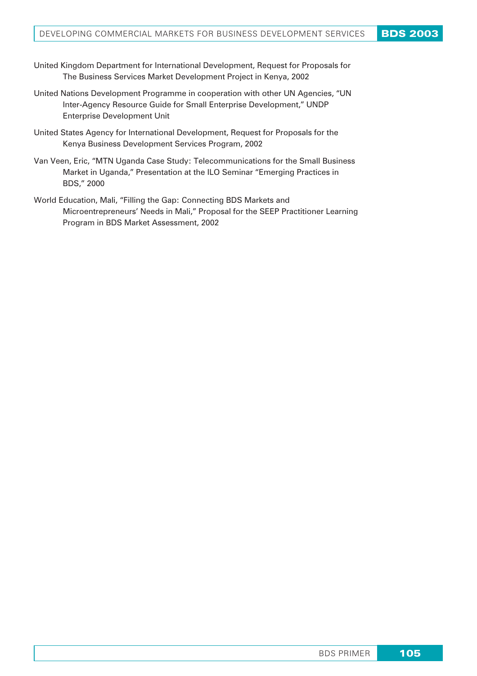- United Kingdom Department for International Development, Request for Proposals for The Business Services Market Development Project in Kenya, 2002
- United Nations Development Programme in cooperation with other UN Agencies, "UN Inter-Agency Resource Guide for Small Enterprise Development," UNDP Enterprise Development Unit
- United States Agency for International Development, Request for Proposals for the Kenya Business Development Services Program, 2002
- Van Veen, Eric, "MTN Uganda Case Study: Telecommunications for the Small Business Market in Uganda," Presentation at the ILO Seminar "Emerging Practices in BDS," 2000
- World Education, Mali, "Filling the Gap: Connecting BDS Markets and Microentrepreneurs' Needs in Mali," Proposal for the SEEP Practitioner Learning Program in BDS Market Assessment, 2002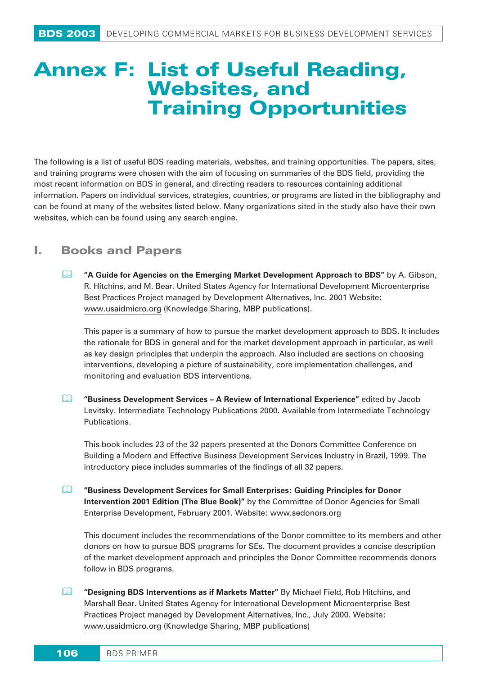# **Annex F: List of Useful Reading, Websites, and Training Opportunities**

The following is a list of useful BDS reading materials, websites, and training opportunities. The papers, sites, and training programs were chosen with the aim of focusing on summaries of the BDS field, providing the most recent information on BDS in general, and directing readers to resources containing additional information. Papers on individual services, strategies, countries, or programs are listed in the bibliography and can be found at many of the websites listed below. Many organizations sited in the study also have their own websites, which can be found using any search engine.

# **I. Books and Papers**

 **"A Guide for Agencies on the Emerging Market Development Approach to BDS"** by A. Gibson, R. Hitchins, and M. Bear. United States Agency for International Development Microenterprise Best Practices Project managed by Development Alternatives, Inc. 2001 Website: www.usaidmicro.org (Knowledge Sharing, MBP publications).

This paper is a summary of how to pursue the market development approach to BDS. It includes the rationale for BDS in general and for the market development approach in particular, as well as key design principles that underpin the approach. Also included are sections on choosing interventions, developing a picture of sustainability, core implementation challenges, and monitoring and evaluation BDS interventions.

 **"Business Development Services – A Review of International Experience"** edited by Jacob Levitsky. Intermediate Technology Publications 2000. Available from Intermediate Technology Publications.

This book includes 23 of the 32 papers presented at the Donors Committee Conference on Building a Modern and Effective Business Development Services Industry in Brazil, 1999. The introductory piece includes summaries of the findings of all 32 papers.

 **"Business Development Services for Small Enterprises: Guiding Principles for Donor Intervention 2001 Edition (The Blue Book)"** by the Committee of Donor Agencies for Small Enterprise Development, February 2001. Website: www.sedonors.org

This document includes the recommendations of the Donor committee to its members and other donors on how to pursue BDS programs for SEs. The document provides a concise description of the market development approach and principles the Donor Committee recommends donors follow in BDS programs.

 **"Designing BDS Interventions as if Markets Matter"** By Michael Field, Rob Hitchins, and Marshall Bear. United States Agency for International Development Microenterprise Best Practices Project managed by Development Alternatives, Inc., July 2000. Website: www.usaidmicro.org (Knowledge Sharing, MBP publications)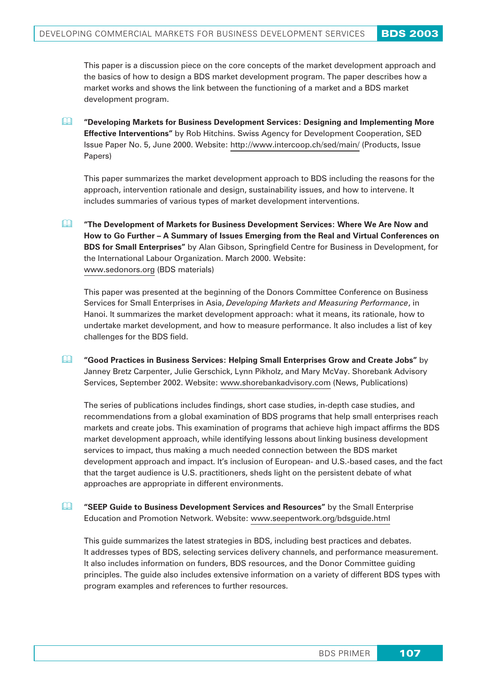This paper is a discussion piece on the core concepts of the market development approach and the basics of how to design a BDS market development program. The paper describes how a market works and shows the link between the functioning of a market and a BDS market development program.

 **"Developing Markets for Business Development Services: Designing and Implementing More Effective Interventions"** by Rob Hitchins. Swiss Agency for Development Cooperation, SED Issue Paper No. 5, June 2000. Website: http://www.intercoop.ch/sed/main/ (Products, Issue Papers)

This paper summarizes the market development approach to BDS including the reasons for the approach, intervention rationale and design, sustainability issues, and how to intervene. It includes summaries of various types of market development interventions.

 **"The Development of Markets for Business Development Services: Where We Are Now and How to Go Further – A Summary of Issues Emerging from the Real and Virtual Conferences on BDS for Small Enterprises"** by Alan Gibson, Springfield Centre for Business in Development, for the International Labour Organization. March 2000. Website: www.sedonors.org (BDS materials)

This paper was presented at the beginning of the Donors Committee Conference on Business Services for Small Enterprises in Asia, *Developing Markets and Measuring Performance*, in Hanoi. It summarizes the market development approach: what it means, its rationale, how to undertake market development, and how to measure performance. It also includes a list of key challenges for the BDS field.

 **"Good Practices in Business Services: Helping Small Enterprises Grow and Create Jobs"** by Janney Bretz Carpenter, Julie Gerschick, Lynn Pikholz, and Mary McVay. Shorebank Advisory Services, September 2002. Website: www.shorebankadvisory.com (News, Publications)

The series of publications includes findings, short case studies, in-depth case studies, and recommendations from a global examination of BDS programs that help small enterprises reach markets and create jobs. This examination of programs that achieve high impact affirms the BDS market development approach, while identifying lessons about linking business development services to impact, thus making a much needed connection between the BDS market development approach and impact. It's inclusion of European- and U.S.-based cases, and the fact that the target audience is U.S. practitioners, sheds light on the persistent debate of what approaches are appropriate in different environments.

 **"SEEP Guide to Business Development Services and Resources"** by the Small Enterprise Education and Promotion Network. Website: www.seepentwork.org/bdsguide.html

This guide summarizes the latest strategies in BDS, including best practices and debates. It addresses types of BDS, selecting services delivery channels, and performance measurement. It also includes information on funders, BDS resources, and the Donor Committee guiding principles. The guide also includes extensive information on a variety of different BDS types with program examples and references to further resources.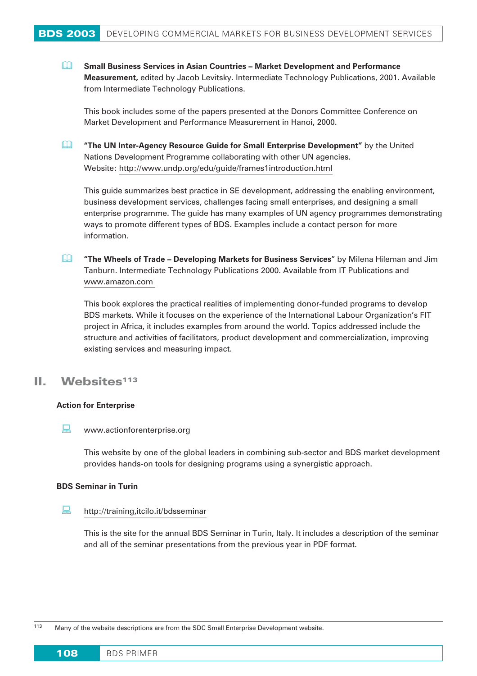**Small Business Services in Asian Countries – Market Development and Performance Measurement,** edited by Jacob Levitsky. Intermediate Technology Publications, 2001. Available from Intermediate Technology Publications.

This book includes some of the papers presented at the Donors Committee Conference on Market Development and Performance Measurement in Hanoi, 2000.

 **"The UN Inter-Agency Resource Guide for Small Enterprise Development"** by the United Nations Development Programme collaborating with other UN agencies. Website: http://www.undp.org/edu/guide/frames1introduction.html

This guide summarizes best practice in SE development, addressing the enabling environment, business development services, challenges facing small enterprises, and designing a small enterprise programme. The guide has many examples of UN agency programmes demonstrating ways to promote different types of BDS. Examples include a contact person for more information.

 **"The Wheels of Trade – Developing Markets for Business Services**" by Milena Hileman and Jim Tanburn. Intermediate Technology Publications 2000. Available from IT Publications and www.amazon.com

This book explores the practical realities of implementing donor-funded programs to develop BDS markets. While it focuses on the experience of the International Labour Organization's FIT project in Africa, it includes examples from around the world. Topics addressed include the structure and activities of facilitators, product development and commercialization, improving existing services and measuring impact.

## II. Websites<sup>113</sup>

### **Action for Enterprise**

#### $\Box$ www.actionforenterprise.org

This website by one of the global leaders in combining sub-sector and BDS market development provides hands-on tools for designing programs using a synergistic approach.

### **BDS Seminar in Turin**

#### $\Box$ http://training,itcilo.it/bdsseminar

This is the site for the annual BDS Seminar in Turin, Italy. It includes a description of the seminar and all of the seminar presentations from the previous year in PDF format.

113 Many of the website descriptions are from the SDC Small Enterprise Development website.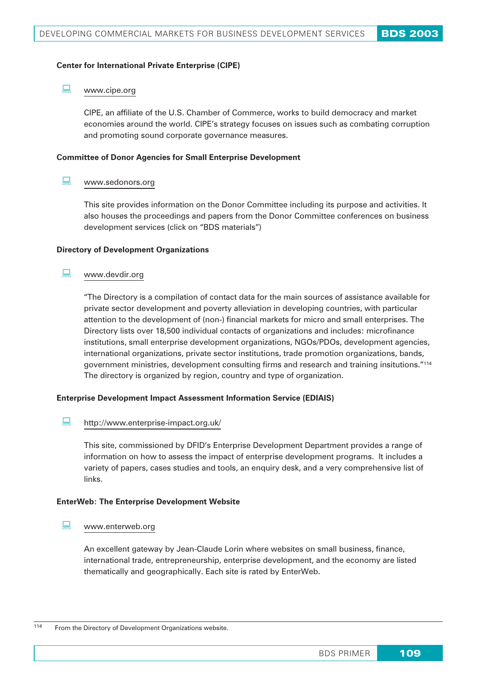### **Center for International Private Enterprise (CIPE)**

#### $\Box$ www.cipe.org

CIPE, an affiliate of the U.S. Chamber of Commerce, works to build democracy and market economies around the world. CIPE's strategy focuses on issues such as combating corruption and promoting sound corporate governance measures.

### **Committee of Donor Agencies for Small Enterprise Development**

#### $\Box$ www.sedonors.org

This site provides information on the Donor Committee including its purpose and activities. It also houses the proceedings and papers from the Donor Committee conferences on business development services (click on "BDS materials")

### **Directory of Development Organizations**

#### $\Box$ www.devdir.org

"The Directory is a compilation of contact data for the main sources of assistance available for private sector development and poverty alleviation in developing countries, with particular attention to the development of (non-) financial markets for micro and small enterprises. The Directory lists over 18,500 individual contacts of organizations and includes: microfinance institutions, small enterprise development organizations, NGOs/PDOs, development agencies, international organizations, private sector institutions, trade promotion organizations, bands, government ministries, development consulting firms and research and training insitutions."114 The directory is organized by region, country and type of organization.

### **Enterprise Development Impact Assessment Information Service (EDIAIS)**

#### $\Box$ http://www.enterprise-impact.org.uk/

This site, commissioned by DFID's Enterprise Development Department provides a range of information on how to assess the impact of enterprise development programs. It includes a variety of papers, cases studies and tools, an enquiry desk, and a very comprehensive list of links.

### **EnterWeb: The Enterprise Development Website**

#### $\Box$ www.enterweb.org

An excellent gateway by Jean-Claude Lorin where websites on small business, finance, international trade, entrepreneurship, enterprise development, and the economy are listed thematically and geographically. Each site is rated by EnterWeb.

114 From the Directory of Development Organizations website.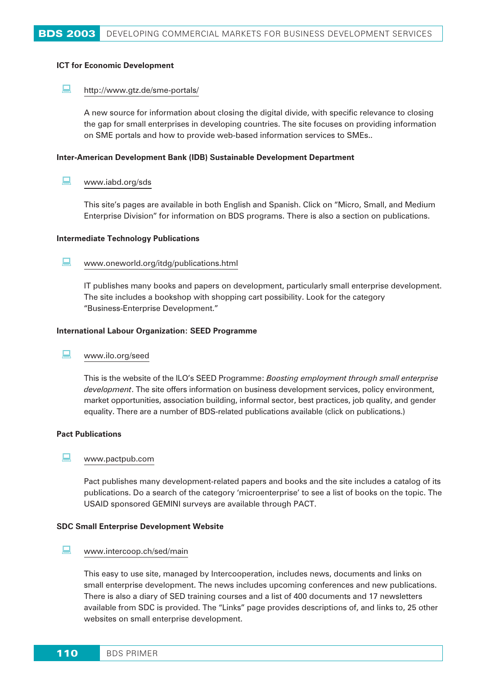### **ICT for Economic Development**

#### $\Box$ http://www.gtz.de/sme-portals/

A new source for information about closing the digital divide, with specific relevance to closing the gap for small enterprises in developing countries. The site focuses on providing information on SME portals and how to provide web-based information services to SMEs..

### **Inter-American Development Bank (IDB) Sustainable Development Department**

#### $\Box$ www.iabd.org/sds

This site's pages are available in both English and Spanish. Click on "Micro, Small, and Medium Enterprise Division" for information on BDS programs. There is also a section on publications.

### **Intermediate Technology Publications**

#### $\Box$ www.oneworld.org/itdg/publications.html

IT publishes many books and papers on development, particularly small enterprise development. The site includes a bookshop with shopping cart possibility. Look for the category "Business-Enterprise Development."

### **International Labour Organization: SEED Programme**

#### $\Box$ www.ilo.org/seed

This is the website of the ILO's SEED Programme: *Boosting employment through small enterprise development*. The site offers information on business development services, policy environment, market opportunities, association building, informal sector, best practices, job quality, and gender equality. There are a number of BDS-related publications available (click on publications.)

### **Pact Publications**

#### $\Box$ www.pactpub.com

Pact publishes many development-related papers and books and the site includes a catalog of its publications. Do a search of the category 'microenterprise' to see a list of books on the topic. The USAID sponsored GEMINI surveys are available through PACT.

### **SDC Small Enterprise Development Website**

#### $\Box$ www.intercoop.ch/sed/main

This easy to use site, managed by Intercooperation, includes news, documents and links on small enterprise development. The news includes upcoming conferences and new publications. There is also a diary of SED training courses and a list of 400 documents and 17 newsletters available from SDC is provided. The "Links" page provides descriptions of, and links to, 25 other websites on small enterprise development.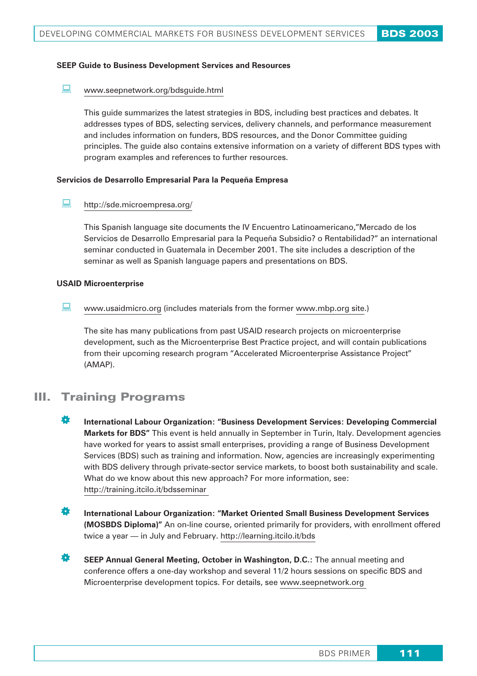### **SEEP Guide to Business Development Services and Resources**

#### $\Box$ www.seepnetwork.org/bdsguide.html

This guide summarizes the latest strategies in BDS, including best practices and debates. It addresses types of BDS, selecting services, delivery channels, and performance measurement and includes information on funders, BDS resources, and the Donor Committee guiding principles. The guide also contains extensive information on a variety of different BDS types with program examples and references to further resources.

### **Servicios de Desarrollo Empresarial Para la Pequeña Empresa**

#### $\Box$ http://sde.microempresa.org/

This Spanish language site documents the IV Encuentro Latinoamericano,"Mercado de los Servicios de Desarrollo Empresarial para la Pequeña Subsidio? o Rentabilidad?" an international seminar conducted in Guatemala in December 2001. The site includes a description of the seminar as well as Spanish language papers and presentations on BDS.

### **USAID Microenterprise**

 $\Box$ www.usaidmicro.org (includes materials from the former www.mbp.org site.)

The site has many publications from past USAID research projects on microenterprise development, such as the Microenterprise Best Practice project, and will contain publications from their upcoming research program "Accelerated Microenterprise Assistance Project" (AMAP).

# III. Training Programs

- **IN** International Labour Organization: "Business Development Services: Developing Commercial **Markets for BDS"** This event is held annually in September in Turin, Italy. Development agencies have worked for years to assist small enterprises, providing a range of Business Development Services (BDS) such as training and information. Now, agencies are increasingly experimenting with BDS delivery through private-sector service markets, to boost both sustainability and scale. What do we know about this new approach? For more information, see: http://training.itcilo.it/bdsseminar
- **International Labour Organization: "Market Oriented Small Business Development Services (MOSBDS Diploma)"** An on-line course, oriented primarily for providers, with enrollment offered twice a year — in July and February. http://learning.itcilo.it/bds
- **SEEP Annual General Meeting, October in Washington, D.C.:** The annual meeting and conference offers a one-day workshop and several 11/2 hours sessions on specific BDS and Microenterprise development topics. For details, see www.seepnetwork.org